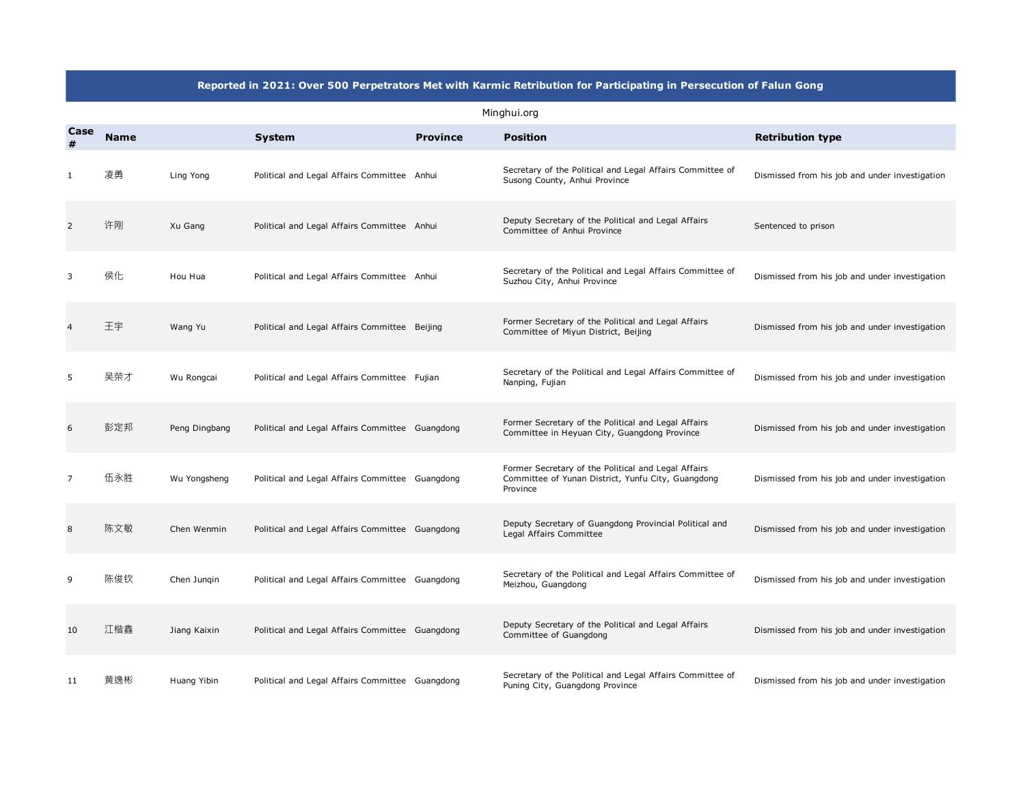## **Reported in 2021: Over 500 Perpetrators Met with Karmic Retribution for Participating in Persecution of Falun Gong**

|           | Minghui.org |               |                                                 |                 |                                                                                                                       |                                                |  |  |
|-----------|-------------|---------------|-------------------------------------------------|-----------------|-----------------------------------------------------------------------------------------------------------------------|------------------------------------------------|--|--|
| Case<br># | <b>Name</b> |               | <b>System</b>                                   | <b>Province</b> | <b>Position</b>                                                                                                       | <b>Retribution type</b>                        |  |  |
|           | 凌勇          | Ling Yong     | Political and Legal Affairs Committee Anhui     |                 | Secretary of the Political and Legal Affairs Committee of<br>Susong County, Anhui Province                            | Dismissed from his job and under investigation |  |  |
| 2         | 许刚          | Xu Gang       | Political and Legal Affairs Committee Anhui     |                 | Deputy Secretary of the Political and Legal Affairs<br>Committee of Anhui Province                                    | Sentenced to prison                            |  |  |
| 3         | 侯化          | Hou Hua       | Political and Legal Affairs Committee Anhui     |                 | Secretary of the Political and Legal Affairs Committee of<br>Suzhou City, Anhui Province                              | Dismissed from his job and under investigation |  |  |
|           | 王宇          | Wang Yu       | Political and Legal Affairs Committee Beijing   |                 | Former Secretary of the Political and Legal Affairs<br>Committee of Miyun District, Beijing                           | Dismissed from his job and under investigation |  |  |
| 5         | 吴荣才         | Wu Rongcai    | Political and Legal Affairs Committee Fujian    |                 | Secretary of the Political and Legal Affairs Committee of<br>Nanping, Fujian                                          | Dismissed from his job and under investigation |  |  |
| 6         | 彭定邦         | Peng Dingbang | Political and Legal Affairs Committee Guangdong |                 | Former Secretary of the Political and Legal Affairs<br>Committee in Heyuan City, Guangdong Province                   | Dismissed from his job and under investigation |  |  |
| 7         | 伍永胜         | Wu Yongsheng  | Political and Legal Affairs Committee Guangdong |                 | Former Secretary of the Political and Legal Affairs<br>Committee of Yunan District, Yunfu City, Guangdong<br>Province | Dismissed from his job and under investigation |  |  |
| 8         | 陈文敏         | Chen Wenmin   | Political and Legal Affairs Committee Guangdong |                 | Deputy Secretary of Guangdong Provincial Political and<br>Legal Affairs Committee                                     | Dismissed from his job and under investigation |  |  |
| 9         | 陈俊钦         | Chen Jungin   | Political and Legal Affairs Committee Guangdong |                 | Secretary of the Political and Legal Affairs Committee of<br>Meizhou, Guangdong                                       | Dismissed from his job and under investigation |  |  |
| 10        | 江楷鑫         | Jiang Kaixin  | Political and Legal Affairs Committee Guangdong |                 | Deputy Secretary of the Political and Legal Affairs<br>Committee of Guangdong                                         | Dismissed from his job and under investigation |  |  |
| 11        | 黄逸彬         | Huang Yibin   | Political and Legal Affairs Committee Guangdong |                 | Secretary of the Political and Legal Affairs Committee of<br>Puning City, Guangdong Province                          | Dismissed from his job and under investigation |  |  |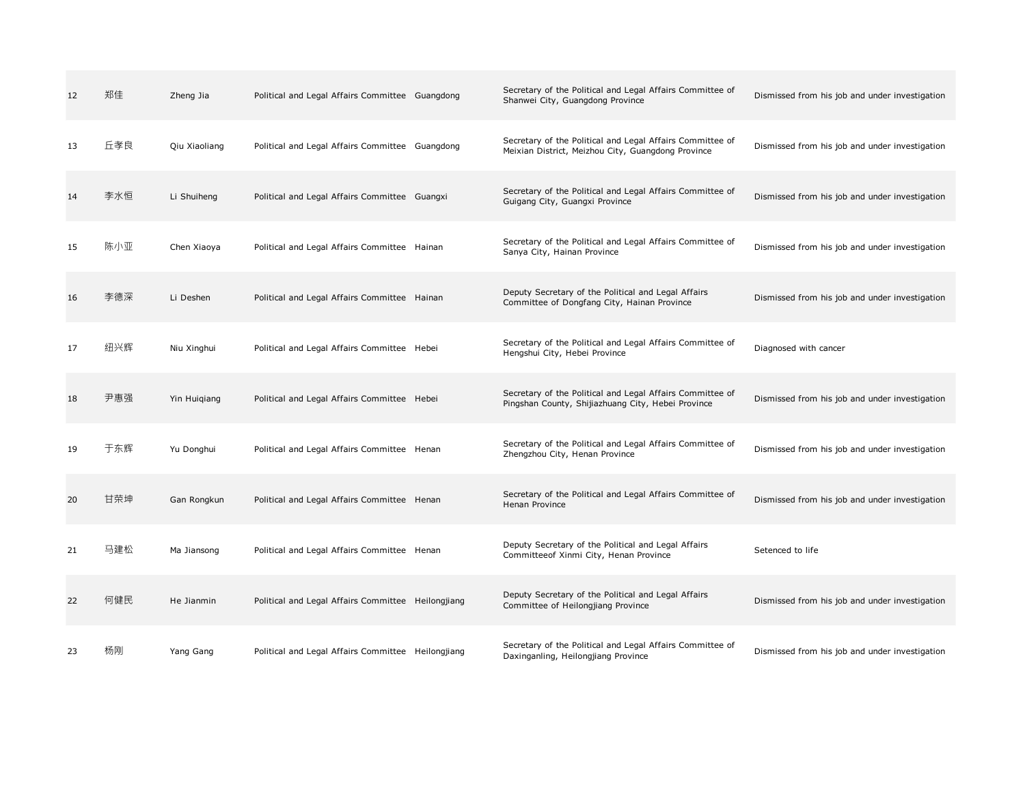| 12 | 郑佳  | Zheng Jia     | Political and Legal Affairs Committee Guangdong    | Secretary of the Political and Legal Affairs Committee of<br>Shanwei City, Guangdong Province                   | Dismissed from his job and under investigation |
|----|-----|---------------|----------------------------------------------------|-----------------------------------------------------------------------------------------------------------------|------------------------------------------------|
| 13 | 丘孝良 | Qiu Xiaoliang | Political and Legal Affairs Committee Guangdong    | Secretary of the Political and Legal Affairs Committee of<br>Meixian District, Meizhou City, Guangdong Province | Dismissed from his job and under investigation |
| 14 | 李水恒 | Li Shuiheng   | Political and Legal Affairs Committee Guangxi      | Secretary of the Political and Legal Affairs Committee of<br>Guigang City, Guangxi Province                     | Dismissed from his job and under investigation |
| 15 | 陈小亚 | Chen Xiaoya   | Political and Legal Affairs Committee Hainan       | Secretary of the Political and Legal Affairs Committee of<br>Sanya City, Hainan Province                        | Dismissed from his job and under investigation |
| 16 | 李德深 | Li Deshen     | Political and Legal Affairs Committee Hainan       | Deputy Secretary of the Political and Legal Affairs<br>Committee of Dongfang City, Hainan Province              | Dismissed from his job and under investigation |
| 17 | 纽兴辉 | Niu Xinghui   | Political and Legal Affairs Committee Hebei        | Secretary of the Political and Legal Affairs Committee of<br>Hengshui City, Hebei Province                      | Diagnosed with cancer                          |
| 18 | 尹惠强 | Yin Huigiang  | Political and Legal Affairs Committee Hebei        | Secretary of the Political and Legal Affairs Committee of<br>Pingshan County, Shijiazhuang City, Hebei Province | Dismissed from his job and under investigation |
| 19 | 于东辉 | Yu Donghui    | Political and Legal Affairs Committee Henan        | Secretary of the Political and Legal Affairs Committee of<br>Zhengzhou City, Henan Province                     | Dismissed from his job and under investigation |
| 20 | 甘荣坤 | Gan Rongkun   | Political and Legal Affairs Committee Henan        | Secretary of the Political and Legal Affairs Committee of<br>Henan Province                                     | Dismissed from his job and under investigation |
| 21 | 马建松 | Ma Jiansong   | Political and Legal Affairs Committee Henan        | Deputy Secretary of the Political and Legal Affairs<br>Committeeof Xinmi City, Henan Province                   | Setenced to life                               |
| 22 | 何健民 | He Jianmin    | Political and Legal Affairs Committee Heilongjiang | Deputy Secretary of the Political and Legal Affairs<br>Committee of Heilongjiang Province                       | Dismissed from his job and under investigation |
| 23 | 杨刚  | Yang Gang     | Political and Legal Affairs Committee Heilongjiang | Secretary of the Political and Legal Affairs Committee of<br>Daxinganling, Heilongjiang Province                | Dismissed from his job and under investigation |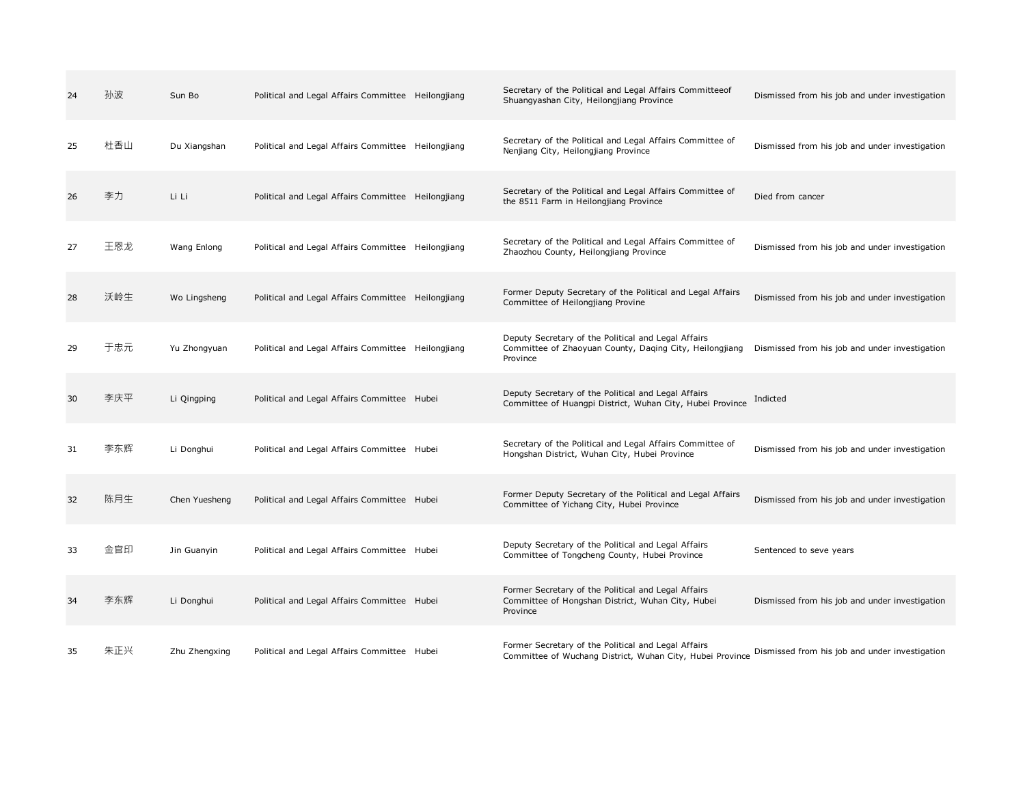| 24 | 孙波  | Sun Bo        | Political and Legal Affairs Committee Heilongjiang | Secretary of the Political and Legal Affairs Committeeof<br>Shuangyashan City, Heilongjiang Province                       | Dismissed from his job and under investigation |
|----|-----|---------------|----------------------------------------------------|----------------------------------------------------------------------------------------------------------------------------|------------------------------------------------|
| 25 | 杜香山 | Du Xiangshan  | Political and Legal Affairs Committee Heilongjiang | Secretary of the Political and Legal Affairs Committee of<br>Nenjiang City, Heilongjiang Province                          | Dismissed from his job and under investigation |
| 26 | 李力  | Li Li         | Political and Legal Affairs Committee Heilongjiang | Secretary of the Political and Legal Affairs Committee of<br>the 8511 Farm in Heilongjiang Province                        | Died from cancer                               |
| 27 | 王恩龙 | Wang Enlong   | Political and Legal Affairs Committee Heilongjiang | Secretary of the Political and Legal Affairs Committee of<br>Zhaozhou County, Heilongjiang Province                        | Dismissed from his job and under investigation |
| 28 | 沃岭生 | Wo Lingsheng  | Political and Legal Affairs Committee Heilongjiang | Former Deputy Secretary of the Political and Legal Affairs<br>Committee of Heilongjiang Provine                            | Dismissed from his job and under investigation |
| 29 | 干忠元 | Yu Zhongyuan  | Political and Legal Affairs Committee Heilongjiang | Deputy Secretary of the Political and Legal Affairs<br>Committee of Zhaoyuan County, Daging City, Heilongjiang<br>Province | Dismissed from his job and under investigation |
| 30 | 李庆平 | Li Qingping   | Political and Legal Affairs Committee Hubei        | Deputy Secretary of the Political and Legal Affairs<br>Committee of Huangpi District, Wuhan City, Hubei Province           | Indicted                                       |
| 31 | 李东辉 | Li Donghui    | Political and Legal Affairs Committee Hubei        | Secretary of the Political and Legal Affairs Committee of<br>Hongshan District, Wuhan City, Hubei Province                 | Dismissed from his job and under investigation |
| 32 | 陈月生 | Chen Yuesheng | Political and Legal Affairs Committee Hubei        | Former Deputy Secretary of the Political and Legal Affairs<br>Committee of Yichang City, Hubei Province                    | Dismissed from his job and under investigation |
| 33 | 金官印 | Jin Guanyin   | Political and Legal Affairs Committee Hubei        | Deputy Secretary of the Political and Legal Affairs<br>Committee of Tongcheng County, Hubei Province                       | Sentenced to seve years                        |
| 34 | 李东辉 | Li Donghui    | Political and Legal Affairs Committee Hubei        | Former Secretary of the Political and Legal Affairs<br>Committee of Hongshan District, Wuhan City, Hubei<br>Province       | Dismissed from his job and under investigation |
| 35 | 朱正兴 | Zhu Zhengxing | Political and Legal Affairs Committee Hubei        | Former Secretary of the Political and Legal Affairs<br>Committee of Wuchang District, Wuhan City, Hubei Province           | Dismissed from his job and under investigation |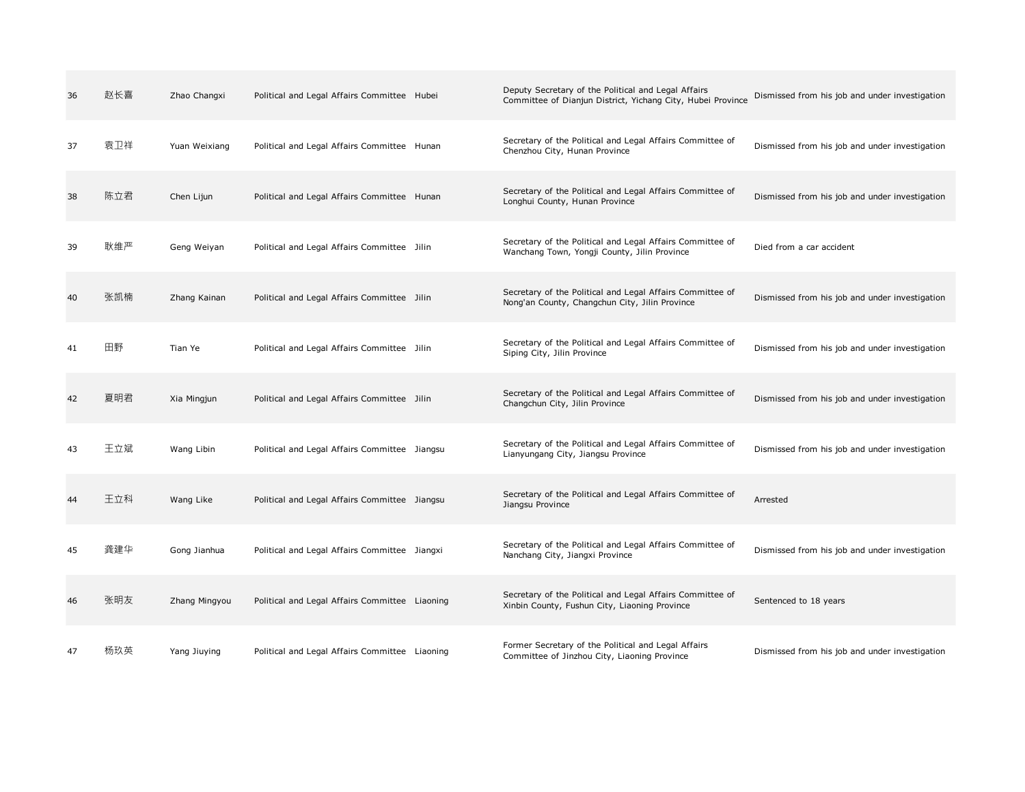| 36 | 赵长喜 | Zhao Changxi  | Political and Legal Affairs Committee Hubei    | Deputy Secretary of the Political and Legal Affairs<br>Committee of Dianjun District, Yichang City, Hubei Province | Dismissed from his job and under investigation |
|----|-----|---------------|------------------------------------------------|--------------------------------------------------------------------------------------------------------------------|------------------------------------------------|
| 37 | 袁卫祥 | Yuan Weixiang | Political and Legal Affairs Committee Hunan    | Secretary of the Political and Legal Affairs Committee of<br>Chenzhou City, Hunan Province                         | Dismissed from his job and under investigation |
| 38 | 陈立君 | Chen Lijun    | Political and Legal Affairs Committee Hunan    | Secretary of the Political and Legal Affairs Committee of<br>Longhui County, Hunan Province                        | Dismissed from his job and under investigation |
| 39 | 耿维严 | Geng Weiyan   | Political and Legal Affairs Committee Jilin    | Secretary of the Political and Legal Affairs Committee of<br>Wanchang Town, Yongji County, Jilin Province          | Died from a car accident                       |
| 40 | 张凯楠 | Zhang Kainan  | Political and Legal Affairs Committee Jilin    | Secretary of the Political and Legal Affairs Committee of<br>Nong'an County, Changchun City, Jilin Province        | Dismissed from his job and under investigation |
| 41 | 田野  | Tian Ye       | Political and Legal Affairs Committee Jilin    | Secretary of the Political and Legal Affairs Committee of<br>Siping City, Jilin Province                           | Dismissed from his job and under investigation |
| 42 | 夏明君 | Xia Mingjun   | Political and Legal Affairs Committee Jilin    | Secretary of the Political and Legal Affairs Committee of<br>Changchun City, Jilin Province                        | Dismissed from his job and under investigation |
| 43 | 王立斌 | Wang Libin    | Political and Legal Affairs Committee Jiangsu  | Secretary of the Political and Legal Affairs Committee of<br>Lianyungang City, Jiangsu Province                    | Dismissed from his job and under investigation |
| 44 | 王立科 | Wang Like     | Political and Legal Affairs Committee Jiangsu  | Secretary of the Political and Legal Affairs Committee of<br>Jiangsu Province                                      | Arrested                                       |
| 45 | 龚建华 | Gong Jianhua  | Political and Legal Affairs Committee Jiangxi  | Secretary of the Political and Legal Affairs Committee of<br>Nanchang City, Jiangxi Province                       | Dismissed from his job and under investigation |
| 46 | 张明友 | Zhang Mingyou | Political and Legal Affairs Committee Liaoning | Secretary of the Political and Legal Affairs Committee of<br>Xinbin County, Fushun City, Liaoning Province         | Sentenced to 18 years                          |
| 47 | 杨玖英 | Yang Jiuying  | Political and Legal Affairs Committee Liaoning | Former Secretary of the Political and Legal Affairs<br>Committee of Jinzhou City, Liaoning Province                | Dismissed from his job and under investigation |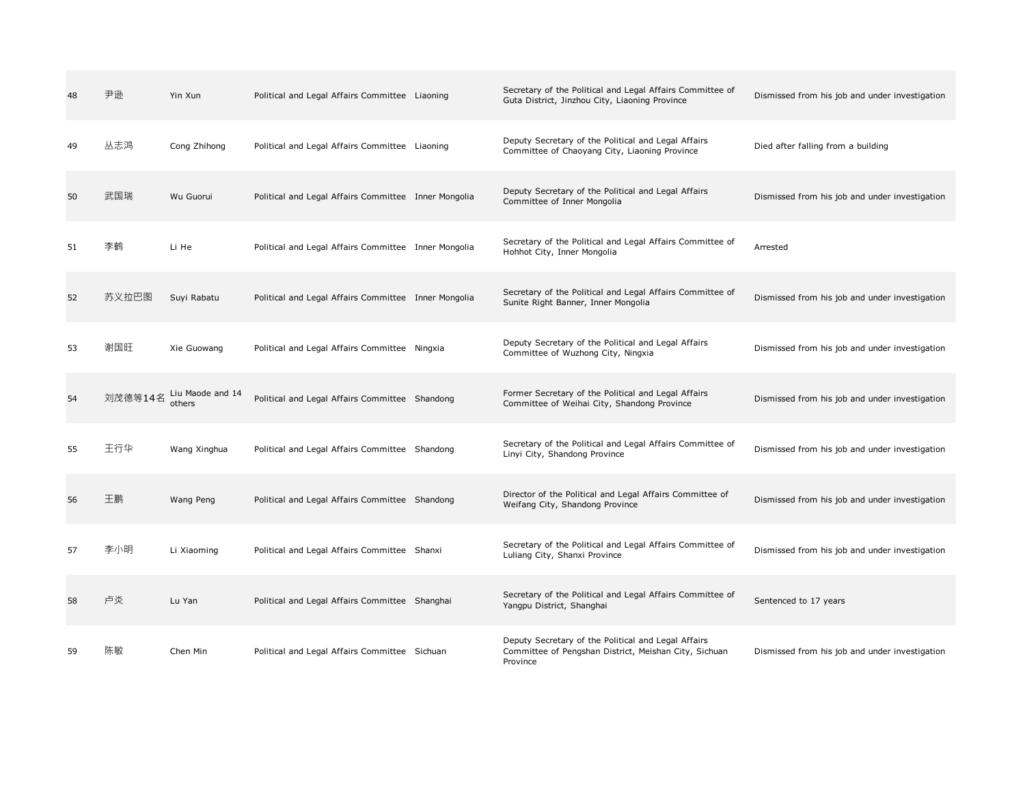| 48 | 尹逊      | Yin Xun                    | Political and Legal Affairs Committee Liaoning       | Secretary of the Political and Legal Affairs Committee of<br>Guta District, Jinzhou City, Liaoning Province              | Dismissed from his job and under investigation |
|----|---------|----------------------------|------------------------------------------------------|--------------------------------------------------------------------------------------------------------------------------|------------------------------------------------|
| 49 | 丛志鸿     | Cong Zhihong               | Political and Legal Affairs Committee Liaoning       | Deputy Secretary of the Political and Legal Affairs<br>Committee of Chaoyang City, Liaoning Province                     | Died after falling from a building             |
| 50 | 武国瑞     | Wu Guorui                  | Political and Legal Affairs Committee Inner Mongolia | Deputy Secretary of the Political and Legal Affairs<br>Committee of Inner Mongolia                                       | Dismissed from his job and under investigation |
| 51 | 李鹤      | Li He                      | Political and Legal Affairs Committee Inner Mongolia | Secretary of the Political and Legal Affairs Committee of<br>Hohhot City, Inner Mongolia                                 | Arrested                                       |
| 52 | 苏义拉巴图   | Suyi Rabatu                | Political and Legal Affairs Committee Inner Mongolia | Secretary of the Political and Legal Affairs Committee of<br>Sunite Right Banner, Inner Mongolia                         | Dismissed from his job and under investigation |
| 53 | 谢国旺     | Xie Guowang                | Political and Legal Affairs Committee Ningxia        | Deputy Secretary of the Political and Legal Affairs<br>Committee of Wuzhong City, Ningxia                                | Dismissed from his job and under investigation |
| 54 | 刘茂德等14名 | Liu Maode and 14<br>others | Political and Legal Affairs Committee Shandong       | Former Secretary of the Political and Legal Affairs<br>Committee of Weihai City, Shandong Province                       | Dismissed from his job and under investigation |
| 55 | 王行华     | Wang Xinghua               | Political and Legal Affairs Committee Shandong       | Secretary of the Political and Legal Affairs Committee of<br>Linyi City, Shandong Province                               | Dismissed from his job and under investigation |
| 56 | 王鹏      | Wang Peng                  | Political and Legal Affairs Committee Shandong       | Director of the Political and Legal Affairs Committee of<br>Weifang City, Shandong Province                              | Dismissed from his job and under investigation |
| 57 | 李小明     | Li Xiaoming                | Political and Legal Affairs Committee Shanxi         | Secretary of the Political and Legal Affairs Committee of<br>Luliang City, Shanxi Province                               | Dismissed from his job and under investigation |
| 58 | 卢炎      | Lu Yan                     | Political and Legal Affairs Committee Shanghai       | Secretary of the Political and Legal Affairs Committee of<br>Yangpu District, Shanghai                                   | Sentenced to 17 years                          |
| 59 | 陈敏      | Chen Min                   | Political and Legal Affairs Committee Sichuan        | Deputy Secretary of the Political and Legal Affairs<br>Committee of Pengshan District, Meishan City, Sichuan<br>Province | Dismissed from his job and under investigation |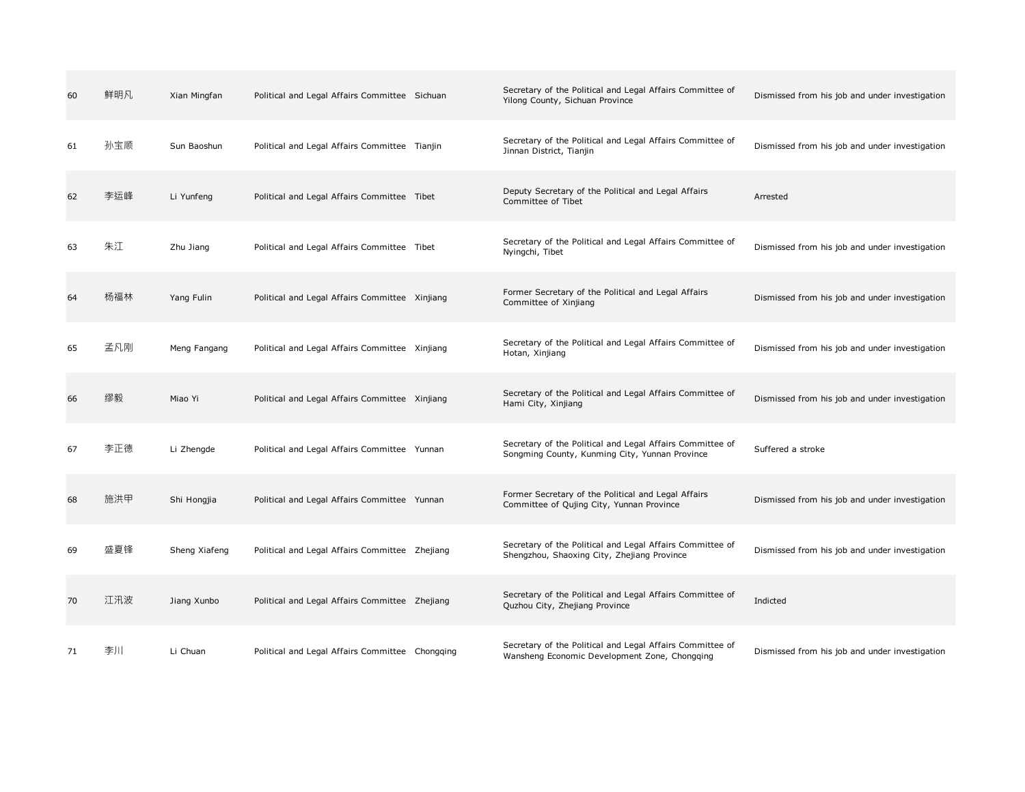| 60 | 鲜明凡 | Xian Mingfan  | Political and Legal Affairs Committee Sichuan   | Secretary of the Political and Legal Affairs Committee of<br>Yilong County, Sichuan Province                | Dismissed from his job and under investigation |
|----|-----|---------------|-------------------------------------------------|-------------------------------------------------------------------------------------------------------------|------------------------------------------------|
| 61 | 孙宝顺 | Sun Baoshun   | Political and Legal Affairs Committee Tianjin   | Secretary of the Political and Legal Affairs Committee of<br>Jinnan District, Tianjin                       | Dismissed from his job and under investigation |
| 62 | 李运峰 | Li Yunfeng    | Political and Legal Affairs Committee Tibet     | Deputy Secretary of the Political and Legal Affairs<br>Committee of Tibet                                   | Arrested                                       |
| 63 | 朱江  | Zhu Jiang     | Political and Legal Affairs Committee Tibet     | Secretary of the Political and Legal Affairs Committee of<br>Nyingchi, Tibet                                | Dismissed from his job and under investigation |
| 64 | 杨福林 | Yang Fulin    | Political and Legal Affairs Committee Xinjiang  | Former Secretary of the Political and Legal Affairs<br>Committee of Xinjiang                                | Dismissed from his job and under investigation |
| 65 | 孟凡刚 | Meng Fangang  | Political and Legal Affairs Committee Xinjiang  | Secretary of the Political and Legal Affairs Committee of<br>Hotan, Xinjiang                                | Dismissed from his job and under investigation |
| 66 | 缪毅  | Miao Yi       | Political and Legal Affairs Committee Xinjiang  | Secretary of the Political and Legal Affairs Committee of<br>Hami City, Xinjiang                            | Dismissed from his job and under investigation |
| 67 | 李正德 | Li Zhengde    | Political and Legal Affairs Committee Yunnan    | Secretary of the Political and Legal Affairs Committee of<br>Songming County, Kunming City, Yunnan Province | Suffered a stroke                              |
| 68 | 施洪甲 | Shi Hongjia   | Political and Legal Affairs Committee Yunnan    | Former Secretary of the Political and Legal Affairs<br>Committee of Qujing City, Yunnan Province            | Dismissed from his job and under investigation |
| 69 | 盛夏锋 | Sheng Xiafeng | Political and Legal Affairs Committee Zhejiang  | Secretary of the Political and Legal Affairs Committee of<br>Shengzhou, Shaoxing City, Zhejiang Province    | Dismissed from his job and under investigation |
| 70 | 江汛波 | Jiang Xunbo   | Political and Legal Affairs Committee Zhejiang  | Secretary of the Political and Legal Affairs Committee of<br>Quzhou City, Zhejiang Province                 | Indicted                                       |
| 71 | 李川  | Li Chuan      | Political and Legal Affairs Committee Chongqing | Secretary of the Political and Legal Affairs Committee of<br>Wansheng Economic Development Zone, Chongqing  | Dismissed from his job and under investigation |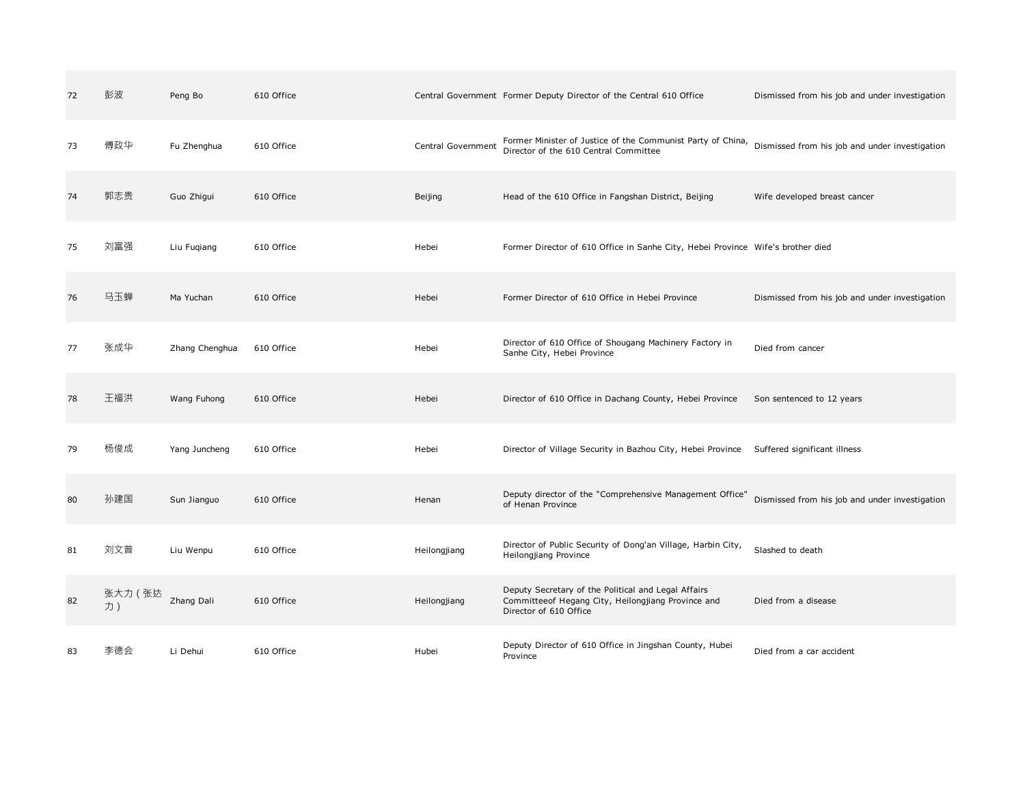| 72 | 彭波            | Peng Bo        | 610 Office |                    | Central Government Former Deputy Director of the Central 610 Office                                                                 | Dismissed from his job and under investigation |
|----|---------------|----------------|------------|--------------------|-------------------------------------------------------------------------------------------------------------------------------------|------------------------------------------------|
| 73 | 傅政华           | Fu Zhenghua    | 610 Office | Central Government | Former Minister of Justice of the Communist Party of China,<br>Director of the 610 Central Committee                                | Dismissed from his job and under investigation |
| 74 | 郭志贵           | Guo Zhigui     | 610 Office | Beijing            | Head of the 610 Office in Fangshan District, Beijing                                                                                | Wife developed breast cancer                   |
| 75 | 刘富强           | Liu Fugiang    | 610 Office | Hebei              | Former Director of 610 Office in Sanhe City, Hebei Province Wife's brother died                                                     |                                                |
| 76 | 马玉蝉           | Ma Yuchan      | 610 Office | Hebei              | Former Director of 610 Office in Hebei Province                                                                                     | Dismissed from his job and under investigation |
| 77 | 张成华           | Zhang Chenghua | 610 Office | Hebei              | Director of 610 Office of Shougang Machinery Factory in<br>Sanhe City, Hebei Province                                               | Died from cancer                               |
| 78 | 王福洪           | Wang Fuhong    | 610 Office | Hebei              | Director of 610 Office in Dachang County, Hebei Province                                                                            | Son sentenced to 12 years                      |
| 79 | 杨俊成           | Yang Juncheng  | 610 Office | Hebei              | Director of Village Security in Bazhou City, Hebei Province                                                                         | Suffered significant illness                   |
| 80 | 孙建国           | Sun Jianguo    | 610 Office | Henan              | Deputy director of the "Comprehensive Management Office'<br>of Henan Province                                                       | Dismissed from his job and under investigation |
| 81 | 刘文普           | Liu Wenpu      | 610 Office | Heilongjiang       | Director of Public Security of Dong'an Village, Harbin City,<br>Heilongjiang Province                                               | Slashed to death                               |
| 82 | 张大力 (张达<br>力) | Zhang Dali     | 610 Office | Heilongjiang       | Deputy Secretary of the Political and Legal Affairs<br>Committeeof Hegang City, Heilongjiang Province and<br>Director of 610 Office | Died from a disease                            |
| 83 | 李德会           | Li Dehui       | 610 Office | Hubei              | Deputy Director of 610 Office in Jingshan County, Hubei<br>Province                                                                 | Died from a car accident                       |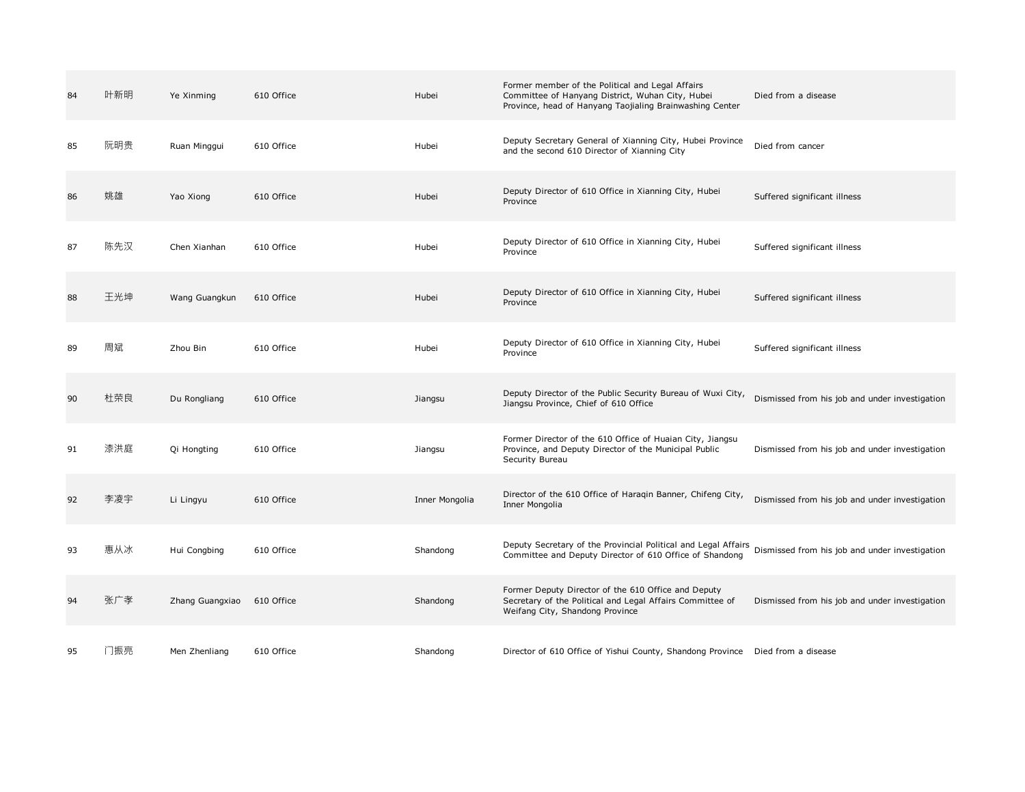| 84 | 叶新明 | Ye Xinming      | 610 Office | Hubei          | Former member of the Political and Legal Affairs<br>Committee of Hanyang District, Wuhan City, Hubei<br>Province, head of Hanyang Taojialing Brainwashing Center | Died from a disease                            |
|----|-----|-----------------|------------|----------------|------------------------------------------------------------------------------------------------------------------------------------------------------------------|------------------------------------------------|
| 85 | 阮明贵 | Ruan Minggui    | 610 Office | Hubei          | Deputy Secretary General of Xianning City, Hubei Province<br>and the second 610 Director of Xianning City                                                        | Died from cancer                               |
| 86 | 姚雄  | Yao Xiong       | 610 Office | Hubei          | Deputy Director of 610 Office in Xianning City, Hubei<br>Province                                                                                                | Suffered significant illness                   |
| 87 | 陈先汉 | Chen Xianhan    | 610 Office | Hubei          | Deputy Director of 610 Office in Xianning City, Hubei<br>Province                                                                                                | Suffered significant illness                   |
| 88 | 王光坤 | Wang Guangkun   | 610 Office | Hubei          | Deputy Director of 610 Office in Xianning City, Hubei<br>Province                                                                                                | Suffered significant illness                   |
| 89 | 周斌  | Zhou Bin        | 610 Office | Hubei          | Deputy Director of 610 Office in Xianning City, Hubei<br>Province                                                                                                | Suffered significant illness                   |
| 90 | 杜荣良 | Du Rongliang    | 610 Office | Jiangsu        | Deputy Director of the Public Security Bureau of Wuxi City,<br>Jiangsu Province, Chief of 610 Office                                                             | Dismissed from his job and under investigation |
| 91 | 漆洪庭 | Qi Hongting     | 610 Office | Jiangsu        | Former Director of the 610 Office of Huaian City, Jiangsu<br>Province, and Deputy Director of the Municipal Public<br>Security Bureau                            | Dismissed from his job and under investigation |
| 92 | 李凌宇 | Li Lingyu       | 610 Office | Inner Mongolia | Director of the 610 Office of Haraqin Banner, Chifeng City,<br>Inner Mongolia                                                                                    | Dismissed from his job and under investigation |
| 93 | 惠从冰 | Hui Congbing    | 610 Office | Shandong       | Deputy Secretary of the Provincial Political and Legal Affairs<br>Committee and Deputy Director of 610 Office of Shandong                                        | Dismissed from his job and under investigation |
| 94 | 张广孝 | Zhang Guangxiao | 610 Office | Shandong       | Former Deputy Director of the 610 Office and Deputy<br>Secretary of the Political and Legal Affairs Committee of<br>Weifang City, Shandong Province              | Dismissed from his job and under investigation |
| 95 | 门振亮 | Men Zhenliang   | 610 Office | Shandong       | Director of 610 Office of Yishui County, Shandong Province  Died from a disease                                                                                  |                                                |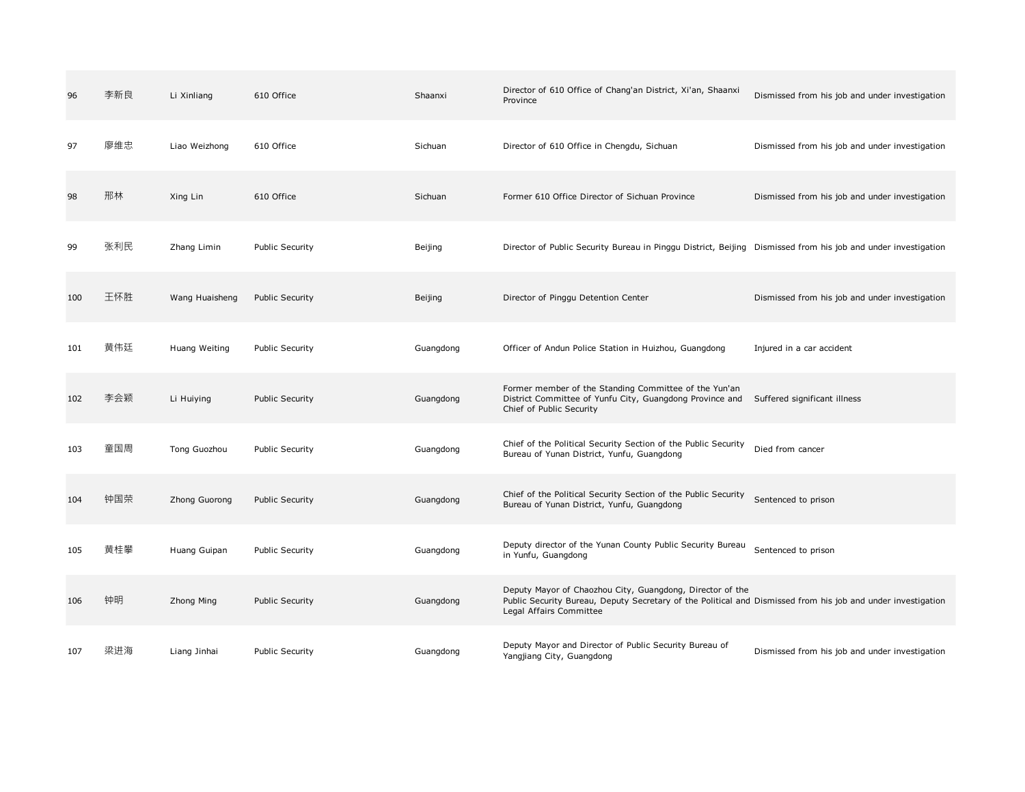| 96  | 李新良 | Li Xinliang    | 610 Office             | Shaanxi   | Director of 610 Office of Chang'an District, Xi'an, Shaanxi<br>Province                                                                                                                              | Dismissed from his job and under investigation |
|-----|-----|----------------|------------------------|-----------|------------------------------------------------------------------------------------------------------------------------------------------------------------------------------------------------------|------------------------------------------------|
| 97  | 廖维忠 | Liao Weizhong  | 610 Office             | Sichuan   | Director of 610 Office in Chengdu, Sichuan                                                                                                                                                           | Dismissed from his job and under investigation |
| 98  | 邢林  | Xing Lin       | 610 Office             | Sichuan   | Former 610 Office Director of Sichuan Province                                                                                                                                                       | Dismissed from his job and under investigation |
| 99  | 张利民 | Zhang Limin    | <b>Public Security</b> | Beijing   | Director of Public Security Bureau in Pinggu District, Beijing Dismissed from his job and under investigation                                                                                        |                                                |
| 100 | 王怀胜 | Wang Huaisheng | <b>Public Security</b> | Beijing   | Director of Pinggu Detention Center                                                                                                                                                                  | Dismissed from his job and under investigation |
| 101 | 黄伟廷 | Huang Weiting  | <b>Public Security</b> | Guangdong | Officer of Andun Police Station in Huizhou, Guangdong                                                                                                                                                | Injured in a car accident                      |
| 102 | 李会颖 | Li Huiying     | <b>Public Security</b> | Guangdong | Former member of the Standing Committee of the Yun'an<br>District Committee of Yunfu City, Guangdong Province and Suffered significant illness<br>Chief of Public Security                           |                                                |
| 103 | 童国周 | Tong Guozhou   | <b>Public Security</b> | Guangdong | Chief of the Political Security Section of the Public Security<br>Bureau of Yunan District, Yunfu, Guangdong                                                                                         | Died from cancer                               |
| 104 | 钟国荣 | Zhong Guorong  | <b>Public Security</b> | Guangdong | Chief of the Political Security Section of the Public Security<br>Bureau of Yunan District, Yunfu, Guangdong                                                                                         | Sentenced to prison                            |
| 105 | 黄桂攀 | Huang Guipan   | <b>Public Security</b> | Guangdong | Deputy director of the Yunan County Public Security Bureau<br>in Yunfu, Guangdong                                                                                                                    | Sentenced to prison                            |
| 106 | 钟明  | Zhong Ming     | <b>Public Security</b> | Guangdong | Deputy Mayor of Chaozhou City, Guangdong, Director of the<br>Public Security Bureau, Deputy Secretary of the Political and Dismissed from his job and under investigation<br>Legal Affairs Committee |                                                |
| 107 | 梁进海 | Liang Jinhai   | <b>Public Security</b> | Guangdong | Deputy Mayor and Director of Public Security Bureau of<br>Yangjiang City, Guangdong                                                                                                                  | Dismissed from his job and under investigation |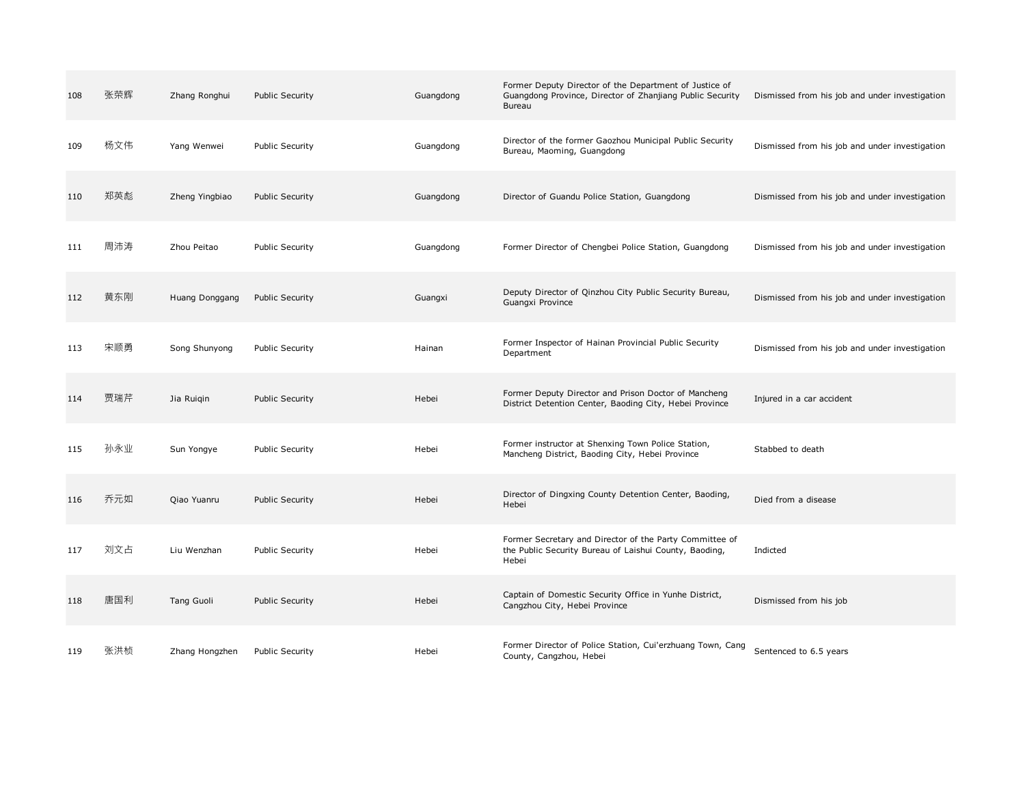| 108 | 张荣辉 | Zhang Ronghui     | Public Security        | Guangdong | Former Deputy Director of the Department of Justice of<br>Guangdong Province, Director of Zhanjiang Public Security<br>Bureau | Dismissed from his job and under investigation |
|-----|-----|-------------------|------------------------|-----------|-------------------------------------------------------------------------------------------------------------------------------|------------------------------------------------|
| 109 | 杨文伟 | Yang Wenwei       | <b>Public Security</b> | Guangdong | Director of the former Gaozhou Municipal Public Security<br>Bureau, Maoming, Guangdong                                        | Dismissed from his job and under investigation |
| 110 | 郑英彪 | Zheng Yingbiao    | <b>Public Security</b> | Guangdong | Director of Guandu Police Station, Guangdong                                                                                  | Dismissed from his job and under investigation |
| 111 | 周沛涛 | Zhou Peitao       | Public Security        | Guangdong | Former Director of Chengbei Police Station, Guangdong                                                                         | Dismissed from his job and under investigation |
| 112 | 黄东刚 | Huang Donggang    | <b>Public Security</b> | Guangxi   | Deputy Director of Qinzhou City Public Security Bureau,<br>Guangxi Province                                                   | Dismissed from his job and under investigation |
| 113 | 宋顺勇 | Song Shunyong     | <b>Public Security</b> | Hainan    | Former Inspector of Hainan Provincial Public Security<br>Department                                                           | Dismissed from his job and under investigation |
| 114 | 贾瑞芹 | Jia Ruigin        | <b>Public Security</b> | Hebei     | Former Deputy Director and Prison Doctor of Mancheng<br>District Detention Center, Baoding City, Hebei Province               | Injured in a car accident                      |
| 115 | 孙永业 | Sun Yongye        | <b>Public Security</b> | Hebei     | Former instructor at Shenxing Town Police Station,<br>Mancheng District, Baoding City, Hebei Province                         | Stabbed to death                               |
| 116 | 乔元如 | Qiao Yuanru       | <b>Public Security</b> | Hebei     | Director of Dingxing County Detention Center, Baoding,<br>Hebei                                                               | Died from a disease                            |
| 117 | 刘文占 | Liu Wenzhan       | <b>Public Security</b> | Hebei     | Former Secretary and Director of the Party Committee of<br>the Public Security Bureau of Laishui County, Baoding,<br>Hebei    | Indicted                                       |
| 118 | 唐国利 | <b>Tang Guoli</b> | <b>Public Security</b> | Hebei     | Captain of Domestic Security Office in Yunhe District,<br>Cangzhou City, Hebei Province                                       | Dismissed from his job                         |
| 119 | 张洪桢 | Zhang Hongzhen    | <b>Public Security</b> | Hebei     | Former Director of Police Station, Cui'erzhuang Town, Cang<br>County, Cangzhou, Hebei                                         | Sentenced to 6.5 years                         |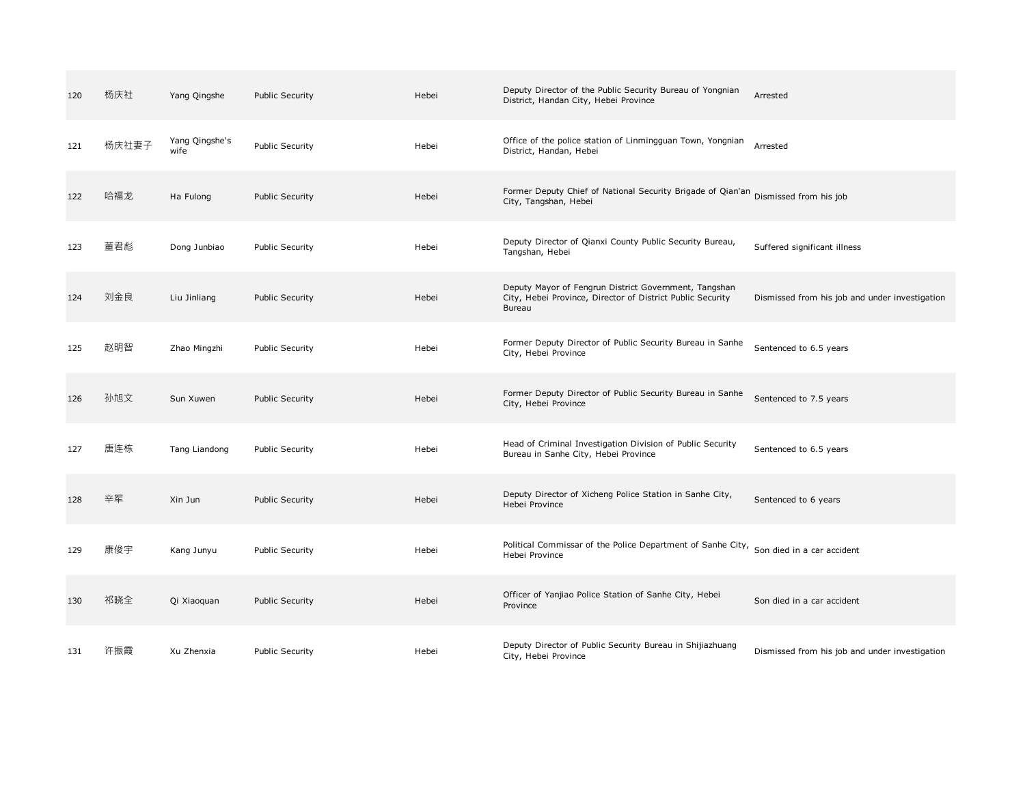| 120 | 杨庆社   | Yang Qingshe           | <b>Public Security</b> | Hebei | Deputy Director of the Public Security Bureau of Yongnian<br>District, Handan City, Hebei Province                                   | Arrested                                       |
|-----|-------|------------------------|------------------------|-------|--------------------------------------------------------------------------------------------------------------------------------------|------------------------------------------------|
| 121 | 杨庆社妻子 | Yang Qingshe's<br>wife | <b>Public Security</b> | Hebei | Office of the police station of Linmingguan Town, Yongnian<br>District, Handan, Hebei                                                | Arrested                                       |
| 122 | 哈福龙   | Ha Fulong              | <b>Public Security</b> | Hebei | Former Deputy Chief of National Security Brigade of Qian'an Dismissed from his job<br>City, Tangshan, Hebei                          |                                                |
| 123 | 董君彪   | Dong Junbiao           | <b>Public Security</b> | Hebei | Deputy Director of Qianxi County Public Security Bureau,<br>Tangshan, Hebei                                                          | Suffered significant illness                   |
| 124 | 刘金良   | Liu Jinliang           | Public Security        | Hebei | Deputy Mayor of Fengrun District Government, Tangshan<br>City, Hebei Province, Director of District Public Security<br><b>Bureau</b> | Dismissed from his job and under investigation |
| 125 | 赵明智   | Zhao Mingzhi           | <b>Public Security</b> | Hebei | Former Deputy Director of Public Security Bureau in Sanhe<br>City, Hebei Province                                                    | Sentenced to 6.5 years                         |
| 126 | 孙旭文   | Sun Xuwen              | Public Security        | Hebei | Former Deputy Director of Public Security Bureau in Sanhe<br>City, Hebei Province                                                    | Sentenced to 7.5 years                         |
| 127 | 唐连栋   | Tang Liandong          | <b>Public Security</b> | Hebei | Head of Criminal Investigation Division of Public Security<br>Bureau in Sanhe City, Hebei Province                                   | Sentenced to 6.5 years                         |
| 128 | 辛军    | Xin Jun                | <b>Public Security</b> | Hebei | Deputy Director of Xicheng Police Station in Sanhe City,<br>Hebei Province                                                           | Sentenced to 6 years                           |
| 129 | 康俊宇   | Kang Junyu             | <b>Public Security</b> | Hebei | Political Commissar of the Police Department of Sanhe City, Son died in a car accident<br>Hebei Province                             |                                                |
| 130 | 祁晓全   | Qi Xiaoquan            | Public Security        | Hebei | Officer of Yanjiao Police Station of Sanhe City, Hebei<br>Province                                                                   | Son died in a car accident                     |
| 131 | 许振霞   | Xu Zhenxia             | <b>Public Security</b> | Hebei | Deputy Director of Public Security Bureau in Shijiazhuang<br>City, Hebei Province                                                    | Dismissed from his job and under investigation |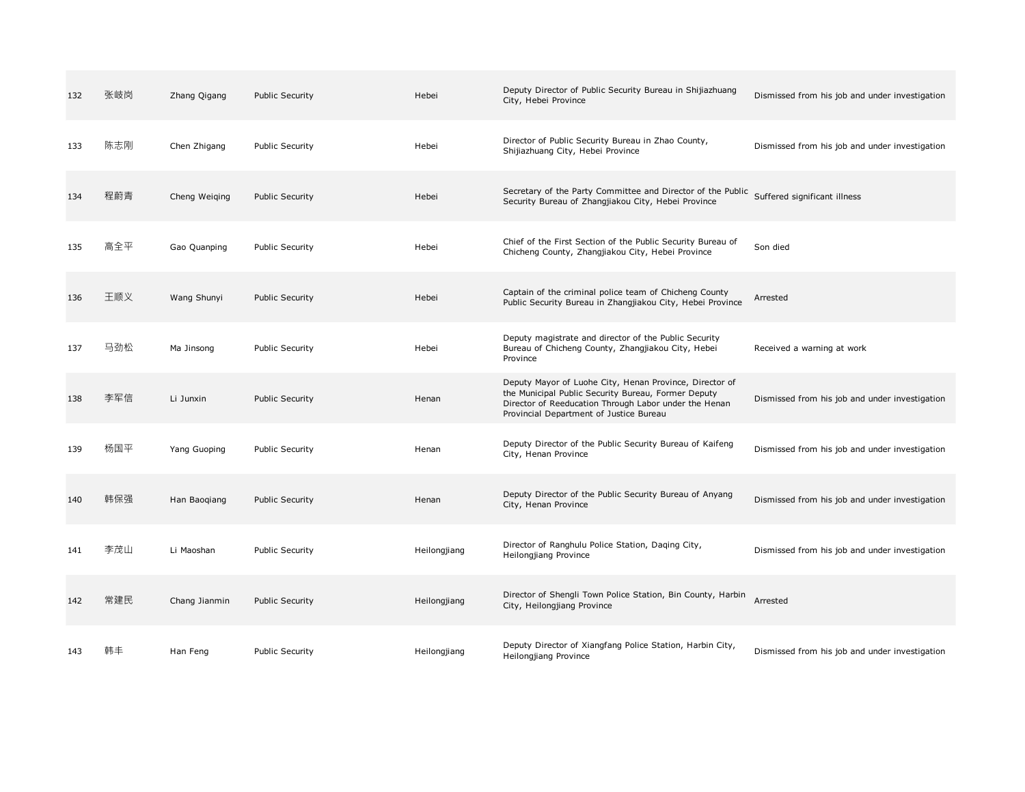| 132 | 张岐岗 | Zhang Qigang  | <b>Public Security</b> | Hebei        | Deputy Director of Public Security Bureau in Shijiazhuang<br>City, Hebei Province                                                                                                                                  | Dismissed from his job and under investigation |
|-----|-----|---------------|------------------------|--------------|--------------------------------------------------------------------------------------------------------------------------------------------------------------------------------------------------------------------|------------------------------------------------|
| 133 | 陈志刚 | Chen Zhigang  | <b>Public Security</b> | Hebei        | Director of Public Security Bureau in Zhao County,<br>Shijiazhuang City, Hebei Province                                                                                                                            | Dismissed from his job and under investigation |
| 134 | 程蔚青 | Cheng Weiging | <b>Public Security</b> | Hebei        | Secretary of the Party Committee and Director of the Public<br>Security Bureau of Zhangjiakou City, Hebei Province                                                                                                 | Suffered significant illness                   |
| 135 | 高全平 | Gao Quanping  | <b>Public Security</b> | Hebei        | Chief of the First Section of the Public Security Bureau of<br>Chicheng County, Zhangjiakou City, Hebei Province                                                                                                   | Son died                                       |
| 136 | 王顺义 | Wang Shunyi   | <b>Public Security</b> | Hebei        | Captain of the criminal police team of Chicheng County<br>Public Security Bureau in Zhangjiakou City, Hebei Province                                                                                               | Arrested                                       |
| 137 | 马劲松 | Ma Jinsong    | <b>Public Security</b> | Hebei        | Deputy magistrate and director of the Public Security<br>Bureau of Chicheng County, Zhangjiakou City, Hebei<br>Province                                                                                            | Received a warning at work                     |
| 138 | 李军信 | Li Junxin     | Public Security        | Henan        | Deputy Mayor of Luohe City, Henan Province, Director of<br>the Municipal Public Security Bureau, Former Deputy<br>Director of Reeducation Through Labor under the Henan<br>Provincial Department of Justice Bureau | Dismissed from his job and under investigation |
| 139 | 杨国平 | Yang Guoping  | <b>Public Security</b> | Henan        | Deputy Director of the Public Security Bureau of Kaifeng<br>City, Henan Province                                                                                                                                   | Dismissed from his job and under investigation |
| 140 | 韩保强 | Han Baoqiang  | <b>Public Security</b> | Henan        | Deputy Director of the Public Security Bureau of Anyang<br>City, Henan Province                                                                                                                                    | Dismissed from his job and under investigation |
| 141 | 李茂山 | Li Maoshan    | <b>Public Security</b> | Heilongjiang | Director of Ranghulu Police Station, Daging City,<br>Heilongjiang Province                                                                                                                                         | Dismissed from his job and under investigation |
| 142 | 常建民 | Chang Jianmin | <b>Public Security</b> | Heilongjiang | Director of Shengli Town Police Station, Bin County, Harbin<br>City, Heilongjiang Province                                                                                                                         | Arrested                                       |
| 143 | 韩丰  | Han Feng      | <b>Public Security</b> | Heilongjiang | Deputy Director of Xiangfang Police Station, Harbin City,<br>Heilongjiang Province                                                                                                                                 | Dismissed from his job and under investigation |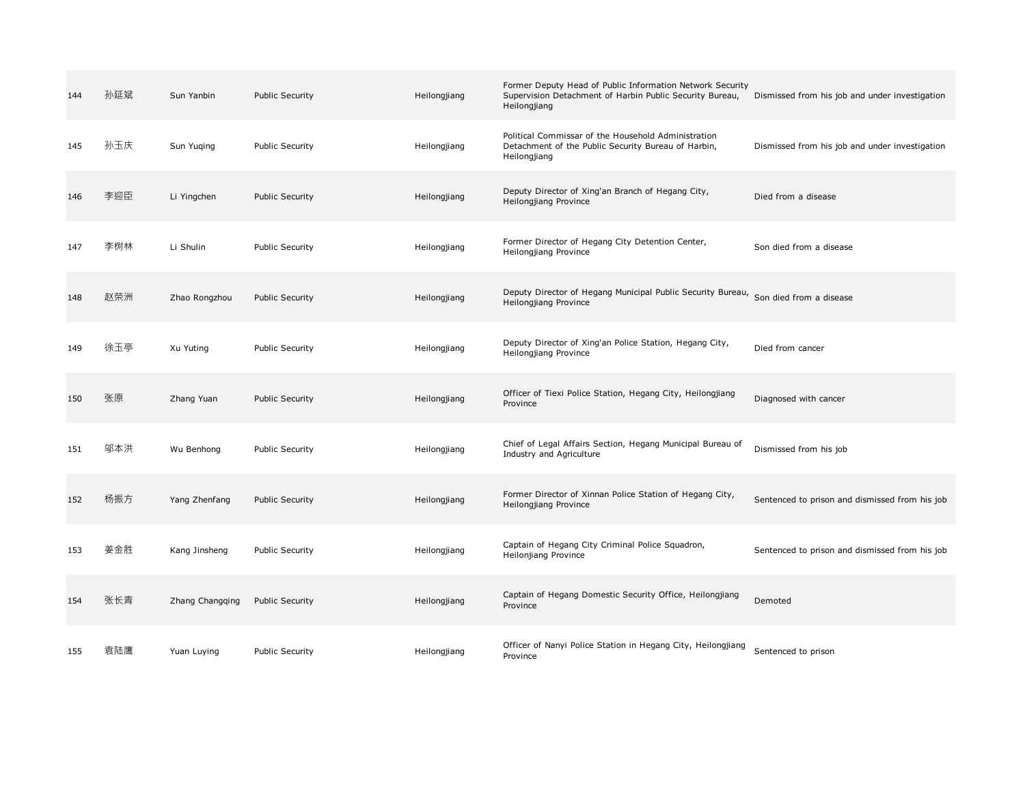| 144 | 孙延斌 | Sun Yanbin      | <b>Public Security</b> | Heilongjiang | Former Deputy Head of Public Information Network Security<br>Supervision Detachment of Harbin Public Security Bureau,<br>Heilongjiang | Dismissed from his job and under investigation |
|-----|-----|-----------------|------------------------|--------------|---------------------------------------------------------------------------------------------------------------------------------------|------------------------------------------------|
| 145 | 孙玉庆 | Sun Yuging      | Public Security        | Heilongjiang | Political Commissar of the Household Administration<br>Detachment of the Public Security Bureau of Harbin,<br>Heilongjiang            | Dismissed from his job and under investigation |
| 146 | 李迎臣 | Li Yingchen     | <b>Public Security</b> | Heilongjiang | Deputy Director of Xing'an Branch of Hegang City,<br>Heilongjiang Province                                                            | Died from a disease                            |
| 147 | 李树林 | Li Shulin       | Public Security        | Heilongjiang | Former Director of Hegang City Detention Center,<br>Heilongjiang Province                                                             | Son died from a disease                        |
| 148 | 赵荣洲 | Zhao Rongzhou   | <b>Public Security</b> | Heilongjiang | Deputy Director of Hegang Municipal Public Security Bureau, Son died from a disease<br>Heilongjiang Province                          |                                                |
| 149 | 徐玉亭 | Xu Yuting       | Public Security        | Heilongjiang | Deputy Director of Xing'an Police Station, Hegang City,<br>Heilongjiang Province                                                      | Died from cancer                               |
| 150 | 张原  | Zhang Yuan      | Public Security        | Heilongjiang | Officer of Tiexi Police Station, Hegang City, Heilongjiang<br>Province                                                                | Diagnosed with cancer                          |
| 151 | 邬本洪 | Wu Benhong      | Public Security        | Heilongjiang | Chief of Legal Affairs Section, Hegang Municipal Bureau of<br>Industry and Agriculture                                                | Dismissed from his job                         |
| 152 | 杨振方 | Yang Zhenfang   | <b>Public Security</b> | Heilongjiang | Former Director of Xinnan Police Station of Hegang City,<br>Heilongjiang Province                                                     | Sentenced to prison and dismissed from his job |
| 153 | 姜金胜 | Kang Jinsheng   | Public Security        | Heilongjiang | Captain of Hegang City Criminal Police Squadron,<br>Heilonjiang Province                                                              | Sentenced to prison and dismissed from his job |
| 154 | 张长青 | Zhang Changging | <b>Public Security</b> | Heilongjiang | Captain of Hegang Domestic Security Office, Heilongjiang<br>Province                                                                  | Demoted                                        |
| 155 | 袁陆鹰 | Yuan Luying     | <b>Public Security</b> | Heilongjiang | Officer of Nanyi Police Station in Hegang City, Heilongjiang<br>Province                                                              | Sentenced to prison                            |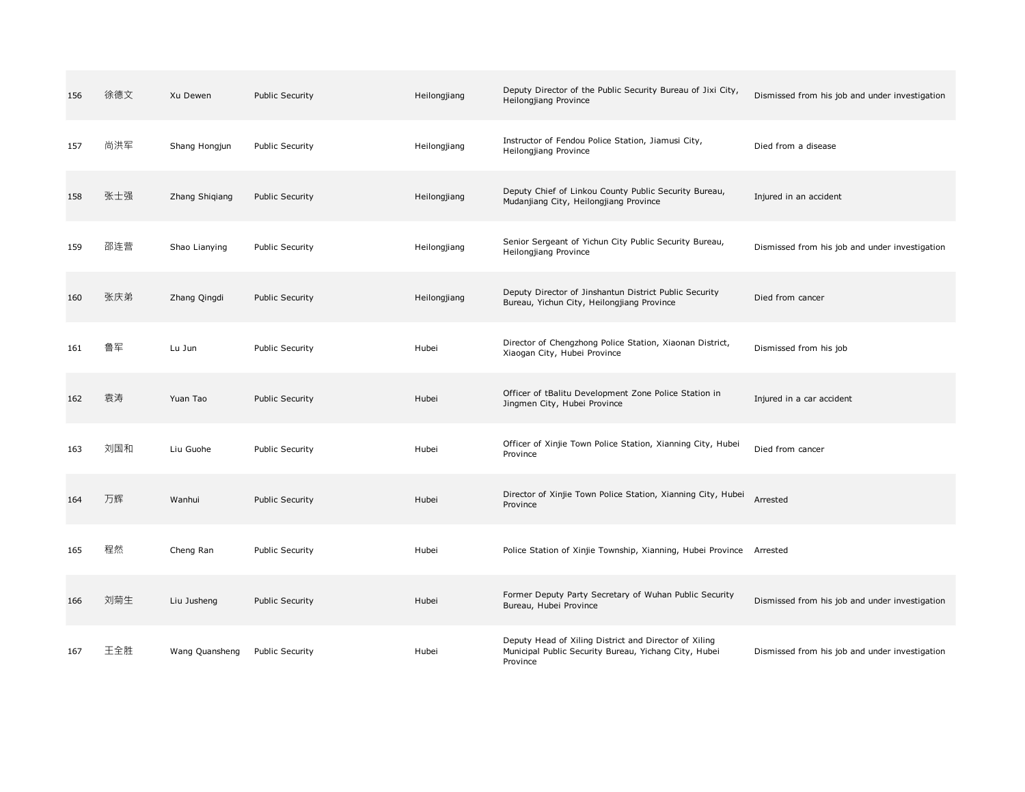| 156 | 徐德文 | Xu Dewen       | Public Security        | Heilongjiang | Deputy Director of the Public Security Bureau of Jixi City,<br>Heilongjiang Province                                       | Dismissed from his job and under investigation |
|-----|-----|----------------|------------------------|--------------|----------------------------------------------------------------------------------------------------------------------------|------------------------------------------------|
| 157 | 尚洪军 | Shang Hongjun  | <b>Public Security</b> | Heilongjiang | Instructor of Fendou Police Station, Jiamusi City,<br>Heilongjiang Province                                                | Died from a disease                            |
| 158 | 张士强 | Zhang Shiqiang | <b>Public Security</b> | Heilongjiang | Deputy Chief of Linkou County Public Security Bureau,<br>Mudanjiang City, Heilongjiang Province                            | Injured in an accident                         |
| 159 | 邵连营 | Shao Lianying  | <b>Public Security</b> | Heilongjiang | Senior Sergeant of Yichun City Public Security Bureau,<br>Heilongjiang Province                                            | Dismissed from his job and under investigation |
| 160 | 张庆弟 | Zhang Qingdi   | <b>Public Security</b> | Heilongjiang | Deputy Director of Jinshantun District Public Security<br>Bureau, Yichun City, Heilongjiang Province                       | Died from cancer                               |
| 161 | 鲁军  | Lu Jun         | Public Security        | Hubei        | Director of Chengzhong Police Station, Xiaonan District,<br>Xiaogan City, Hubei Province                                   | Dismissed from his job                         |
| 162 | 袁涛  | Yuan Tao       | <b>Public Security</b> | Hubei        | Officer of tBalitu Development Zone Police Station in<br>Jingmen City, Hubei Province                                      | Injured in a car accident                      |
| 163 | 刘国和 | Liu Guohe      | Public Security        | Hubei        | Officer of Xinjie Town Police Station, Xianning City, Hubei<br>Province                                                    | Died from cancer                               |
| 164 | 万辉  | Wanhui         | Public Security        | Hubei        | Director of Xinjie Town Police Station, Xianning City, Hubei<br>Province                                                   | Arrested                                       |
| 165 | 程然  | Cheng Ran      | <b>Public Security</b> | Hubei        | Police Station of Xinjie Township, Xianning, Hubei Province Arrested                                                       |                                                |
| 166 | 刘菊生 | Liu Jusheng    | <b>Public Security</b> | Hubei        | Former Deputy Party Secretary of Wuhan Public Security<br>Bureau, Hubei Province                                           | Dismissed from his job and under investigation |
| 167 | 王全胜 | Wang Quansheng | <b>Public Security</b> | Hubei        | Deputy Head of Xiling District and Director of Xiling<br>Municipal Public Security Bureau, Yichang City, Hubei<br>Province | Dismissed from his job and under investigation |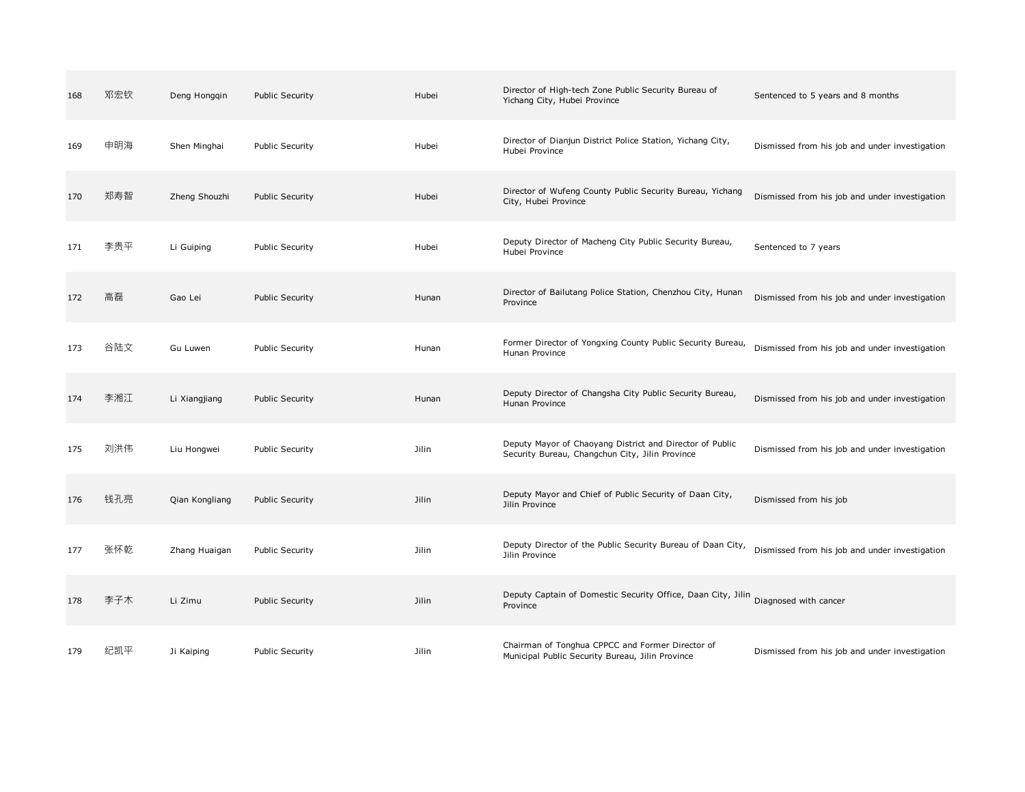| 168 | 邓宏钦 | Deng Hongqin   | <b>Public Security</b> | Hubei        | Director of High-tech Zone Public Security Bureau of<br>Yichang City, Hubei Province                        | Sentenced to 5 years and 8 months              |
|-----|-----|----------------|------------------------|--------------|-------------------------------------------------------------------------------------------------------------|------------------------------------------------|
| 169 | 申明海 | Shen Minghai   | <b>Public Security</b> | Hubei        | Director of Dianjun District Police Station, Yichang City,<br>Hubei Province                                | Dismissed from his job and under investigation |
| 170 | 郑寿智 | Zheng Shouzhi  | <b>Public Security</b> | Hubei        | Director of Wufeng County Public Security Bureau, Yichang<br>City, Hubei Province                           | Dismissed from his job and under investigation |
| 171 | 李贵平 | Li Guiping     | <b>Public Security</b> | Hubei        | Deputy Director of Macheng City Public Security Bureau,<br>Hubei Province                                   | Sentenced to 7 years                           |
| 172 | 高磊  | Gao Lei        | <b>Public Security</b> | Hunan        | Director of Bailutang Police Station, Chenzhou City, Hunan<br>Province                                      | Dismissed from his job and under investigation |
| 173 | 谷陆文 | Gu Luwen       | <b>Public Security</b> | Hunan        | Former Director of Yongxing County Public Security Bureau,<br>Hunan Province                                | Dismissed from his job and under investigation |
| 174 | 李湘江 | Li Xiangjiang  | <b>Public Security</b> | Hunan        | Deputy Director of Changsha City Public Security Bureau,<br>Hunan Province                                  | Dismissed from his job and under investigation |
| 175 | 刘洪伟 | Liu Hongwei    | <b>Public Security</b> | Jilin        | Deputy Mayor of Chaoyang District and Director of Public<br>Security Bureau, Changchun City, Jilin Province | Dismissed from his job and under investigation |
| 176 | 钱孔亮 | Qian Kongliang | <b>Public Security</b> | Jilin        | Deputy Mayor and Chief of Public Security of Daan City,<br>Jilin Province                                   | Dismissed from his job                         |
| 177 | 张怀乾 | Zhang Huaigan  | <b>Public Security</b> | Jilin        | Deputy Director of the Public Security Bureau of Daan City,<br>Jilin Province                               | Dismissed from his job and under investigation |
| 178 | 李子木 | Li Zimu        | <b>Public Security</b> | <b>Jilin</b> | Deputy Captain of Domestic Security Office, Daan City, Jilin Diagnosed with cancer<br>Province              |                                                |
| 179 | 纪凯平 | Ji Kaiping     | <b>Public Security</b> | Jilin        | Chairman of Tonghua CPPCC and Former Director of<br>Municipal Public Security Bureau, Jilin Province        | Dismissed from his job and under investigation |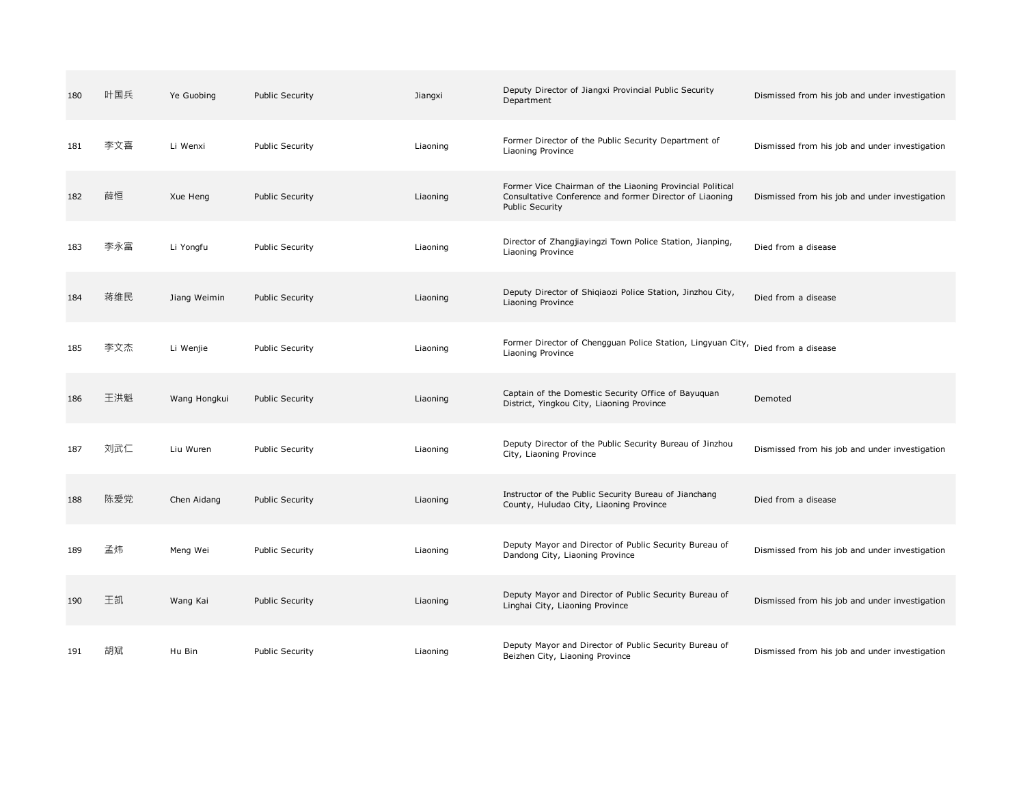| 180 | 叶国兵 | Ye Guobing   | <b>Public Security</b> | Jiangxi  | Deputy Director of Jiangxi Provincial Public Security<br>Department                                                                            | Dismissed from his job and under investigation |
|-----|-----|--------------|------------------------|----------|------------------------------------------------------------------------------------------------------------------------------------------------|------------------------------------------------|
| 181 | 李文喜 | Li Wenxi     | <b>Public Security</b> | Liaoning | Former Director of the Public Security Department of<br>Liaoning Province                                                                      | Dismissed from his job and under investigation |
| 182 | 薛恒  | Xue Heng     | <b>Public Security</b> | Liaoning | Former Vice Chairman of the Liaoning Provincial Political<br>Consultative Conference and former Director of Liaoning<br><b>Public Security</b> | Dismissed from his job and under investigation |
| 183 | 李永富 | Li Yongfu    | Public Security        | Liaoning | Director of Zhangjiayingzi Town Police Station, Jianping,<br>Liaoning Province                                                                 | Died from a disease                            |
| 184 | 蒋维民 | Jiang Weimin | <b>Public Security</b> | Liaoning | Deputy Director of Shiqiaozi Police Station, Jinzhou City,<br>Liaoning Province                                                                | Died from a disease                            |
| 185 | 李文杰 | Li Wenjie    | <b>Public Security</b> | Liaoning | Former Director of Chengguan Police Station, Lingyuan City, Died from a disease<br>Liaoning Province                                           |                                                |
| 186 | 王洪魁 | Wang Hongkui | Public Security        | Liaoning | Captain of the Domestic Security Office of Bayuquan<br>District, Yingkou City, Liaoning Province                                               | Demoted                                        |
| 187 | 刘武仁 | Liu Wuren    | <b>Public Security</b> | Liaoning | Deputy Director of the Public Security Bureau of Jinzhou<br>City, Liaoning Province                                                            | Dismissed from his job and under investigation |
| 188 | 陈爱党 | Chen Aidang  | <b>Public Security</b> | Liaoning | Instructor of the Public Security Bureau of Jianchang<br>County, Huludao City, Liaoning Province                                               | Died from a disease                            |
| 189 | 孟炜  | Meng Wei     | <b>Public Security</b> | Liaoning | Deputy Mayor and Director of Public Security Bureau of<br>Dandong City, Liaoning Province                                                      | Dismissed from his job and under investigation |
| 190 | 王凯  | Wang Kai     | <b>Public Security</b> | Liaoning | Deputy Mayor and Director of Public Security Bureau of<br>Linghai City, Liaoning Province                                                      | Dismissed from his job and under investigation |
| 191 | 胡斌  | Hu Bin       | <b>Public Security</b> | Liaoning | Deputy Mayor and Director of Public Security Bureau of<br>Beizhen City, Liaoning Province                                                      | Dismissed from his job and under investigation |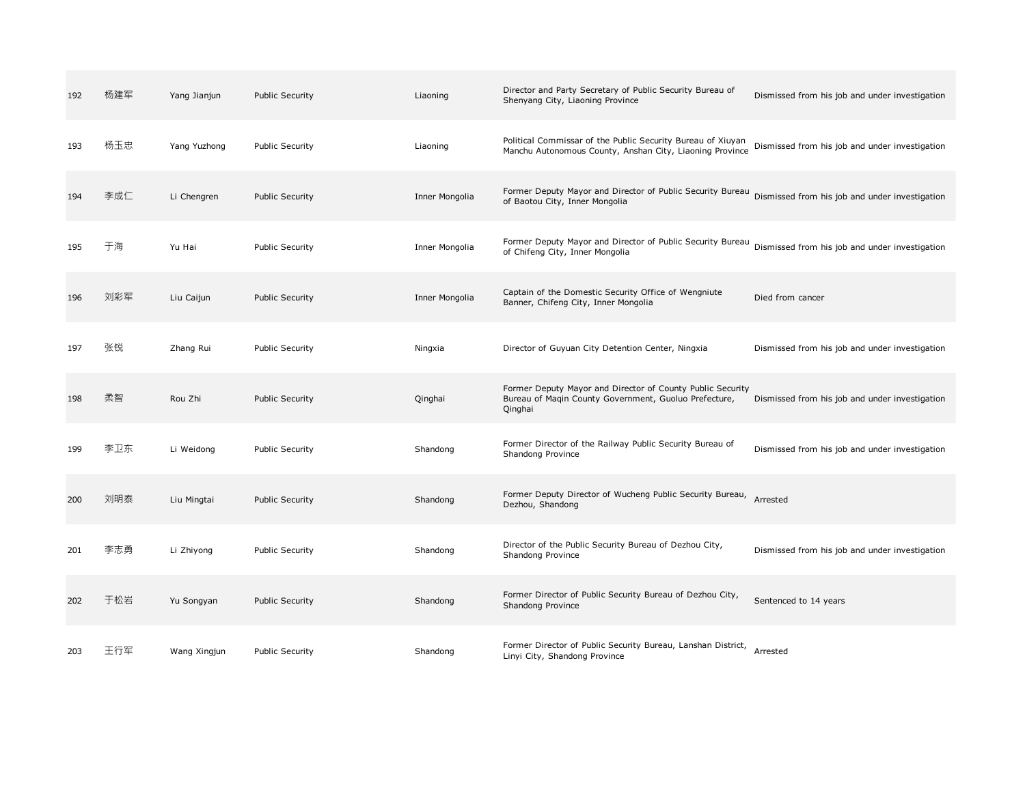| 192 | 杨建军 | Yang Jianjun | <b>Public Security</b> | Liaoning       | Director and Party Secretary of Public Security Bureau of<br>Shenyang City, Liaoning Province                                  | Dismissed from his job and under investigation |
|-----|-----|--------------|------------------------|----------------|--------------------------------------------------------------------------------------------------------------------------------|------------------------------------------------|
| 193 | 杨玉忠 | Yang Yuzhong | <b>Public Security</b> | Liaoning       | Political Commissar of the Public Security Bureau of Xiuyan<br>Manchu Autonomous County, Anshan City, Liaoning Province        | Dismissed from his job and under investigation |
| 194 | 李成仁 | Li Chengren  | <b>Public Security</b> | Inner Mongolia | Former Deputy Mayor and Director of Public Security Bureau<br>of Baotou City, Inner Mongolia                                   | Dismissed from his job and under investigation |
| 195 | 于海  | Yu Hai       | <b>Public Security</b> | Inner Mongolia | Former Deputy Mayor and Director of Public Security Bureau<br>of Chifeng City, Inner Mongolia                                  | Dismissed from his job and under investigation |
| 196 | 刘彩军 | Liu Caijun   | <b>Public Security</b> | Inner Mongolia | Captain of the Domestic Security Office of Wengniute<br>Banner, Chifeng City, Inner Mongolia                                   | Died from cancer                               |
| 197 | 张锐  | Zhang Rui    | <b>Public Security</b> | Ningxia        | Director of Guyuan City Detention Center, Ningxia                                                                              | Dismissed from his job and under investigation |
| 198 | 柔智  | Rou Zhi      | <b>Public Security</b> | Qinghai        | Former Deputy Mayor and Director of County Public Security<br>Bureau of Magin County Government, Guoluo Prefecture,<br>Qinghai | Dismissed from his job and under investigation |
| 199 | 李卫东 | Li Weidong   | <b>Public Security</b> | Shandong       | Former Director of the Railway Public Security Bureau of<br>Shandong Province                                                  | Dismissed from his job and under investigation |
| 200 | 刘明泰 | Liu Mingtai  | <b>Public Security</b> | Shandong       | Former Deputy Director of Wucheng Public Security Bureau,<br>Dezhou, Shandong                                                  | Arrested                                       |
| 201 | 李志勇 | Li Zhiyong   | <b>Public Security</b> | Shandong       | Director of the Public Security Bureau of Dezhou City,<br>Shandong Province                                                    | Dismissed from his job and under investigation |
| 202 | 于松岩 | Yu Songyan   | <b>Public Security</b> | Shandong       | Former Director of Public Security Bureau of Dezhou City,<br>Shandong Province                                                 | Sentenced to 14 years                          |
| 203 | 王行军 | Wang Xingjun | <b>Public Security</b> | Shandong       | Former Director of Public Security Bureau, Lanshan District, Arrested<br>Linyi City, Shandong Province                         |                                                |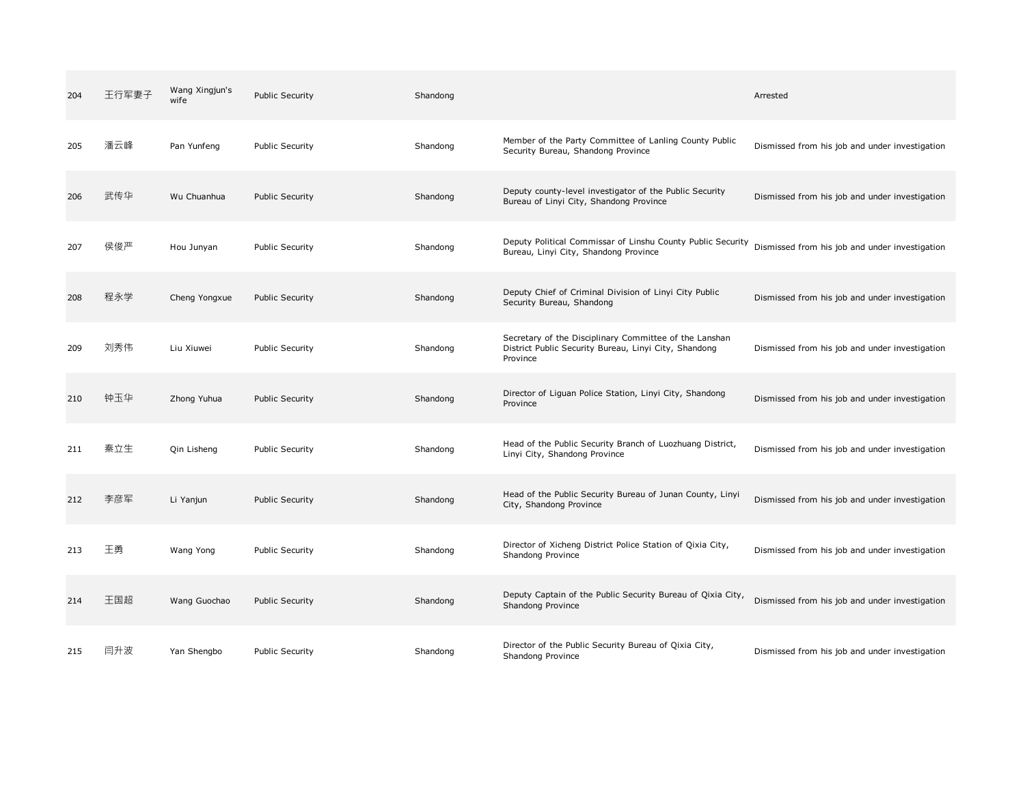| 204 | 王行军妻子 | Wang Xingjun's<br>wife | <b>Public Security</b> | Shandong |                                                                                                                             | Arrested                                       |
|-----|-------|------------------------|------------------------|----------|-----------------------------------------------------------------------------------------------------------------------------|------------------------------------------------|
| 205 | 潘云峰   | Pan Yunfeng            | <b>Public Security</b> | Shandong | Member of the Party Committee of Lanling County Public<br>Security Bureau, Shandong Province                                | Dismissed from his job and under investigation |
| 206 | 武传华   | Wu Chuanhua            | <b>Public Security</b> | Shandong | Deputy county-level investigator of the Public Security<br>Bureau of Linyi City, Shandong Province                          | Dismissed from his job and under investigation |
| 207 | 侯俊严   | Hou Junyan             | <b>Public Security</b> | Shandong | Deputy Political Commissar of Linshu County Public Security<br>Bureau, Linyi City, Shandong Province                        | Dismissed from his job and under investigation |
| 208 | 程永学   | Cheng Yongxue          | <b>Public Security</b> | Shandong | Deputy Chief of Criminal Division of Linyi City Public<br>Security Bureau, Shandong                                         | Dismissed from his job and under investigation |
| 209 | 刘秀伟   | Liu Xiuwei             | <b>Public Security</b> | Shandong | Secretary of the Disciplinary Committee of the Lanshan<br>District Public Security Bureau, Linyi City, Shandong<br>Province | Dismissed from his job and under investigation |
| 210 | 钟玉华   | Zhong Yuhua            | <b>Public Security</b> | Shandong | Director of Liguan Police Station, Linyi City, Shandong<br>Province                                                         | Dismissed from his job and under investigation |
| 211 | 秦立生   | Qin Lisheng            | <b>Public Security</b> | Shandong | Head of the Public Security Branch of Luozhuang District,<br>Linyi City, Shandong Province                                  | Dismissed from his job and under investigation |
| 212 | 李彦军   | Li Yanjun              | <b>Public Security</b> | Shandong | Head of the Public Security Bureau of Junan County, Linyi<br>City, Shandong Province                                        | Dismissed from his job and under investigation |
| 213 | 王勇    | Wang Yong              | <b>Public Security</b> | Shandong | Director of Xicheng District Police Station of Qixia City,<br>Shandong Province                                             | Dismissed from his job and under investigation |
| 214 | 王国超   | Wang Guochao           | <b>Public Security</b> | Shandong | Deputy Captain of the Public Security Bureau of Qixia City,<br>Shandong Province                                            | Dismissed from his job and under investigation |
| 215 | 闫升波   | Yan Shengbo            | <b>Public Security</b> | Shandong | Director of the Public Security Bureau of Qixia City,<br>Shandong Province                                                  | Dismissed from his job and under investigation |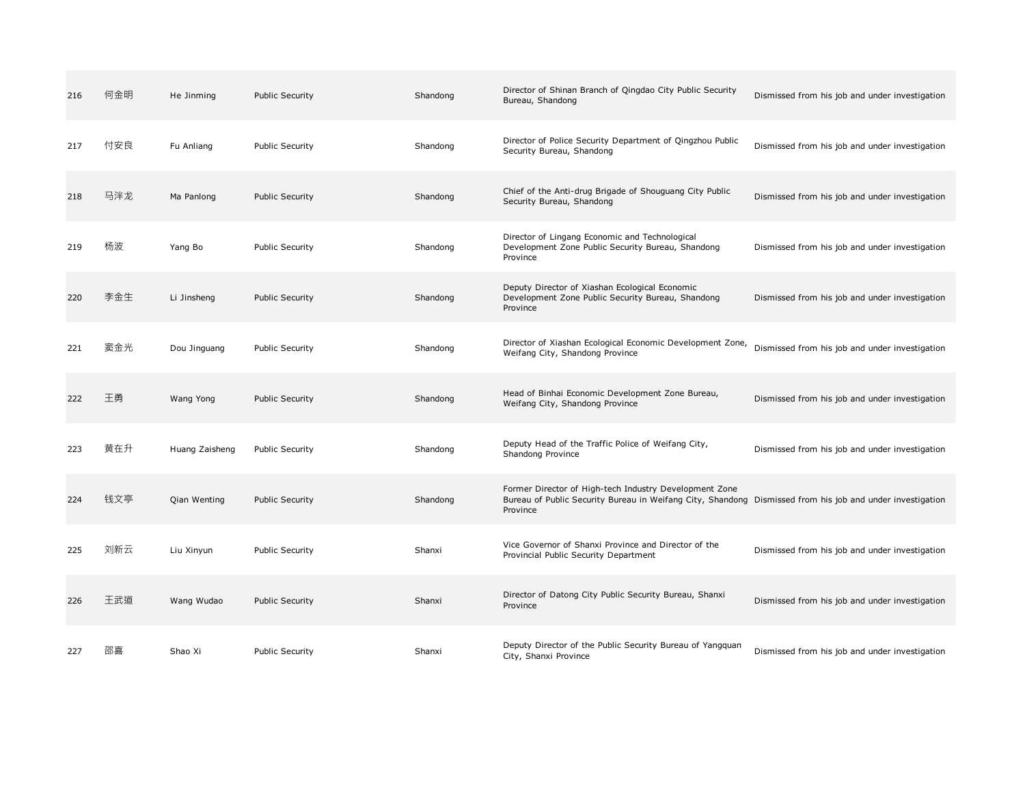| 216 | 何金明 | He Jinming     | <b>Public Security</b> | Shandong | Director of Shinan Branch of Qingdao City Public Security<br>Bureau, Shandong                                                                                                   | Dismissed from his job and under investigation |
|-----|-----|----------------|------------------------|----------|---------------------------------------------------------------------------------------------------------------------------------------------------------------------------------|------------------------------------------------|
| 217 | 付安良 | Fu Anliang     | <b>Public Security</b> | Shandong | Director of Police Security Department of Qingzhou Public<br>Security Bureau, Shandong                                                                                          | Dismissed from his job and under investigation |
| 218 | 马泮龙 | Ma Panlong     | <b>Public Security</b> | Shandong | Chief of the Anti-drug Brigade of Shouguang City Public<br>Security Bureau, Shandong                                                                                            | Dismissed from his job and under investigation |
| 219 | 杨波  | Yang Bo        | <b>Public Security</b> | Shandong | Director of Lingang Economic and Technological<br>Development Zone Public Security Bureau, Shandong<br>Province                                                                 | Dismissed from his job and under investigation |
| 220 | 李金生 | Li Jinsheng    | <b>Public Security</b> | Shandong | Deputy Director of Xiashan Ecological Economic<br>Development Zone Public Security Bureau, Shandong<br>Province                                                                 | Dismissed from his job and under investigation |
| 221 | 窦金光 | Dou Jinguang   | <b>Public Security</b> | Shandong | Director of Xiashan Ecological Economic Development Zone,<br>Weifang City, Shandong Province                                                                                    | Dismissed from his job and under investigation |
| 222 | 王勇  | Wang Yong      | <b>Public Security</b> | Shandong | Head of Binhai Economic Development Zone Bureau,<br>Weifang City, Shandong Province                                                                                             | Dismissed from his job and under investigation |
| 223 | 黄在升 | Huang Zaisheng | <b>Public Security</b> | Shandong | Deputy Head of the Traffic Police of Weifang City,<br>Shandong Province                                                                                                         | Dismissed from his job and under investigation |
| 224 | 钱文亭 | Qian Wenting   | <b>Public Security</b> | Shandong | Former Director of High-tech Industry Development Zone<br>Bureau of Public Security Bureau in Weifang City, Shandong Dismissed from his job and under investigation<br>Province |                                                |
| 225 | 刘新云 | Liu Xinyun     | <b>Public Security</b> | Shanxi   | Vice Governor of Shanxi Province and Director of the<br>Provincial Public Security Department                                                                                   | Dismissed from his job and under investigation |
| 226 | 王武道 | Wang Wudao     | <b>Public Security</b> | Shanxi   | Director of Datong City Public Security Bureau, Shanxi<br>Province                                                                                                              | Dismissed from his job and under investigation |
| 227 | 邵喜  | Shao Xi        | <b>Public Security</b> | Shanxi   | Deputy Director of the Public Security Bureau of Yangquan<br>City, Shanxi Province                                                                                              | Dismissed from his job and under investigation |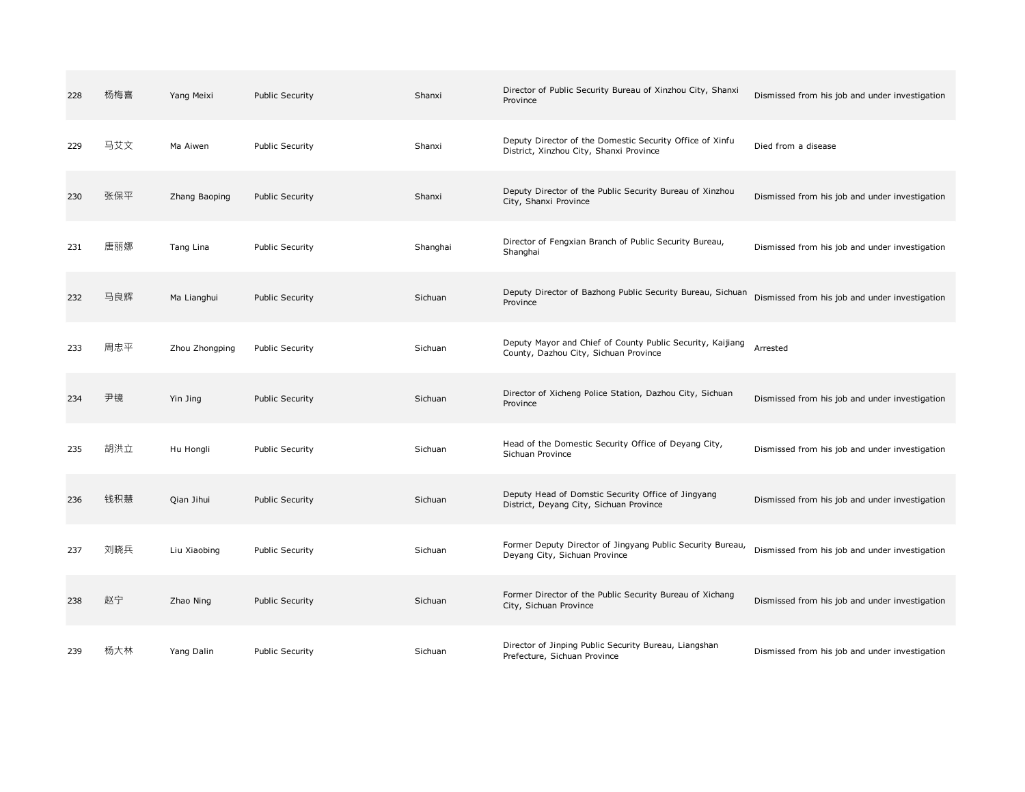| 228 | 杨梅喜 | Yang Meixi     | <b>Public Security</b> | Shanxi   | Director of Public Security Bureau of Xinzhou City, Shanxi<br>Province                              | Dismissed from his job and under investigation |
|-----|-----|----------------|------------------------|----------|-----------------------------------------------------------------------------------------------------|------------------------------------------------|
| 229 | 马艾文 | Ma Aiwen       | <b>Public Security</b> | Shanxi   | Deputy Director of the Domestic Security Office of Xinfu<br>District, Xinzhou City, Shanxi Province | Died from a disease                            |
| 230 | 张保平 | Zhang Baoping  | <b>Public Security</b> | Shanxi   | Deputy Director of the Public Security Bureau of Xinzhou<br>City, Shanxi Province                   | Dismissed from his job and under investigation |
| 231 | 唐丽娜 | Tang Lina      | <b>Public Security</b> | Shanghai | Director of Fengxian Branch of Public Security Bureau,<br>Shanghai                                  | Dismissed from his job and under investigation |
| 232 | 马良辉 | Ma Lianghui    | <b>Public Security</b> | Sichuan  | Deputy Director of Bazhong Public Security Bureau, Sichuan<br>Province                              | Dismissed from his job and under investigation |
| 233 | 周忠平 | Zhou Zhongping | <b>Public Security</b> | Sichuan  | Deputy Mayor and Chief of County Public Security, Kaijiang<br>County, Dazhou City, Sichuan Province | Arrested                                       |
| 234 | 尹镜  | Yin Jing       | <b>Public Security</b> | Sichuan  | Director of Xicheng Police Station, Dazhou City, Sichuan<br>Province                                | Dismissed from his job and under investigation |
| 235 | 胡洪立 | Hu Hongli      | <b>Public Security</b> | Sichuan  | Head of the Domestic Security Office of Deyang City,<br>Sichuan Province                            | Dismissed from his job and under investigation |
| 236 | 钱积慧 | Qian Jihui     | <b>Public Security</b> | Sichuan  | Deputy Head of Domstic Security Office of Jingyang<br>District, Deyang City, Sichuan Province       | Dismissed from his job and under investigation |
| 237 | 刘晓兵 | Liu Xiaobing   | <b>Public Security</b> | Sichuan  | Former Deputy Director of Jingyang Public Security Bureau,<br>Deyang City, Sichuan Province         | Dismissed from his job and under investigation |
| 238 | 赵宁  | Zhao Ning      | <b>Public Security</b> | Sichuan  | Former Director of the Public Security Bureau of Xichang<br>City, Sichuan Province                  | Dismissed from his job and under investigation |
| 239 | 杨大林 | Yang Dalin     | <b>Public Security</b> | Sichuan  | Director of Jinping Public Security Bureau, Liangshan<br>Prefecture, Sichuan Province               | Dismissed from his job and under investigation |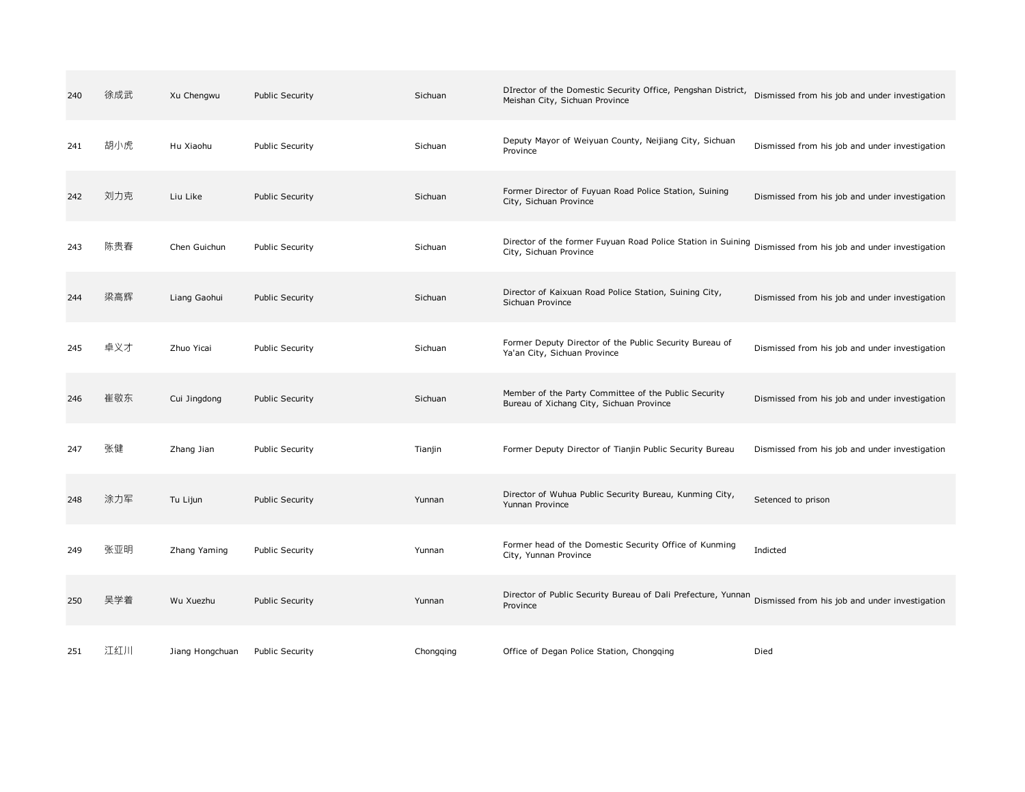| 240 | 徐成武 | Xu Chengwu      | <b>Public Security</b> | Sichuan   | DIrector of the Domestic Security Office, Pengshan District,<br>Meishan City, Sichuan Province                                        | Dismissed from his job and under investigation |
|-----|-----|-----------------|------------------------|-----------|---------------------------------------------------------------------------------------------------------------------------------------|------------------------------------------------|
| 241 | 胡小虎 | Hu Xiaohu       | Public Security        | Sichuan   | Deputy Mayor of Weiyuan County, Neijiang City, Sichuan<br>Province                                                                    | Dismissed from his job and under investigation |
| 242 | 刘力克 | Liu Like        | Public Security        | Sichuan   | Former Director of Fuyuan Road Police Station, Suining<br>City, Sichuan Province                                                      | Dismissed from his job and under investigation |
| 243 | 陈贵春 | Chen Guichun    | <b>Public Security</b> | Sichuan   | Director of the former Fuyuan Road Police Station in Suining Dismissed from his job and under investigation<br>City, Sichuan Province |                                                |
| 244 | 梁高辉 | Liang Gaohui    | <b>Public Security</b> | Sichuan   | Director of Kaixuan Road Police Station, Suining City,<br>Sichuan Province                                                            | Dismissed from his job and under investigation |
| 245 | 卓义才 | Zhuo Yicai      | <b>Public Security</b> | Sichuan   | Former Deputy Director of the Public Security Bureau of<br>Ya'an City, Sichuan Province                                               | Dismissed from his job and under investigation |
| 246 | 崔敬东 | Cui Jingdong    | <b>Public Security</b> | Sichuan   | Member of the Party Committee of the Public Security<br>Bureau of Xichang City, Sichuan Province                                      | Dismissed from his job and under investigation |
| 247 | 张健  | Zhang Jian      | <b>Public Security</b> | Tianjin   | Former Deputy Director of Tianjin Public Security Bureau                                                                              | Dismissed from his job and under investigation |
| 248 | 涂力军 | Tu Lijun        | <b>Public Security</b> | Yunnan    | Director of Wuhua Public Security Bureau, Kunming City,<br>Yunnan Province                                                            | Setenced to prison                             |
| 249 | 张亚明 | Zhang Yaming    | <b>Public Security</b> | Yunnan    | Former head of the Domestic Security Office of Kunming<br>City, Yunnan Province                                                       | Indicted                                       |
| 250 | 吴学着 | Wu Xuezhu       | <b>Public Security</b> | Yunnan    | Director of Public Security Bureau of Dali Prefecture, Yunnan<br>Province                                                             | Dismissed from his job and under investigation |
| 251 | 江红川 | Jiang Hongchuan | <b>Public Security</b> | Chongqing | Office of Degan Police Station, Chongqing                                                                                             | Died                                           |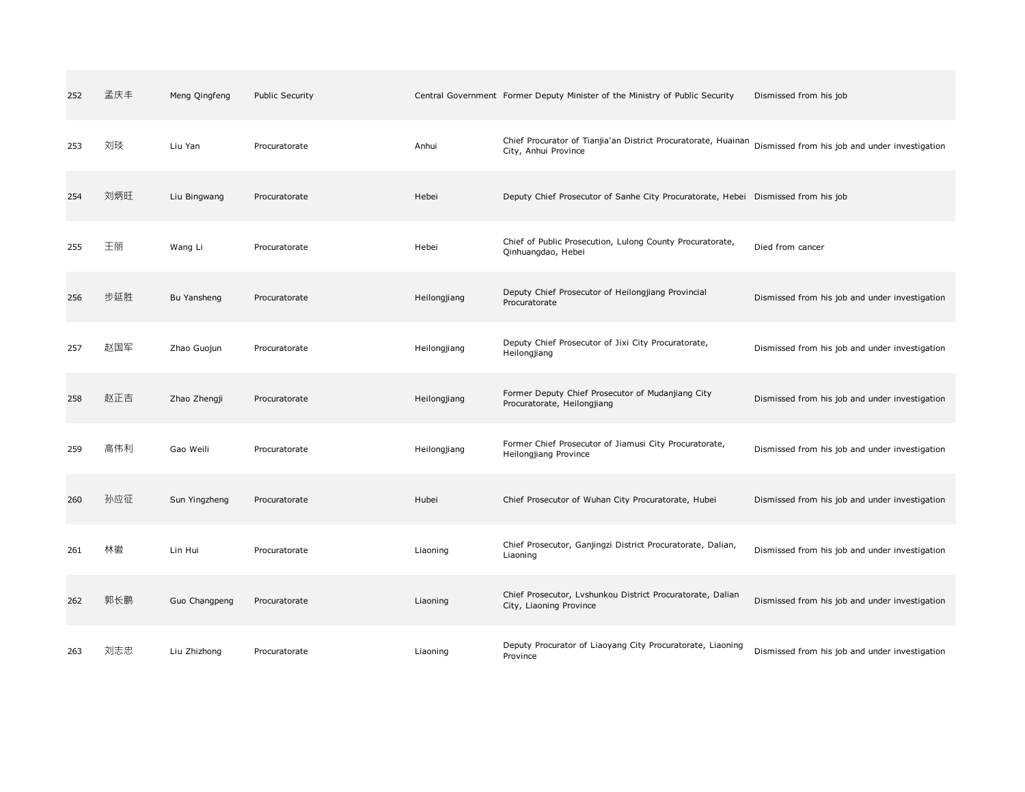| 252 | 孟庆丰 | Meng Qingfeng | <b>Public Security</b> |              | Central Government Former Deputy Minister of the Ministry of Public Security           | Dismissed from his job                         |
|-----|-----|---------------|------------------------|--------------|----------------------------------------------------------------------------------------|------------------------------------------------|
| 253 | 刘琰  | Liu Yan       | Procuratorate          | Anhui        | Chief Procurator of Tianjia'an District Procuratorate, Huainan<br>City, Anhui Province | Dismissed from his job and under investigation |
| 254 | 刘炳旺 | Liu Bingwang  | Procuratorate          | Hebei        | Deputy Chief Prosecutor of Sanhe City Procuratorate, Hebei Dismissed from his job      |                                                |
| 255 | 王丽  | Wang Li       | Procuratorate          | Hebei        | Chief of Public Prosecution, Lulong County Procuratorate,<br>Qinhuangdao, Hebei        | Died from cancer                               |
| 256 | 步延胜 | Bu Yansheng   | Procuratorate          | Heilongjiang | Deputy Chief Prosecutor of Heilongjiang Provincial<br>Procuratorate                    | Dismissed from his job and under investigation |
| 257 | 赵国军 | Zhao Guojun   | Procuratorate          | Heilongjiang | Deputy Chief Prosecutor of Jixi City Procuratorate,<br>Heilongjiang                    | Dismissed from his job and under investigation |
| 258 | 赵正吉 | Zhao Zhengji  | Procuratorate          | Heilongjiang | Former Deputy Chief Prosecutor of Mudanjiang City<br>Procuratorate, Heilongjiang       | Dismissed from his job and under investigation |
| 259 | 高伟利 | Gao Weili     | Procuratorate          | Heilongjiang | Former Chief Prosecutor of Jiamusi City Procuratorate,<br>Heilongjiang Province        | Dismissed from his job and under investigation |
| 260 | 孙应征 | Sun Yingzheng | Procuratorate          | Hubei        | Chief Prosecutor of Wuhan City Procuratorate, Hubei                                    | Dismissed from his job and under investigation |
| 261 | 林徽  | Lin Hui       | Procuratorate          | Liaoning     | Chief Prosecutor, Ganjingzi District Procuratorate, Dalian,<br>Liaoning                | Dismissed from his job and under investigation |
| 262 | 郭长鹏 | Guo Changpeng | Procuratorate          | Liaoning     | Chief Prosecutor, Lvshunkou District Procuratorate, Dalian<br>City, Liaoning Province  | Dismissed from his job and under investigation |
| 263 | 刘志忠 | Liu Zhizhong  | Procuratorate          | Liaoning     | Deputy Procurator of Liaoyang City Procuratorate, Liaoning<br>Province                 | Dismissed from his job and under investigation |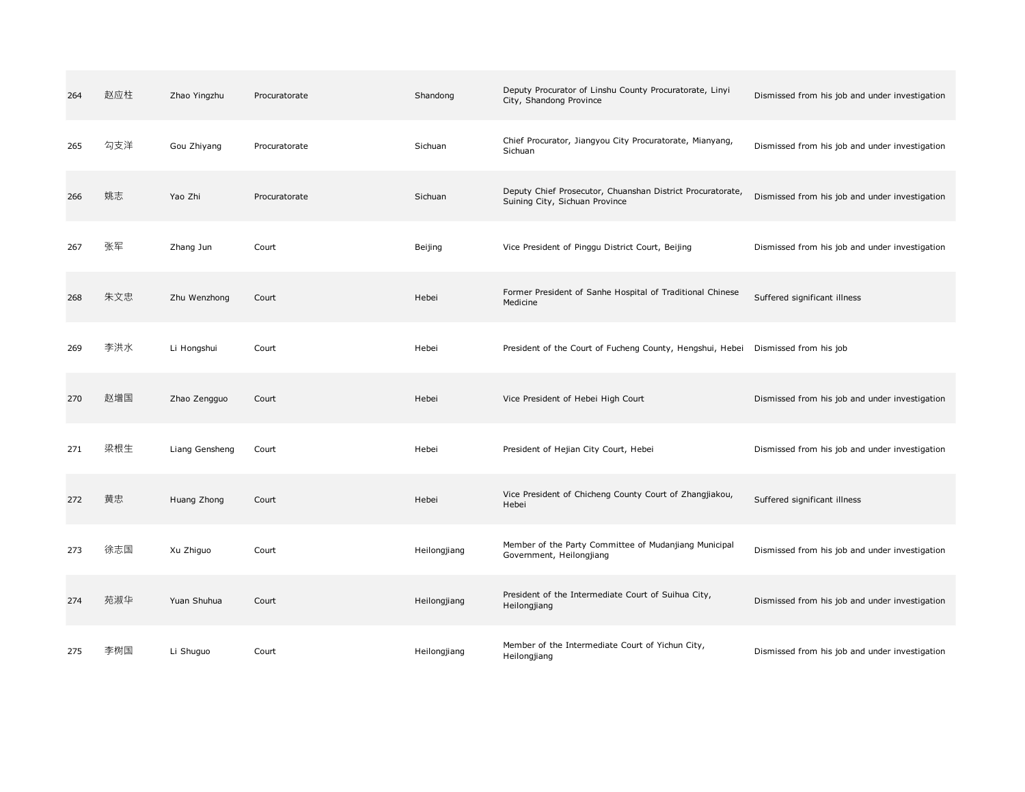| 264 | 赵应柱 | Zhao Yingzhu   | Procuratorate | Shandong     | Deputy Procurator of Linshu County Procuratorate, Linyi<br>City, Shandong Province           | Dismissed from his job and under investigation |
|-----|-----|----------------|---------------|--------------|----------------------------------------------------------------------------------------------|------------------------------------------------|
| 265 | 勾支洋 | Gou Zhiyang    | Procuratorate | Sichuan      | Chief Procurator, Jiangyou City Procuratorate, Mianyang,<br>Sichuan                          | Dismissed from his job and under investigation |
| 266 | 姚志  | Yao Zhi        | Procuratorate | Sichuan      | Deputy Chief Prosecutor, Chuanshan District Procuratorate,<br>Suining City, Sichuan Province | Dismissed from his job and under investigation |
| 267 | 张军  | Zhang Jun      | Court         | Beijing      | Vice President of Pinggu District Court, Beijing                                             | Dismissed from his job and under investigation |
| 268 | 朱文忠 | Zhu Wenzhong   | Court         | Hebei        | Former President of Sanhe Hospital of Traditional Chinese<br>Medicine                        | Suffered significant illness                   |
| 269 | 李洪水 | Li Hongshui    | Court         | Hebei        | President of the Court of Fucheng County, Hengshui, Hebei                                    | Dismissed from his job                         |
| 270 | 赵增国 | Zhao Zengguo   | Court         | Hebei        | Vice President of Hebei High Court                                                           | Dismissed from his job and under investigation |
| 271 | 梁根生 | Liang Gensheng | Court         | Hebei        | President of Hejian City Court, Hebei                                                        | Dismissed from his job and under investigation |
| 272 | 黄忠  | Huang Zhong    | Court         | Hebei        | Vice President of Chicheng County Court of Zhangjiakou,<br>Hebei                             | Suffered significant illness                   |
| 273 | 徐志国 | Xu Zhiguo      | Court         | Heilongjiang | Member of the Party Committee of Mudanjiang Municipal<br>Government, Heilongjiang            | Dismissed from his job and under investigation |
| 274 | 苑淑华 | Yuan Shuhua    | Court         | Heilongjiang | President of the Intermediate Court of Suihua City,<br>Heilongjiang                          | Dismissed from his job and under investigation |
| 275 | 李树国 | Li Shuguo      | Court         | Heilongjiang | Member of the Intermediate Court of Yichun City,<br>Heilongjiang                             | Dismissed from his job and under investigation |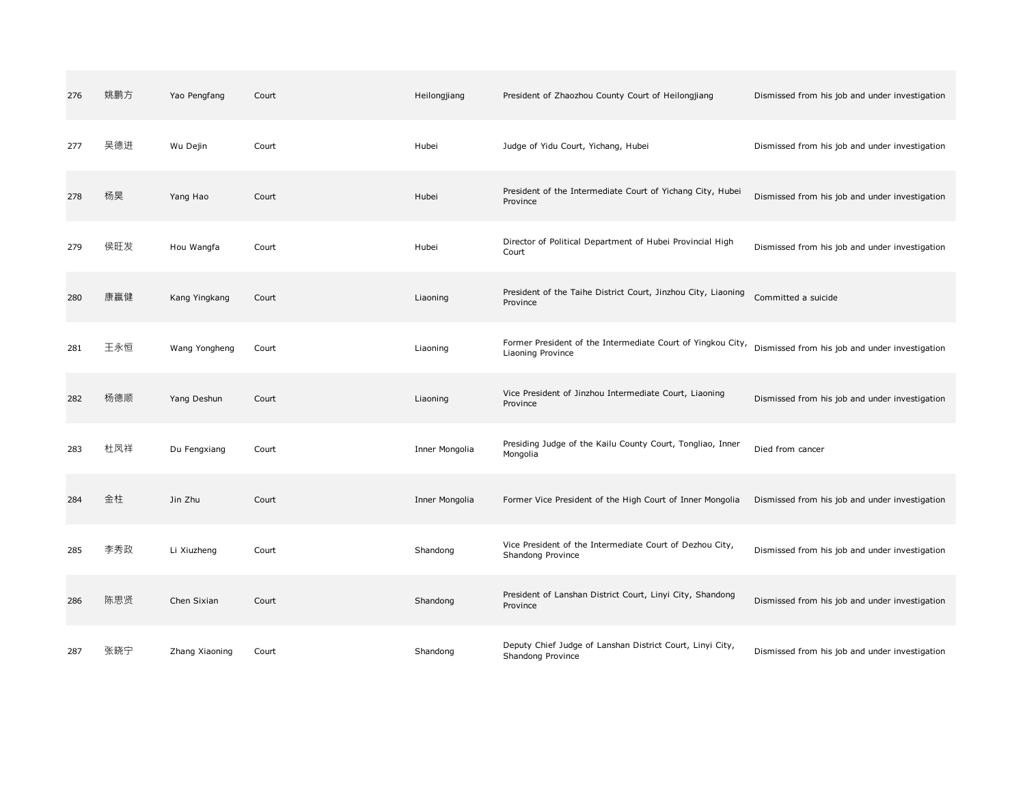| 276 | 姚鹏方 | Yao Pengfang   | Court | Heilongjiang   | President of Zhaozhou County Court of Heilongjiang                               | Dismissed from his job and under investigation |
|-----|-----|----------------|-------|----------------|----------------------------------------------------------------------------------|------------------------------------------------|
| 277 | 吴德进 | Wu Dejin       | Court | Hubei          | Judge of Yidu Court, Yichang, Hubei                                              | Dismissed from his job and under investigation |
| 278 | 杨昊  | Yang Hao       | Court | Hubei          | President of the Intermediate Court of Yichang City, Hubei<br>Province           | Dismissed from his job and under investigation |
| 279 | 侯旺发 | Hou Wangfa     | Court | Hubei          | Director of Political Department of Hubei Provincial High<br>Court               | Dismissed from his job and under investigation |
| 280 | 康赢健 | Kang Yingkang  | Court | Liaoning       | President of the Taihe District Court, Jinzhou City, Liaoning<br>Province        | Committed a suicide                            |
| 281 | 王永恒 | Wang Yongheng  | Court | Liaoning       | Former President of the Intermediate Court of Yingkou City,<br>Liaoning Province | Dismissed from his job and under investigation |
| 282 | 杨德顺 | Yang Deshun    | Court | Liaoning       | Vice President of Jinzhou Intermediate Court, Liaoning<br>Province               | Dismissed from his job and under investigation |
| 283 | 杜凤祥 | Du Fengxiang   | Court | Inner Mongolia | Presiding Judge of the Kailu County Court, Tongliao, Inner<br>Mongolia           | Died from cancer                               |
| 284 | 金柱  | Jin Zhu        | Court | Inner Mongolia | Former Vice President of the High Court of Inner Mongolia                        | Dismissed from his job and under investigation |
| 285 | 李秀政 | Li Xiuzheng    | Court | Shandong       | Vice President of the Intermediate Court of Dezhou City,<br>Shandong Province    | Dismissed from his job and under investigation |
| 286 | 陈思贤 | Chen Sixian    | Court | Shandong       | President of Lanshan District Court, Linyi City, Shandong<br>Province            | Dismissed from his job and under investigation |
| 287 | 张晓宁 | Zhang Xiaoning | Court | Shandong       | Deputy Chief Judge of Lanshan District Court, Linyi City,<br>Shandong Province   | Dismissed from his job and under investigation |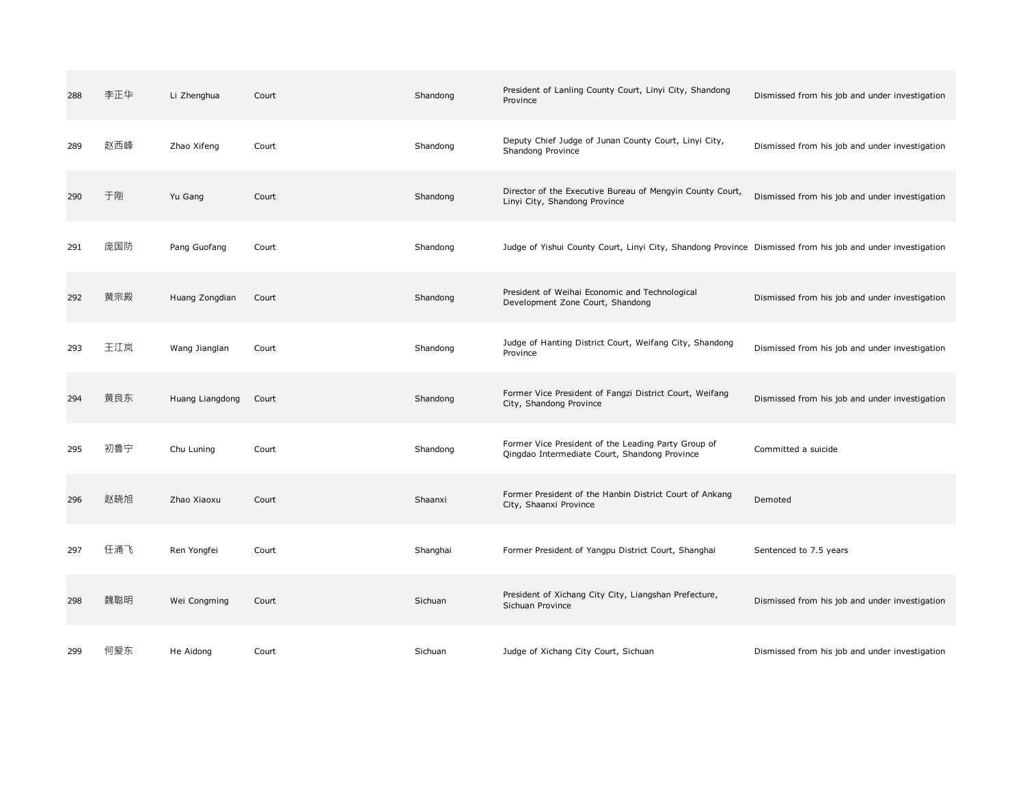| 288 | 李正华 | Li Zhenghua     | Court | Shandong | President of Lanling County Court, Linyi City, Shandong<br>Province                                        | Dismissed from his job and under investigation |
|-----|-----|-----------------|-------|----------|------------------------------------------------------------------------------------------------------------|------------------------------------------------|
| 289 | 赵西峰 | Zhao Xifeng     | Court | Shandong | Deputy Chief Judge of Junan County Court, Linyi City,<br>Shandong Province                                 | Dismissed from his job and under investigation |
| 290 | 于刚  | Yu Gang         | Court | Shandong | Director of the Executive Bureau of Mengyin County Court,<br>Linyi City, Shandong Province                 | Dismissed from his job and under investigation |
| 291 | 庞国防 | Pang Guofang    | Court | Shandong | Judge of Yishui County Court, Linyi City, Shandong Province Dismissed from his job and under investigation |                                                |
| 292 | 黄宗殿 | Huang Zongdian  | Court | Shandong | President of Weihai Economic and Technological<br>Development Zone Court, Shandong                         | Dismissed from his job and under investigation |
| 293 | 王江岚 | Wang Jianglan   | Court | Shandong | Judge of Hanting District Court, Weifang City, Shandong<br>Province                                        | Dismissed from his job and under investigation |
| 294 | 黄良东 | Huang Liangdong | Court | Shandong | Former Vice President of Fangzi District Court, Weifang<br>City, Shandong Province                         | Dismissed from his job and under investigation |
| 295 | 初鲁宁 | Chu Luning      | Court | Shandong | Former Vice President of the Leading Party Group of<br>Qingdao Intermediate Court, Shandong Province       | Committed a suicide                            |
| 296 | 赵晓旭 | Zhao Xiaoxu     | Court | Shaanxi  | Former President of the Hanbin District Court of Ankang<br>City, Shaanxi Province                          | Demoted                                        |
| 297 | 任涌飞 | Ren Yongfei     | Court | Shanghai | Former President of Yangpu District Court, Shanghai                                                        | Sentenced to 7.5 years                         |
| 298 | 魏聪明 | Wei Congming    | Court | Sichuan  | President of Xichang City City, Liangshan Prefecture,<br>Sichuan Province                                  | Dismissed from his job and under investigation |
| 299 | 何爱东 | He Aidong       | Court | Sichuan  | Judge of Xichang City Court, Sichuan                                                                       | Dismissed from his job and under investigation |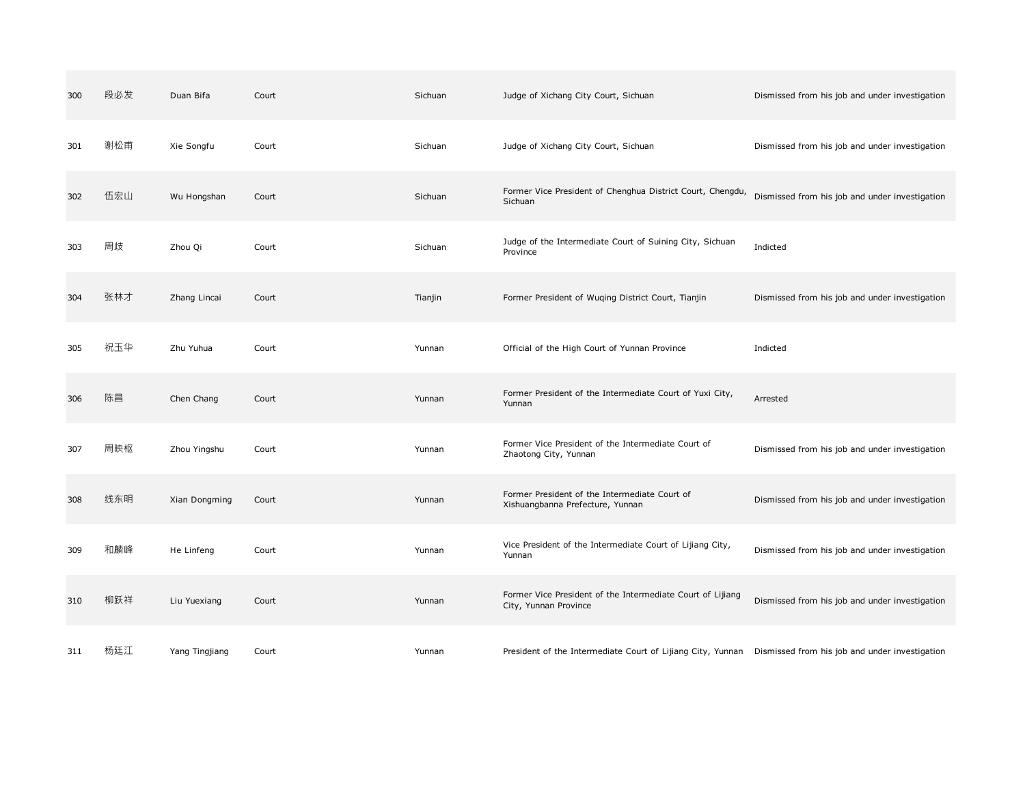| 300 | 段必发 | Duan Bifa      | Court | Sichuan | Judge of Xichang City Court, Sichuan                                                                       | Dismissed from his job and under investigation |
|-----|-----|----------------|-------|---------|------------------------------------------------------------------------------------------------------------|------------------------------------------------|
| 301 | 谢松甫 | Xie Songfu     | Court | Sichuan | Judge of Xichang City Court, Sichuan                                                                       | Dismissed from his job and under investigation |
| 302 | 伍宏山 | Wu Hongshan    | Court | Sichuan | Former Vice President of Chenghua District Court, Chengdu,<br>Sichuan                                      | Dismissed from his job and under investigation |
| 303 | 周歧  | Zhou Qi        | Court | Sichuan | Judge of the Intermediate Court of Suining City, Sichuan<br>Province                                       | Indicted                                       |
| 304 | 张林才 | Zhang Lincai   | Court | Tianjin | Former President of Wuqing District Court, Tianjin                                                         | Dismissed from his job and under investigation |
| 305 | 祝玉华 | Zhu Yuhua      | Court | Yunnan  | Official of the High Court of Yunnan Province                                                              | Indicted                                       |
| 306 | 陈昌  | Chen Chang     | Court | Yunnan  | Former President of the Intermediate Court of Yuxi City,<br>Yunnan                                         | Arrested                                       |
| 307 | 周映枢 | Zhou Yingshu   | Court | Yunnan  | Former Vice President of the Intermediate Court of<br>Zhaotong City, Yunnan                                | Dismissed from his job and under investigation |
| 308 | 线东明 | Xian Dongming  | Court | Yunnan  | Former President of the Intermediate Court of<br>Xishuangbanna Prefecture, Yunnan                          | Dismissed from his job and under investigation |
| 309 | 和麟峰 | He Linfeng     | Court | Yunnan  | Vice President of the Intermediate Court of Lijiang City,<br>Yunnan                                        | Dismissed from his job and under investigation |
| 310 | 柳跃祥 | Liu Yuexiang   | Court | Yunnan  | Former Vice President of the Intermediate Court of Lijiang<br>City, Yunnan Province                        | Dismissed from his job and under investigation |
| 311 | 杨廷江 | Yang Tingjiang | Court | Yunnan  | President of the Intermediate Court of Lijiang City, Yunnan Dismissed from his job and under investigation |                                                |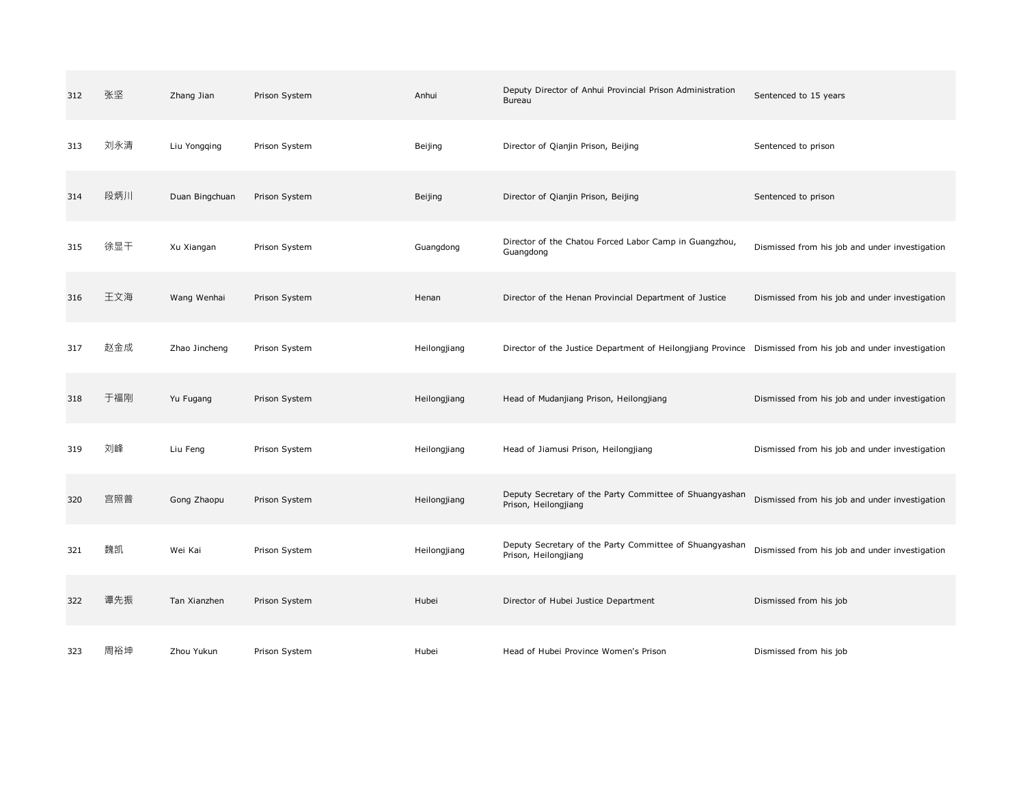| 312 | 张坚  | Zhang Jian     | Prison System | Anhui        | Deputy Director of Anhui Provincial Prison Administration<br>Bureau                                        | Sentenced to 15 years                          |
|-----|-----|----------------|---------------|--------------|------------------------------------------------------------------------------------------------------------|------------------------------------------------|
| 313 | 刘永清 | Liu Yongqing   | Prison System | Beijing      | Director of Qianjin Prison, Beijing                                                                        | Sentenced to prison                            |
| 314 | 段炳川 | Duan Bingchuan | Prison System | Beijing      | Director of Qianjin Prison, Beijing                                                                        | Sentenced to prison                            |
| 315 | 徐显干 | Xu Xiangan     | Prison System | Guangdong    | Director of the Chatou Forced Labor Camp in Guangzhou,<br>Guangdong                                        | Dismissed from his job and under investigation |
| 316 | 王文海 | Wang Wenhai    | Prison System | Henan        | Director of the Henan Provincial Department of Justice                                                     | Dismissed from his job and under investigation |
| 317 | 赵金成 | Zhao Jincheng  | Prison System | Heilongjiang | Director of the Justice Department of Heilongjiang Province Dismissed from his job and under investigation |                                                |
| 318 | 于福刚 | Yu Fugang      | Prison System | Heilongjiang | Head of Mudanjiang Prison, Heilongjiang                                                                    | Dismissed from his job and under investigation |
| 319 | 刘峰  | Liu Feng       | Prison System | Heilongjiang | Head of Jiamusi Prison, Heilongjiang                                                                       | Dismissed from his job and under investigation |
| 320 | 宫照普 | Gong Zhaopu    | Prison System | Heilongjiang | Deputy Secretary of the Party Committee of Shuangyashan<br>Prison, Heilongjiang                            | Dismissed from his job and under investigation |
| 321 | 魏凯  | Wei Kai        | Prison System | Heilongjiang | Deputy Secretary of the Party Committee of Shuangyashan<br>Prison, Heilongjiang                            | Dismissed from his job and under investigation |
| 322 | 谭先振 | Tan Xianzhen   | Prison System | Hubei        | Director of Hubei Justice Department                                                                       | Dismissed from his job                         |
| 323 | 周裕坤 | Zhou Yukun     | Prison System | Hubei        | Head of Hubei Province Women's Prison                                                                      | Dismissed from his job                         |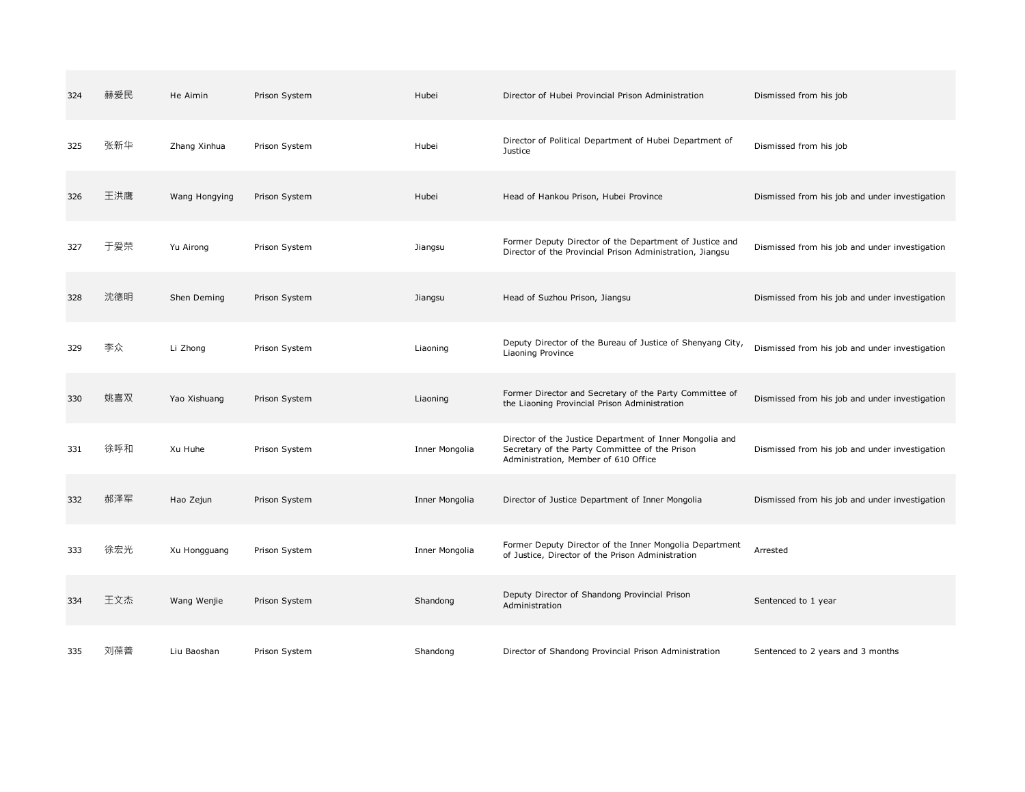| 324 | 赫爱民 | He Aimin      | Prison System | Hubei          | Director of Hubei Provincial Prison Administration                                                                                                 | Dismissed from his job                         |
|-----|-----|---------------|---------------|----------------|----------------------------------------------------------------------------------------------------------------------------------------------------|------------------------------------------------|
| 325 | 张新华 | Zhang Xinhua  | Prison System | Hubei          | Director of Political Department of Hubei Department of<br>Justice                                                                                 | Dismissed from his job                         |
| 326 | 王洪鹰 | Wang Hongying | Prison System | Hubei          | Head of Hankou Prison, Hubei Province                                                                                                              | Dismissed from his job and under investigation |
| 327 | 于爱荣 | Yu Airong     | Prison System | Jiangsu        | Former Deputy Director of the Department of Justice and<br>Director of the Provincial Prison Administration, Jiangsu                               | Dismissed from his job and under investigation |
| 328 | 沈德明 | Shen Deming   | Prison System | Jiangsu        | Head of Suzhou Prison, Jiangsu                                                                                                                     | Dismissed from his job and under investigation |
| 329 | 李众  | Li Zhong      | Prison System | Liaoning       | Deputy Director of the Bureau of Justice of Shenyang City,<br>Liaoning Province                                                                    | Dismissed from his job and under investigation |
| 330 | 姚喜双 | Yao Xishuang  | Prison System | Liaoning       | Former Director and Secretary of the Party Committee of<br>the Liaoning Provincial Prison Administration                                           | Dismissed from his job and under investigation |
| 331 | 徐呼和 | Xu Huhe       | Prison System | Inner Mongolia | Director of the Justice Department of Inner Mongolia and<br>Secretary of the Party Committee of the Prison<br>Administration, Member of 610 Office | Dismissed from his job and under investigation |
| 332 | 郝泽军 | Hao Zejun     | Prison System | Inner Mongolia | Director of Justice Department of Inner Mongolia                                                                                                   | Dismissed from his job and under investigation |
| 333 | 徐宏光 | Xu Hongguang  | Prison System | Inner Mongolia | Former Deputy Director of the Inner Mongolia Department<br>of Justice, Director of the Prison Administration                                       | Arrested                                       |
| 334 | 王文杰 | Wang Wenjie   | Prison System | Shandong       | Deputy Director of Shandong Provincial Prison<br>Administration                                                                                    | Sentenced to 1 year                            |
| 335 | 刘葆善 | Liu Baoshan   | Prison System | Shandong       | Director of Shandong Provincial Prison Administration                                                                                              | Sentenced to 2 years and 3 months              |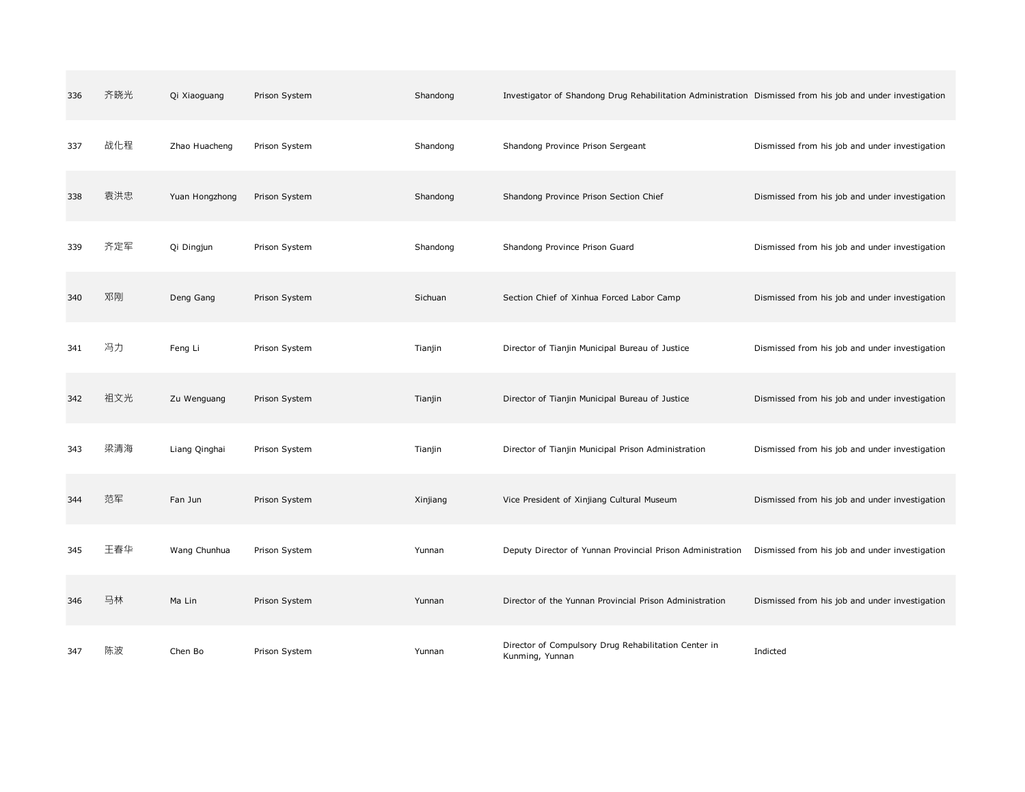| 336 | 齐晓光 | Qi Xiaoguang   | Prison System | Shandong | Investigator of Shandong Drug Rehabilitation Administration Dismissed from his job and under investigation |                                                |
|-----|-----|----------------|---------------|----------|------------------------------------------------------------------------------------------------------------|------------------------------------------------|
| 337 | 战化程 | Zhao Huacheng  | Prison System | Shandong | Shandong Province Prison Sergeant                                                                          | Dismissed from his job and under investigation |
| 338 | 袁洪忠 | Yuan Hongzhong | Prison System | Shandong | Shandong Province Prison Section Chief                                                                     | Dismissed from his job and under investigation |
| 339 | 齐定军 | Qi Dingjun     | Prison System | Shandong | Shandong Province Prison Guard                                                                             | Dismissed from his job and under investigation |
| 340 | 邓刚  | Deng Gang      | Prison System | Sichuan  | Section Chief of Xinhua Forced Labor Camp                                                                  | Dismissed from his job and under investigation |
| 341 | 冯力  | Feng Li        | Prison System | Tianjin  | Director of Tianjin Municipal Bureau of Justice                                                            | Dismissed from his job and under investigation |
| 342 | 祖文光 | Zu Wenguang    | Prison System | Tianjin  | Director of Tianjin Municipal Bureau of Justice                                                            | Dismissed from his job and under investigation |
| 343 | 梁清海 | Liang Qinghai  | Prison System | Tianjin  | Director of Tianjin Municipal Prison Administration                                                        | Dismissed from his job and under investigation |
| 344 | 范军  | Fan Jun        | Prison System | Xinjiang | Vice President of Xinjiang Cultural Museum                                                                 | Dismissed from his job and under investigation |
| 345 | 王春华 | Wang Chunhua   | Prison System | Yunnan   | Deputy Director of Yunnan Provincial Prison Administration                                                 | Dismissed from his job and under investigation |
| 346 | 马林  | Ma Lin         | Prison System | Yunnan   | Director of the Yunnan Provincial Prison Administration                                                    | Dismissed from his job and under investigation |
| 347 | 陈波  | Chen Bo        | Prison System | Yunnan   | Director of Compulsory Drug Rehabilitation Center in<br>Kunming, Yunnan                                    | Indicted                                       |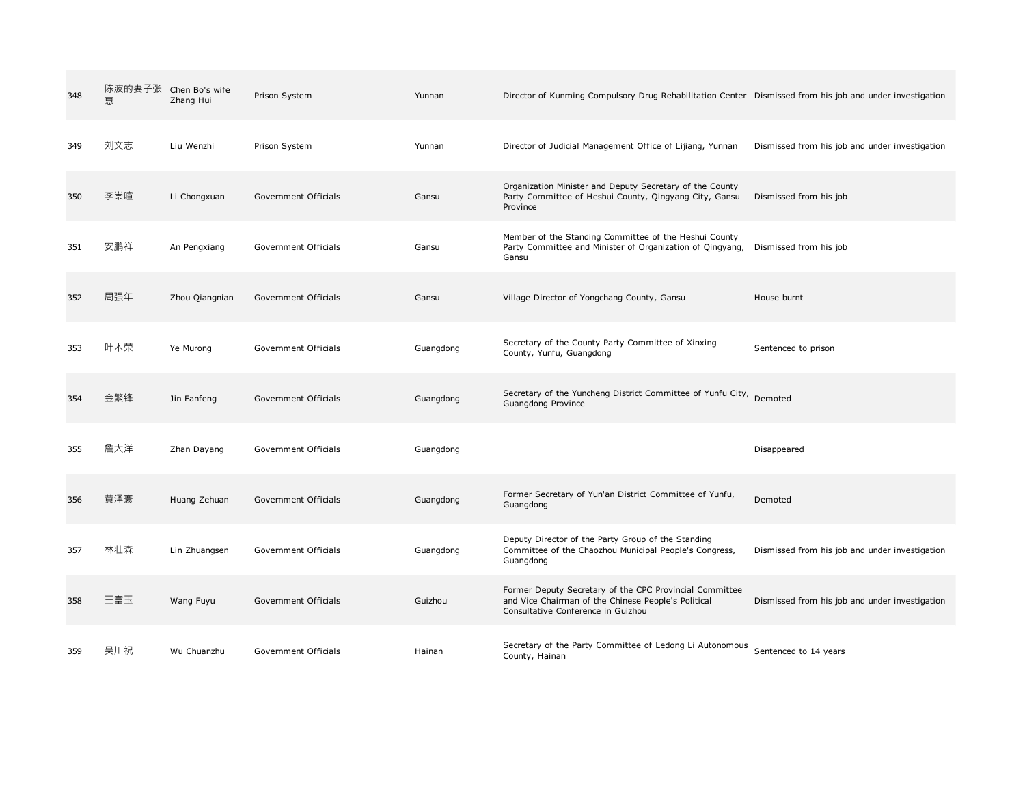| 348 | 惠   | 陈波的妻子张 Chen Bo's wife<br>Zhang Hui | Prison System        | Yunnan    | Director of Kunming Compulsory Drug Rehabilitation Center Dismissed from his job and under investigation                                             |                                                |
|-----|-----|------------------------------------|----------------------|-----------|------------------------------------------------------------------------------------------------------------------------------------------------------|------------------------------------------------|
| 349 | 刘文志 | Liu Wenzhi                         | Prison System        | Yunnan    | Director of Judicial Management Office of Lijiang, Yunnan                                                                                            | Dismissed from his job and under investigation |
| 350 | 李崇暄 | Li Chongxuan                       | Government Officials | Gansu     | Organization Minister and Deputy Secretary of the County<br>Party Committee of Heshui County, Qingyang City, Gansu<br>Province                       | Dismissed from his job                         |
| 351 | 安鹏祥 | An Pengxiang                       | Government Officials | Gansu     | Member of the Standing Committee of the Heshui County<br>Party Committee and Minister of Organization of Qingyang,<br>Gansu                          | Dismissed from his job                         |
| 352 | 周强年 | Zhou Qiangnian                     | Government Officials | Gansu     | Village Director of Yongchang County, Gansu                                                                                                          | House burnt                                    |
| 353 | 叶木荣 | Ye Murong                          | Government Officials | Guangdong | Secretary of the County Party Committee of Xinxing<br>County, Yunfu, Guangdong                                                                       | Sentenced to prison                            |
| 354 | 金繁锋 | Jin Fanfeng                        | Government Officials | Guangdong | Secretary of the Yuncheng District Committee of Yunfu City, Demoted<br>Guangdong Province                                                            |                                                |
| 355 | 詹大洋 | Zhan Dayang                        | Government Officials | Guangdong |                                                                                                                                                      | Disappeared                                    |
| 356 | 黄泽寰 | Huang Zehuan                       | Government Officials | Guangdong | Former Secretary of Yun'an District Committee of Yunfu,<br>Guangdong                                                                                 | Demoted                                        |
| 357 | 林壮森 | Lin Zhuangsen                      | Government Officials | Guangdong | Deputy Director of the Party Group of the Standing<br>Committee of the Chaozhou Municipal People's Congress,<br>Guangdong                            | Dismissed from his job and under investigation |
| 358 | 王富玉 | Wang Fuyu                          | Government Officials | Guizhou   | Former Deputy Secretary of the CPC Provincial Committee<br>and Vice Chairman of the Chinese People's Political<br>Consultative Conference in Guizhou | Dismissed from his job and under investigation |
| 359 | 吴川祝 | Wu Chuanzhu                        | Government Officials | Hainan    | Secretary of the Party Committee of Ledong Li Autonomous<br>County, Hainan                                                                           | Sentenced to 14 years                          |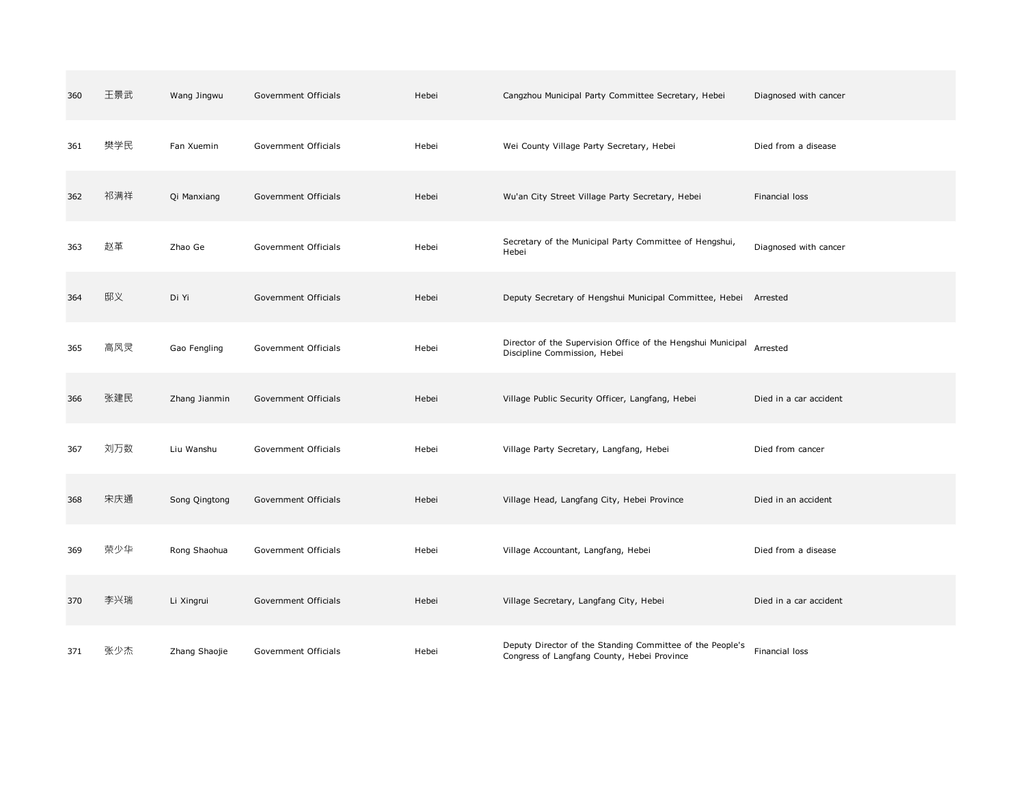| 360 | 王景武 | Wang Jingwu   | Government Officials | Hebei | Cangzhou Municipal Party Committee Secretary, Hebei                                                      | Diagnosed with cancer  |
|-----|-----|---------------|----------------------|-------|----------------------------------------------------------------------------------------------------------|------------------------|
| 361 | 樊学民 | Fan Xuemin    | Government Officials | Hebei | Wei County Village Party Secretary, Hebei                                                                | Died from a disease    |
| 362 | 祁满祥 | Qi Manxiang   | Government Officials | Hebei | Wu'an City Street Village Party Secretary, Hebei                                                         | Financial loss         |
| 363 | 赵革  | Zhao Ge       | Government Officials | Hebei | Secretary of the Municipal Party Committee of Hengshui,<br>Hebei                                         | Diagnosed with cancer  |
| 364 | 邸义  | Di Yi         | Government Officials | Hebei | Deputy Secretary of Hengshui Municipal Committee, Hebei Arrested                                         |                        |
| 365 | 高凤灵 | Gao Fengling  | Government Officials | Hebei | Director of the Supervision Office of the Hengshui Municipal<br>Discipline Commission, Hebei             | Arrested               |
| 366 | 张建民 | Zhang Jianmin | Government Officials | Hebei | Village Public Security Officer, Langfang, Hebei                                                         | Died in a car accident |
| 367 | 刘万数 | Liu Wanshu    | Government Officials | Hebei | Village Party Secretary, Langfang, Hebei                                                                 | Died from cancer       |
| 368 | 宋庆通 | Song Qingtong | Government Officials | Hebei | Village Head, Langfang City, Hebei Province                                                              | Died in an accident    |
| 369 | 荣少华 | Rong Shaohua  | Government Officials | Hebei | Village Accountant, Langfang, Hebei                                                                      | Died from a disease    |
| 370 | 李兴瑞 | Li Xingrui    | Government Officials | Hebei | Village Secretary, Langfang City, Hebei                                                                  | Died in a car accident |
| 371 | 张少杰 | Zhang Shaojie | Government Officials | Hebei | Deputy Director of the Standing Committee of the People's<br>Congress of Langfang County, Hebei Province | Financial loss         |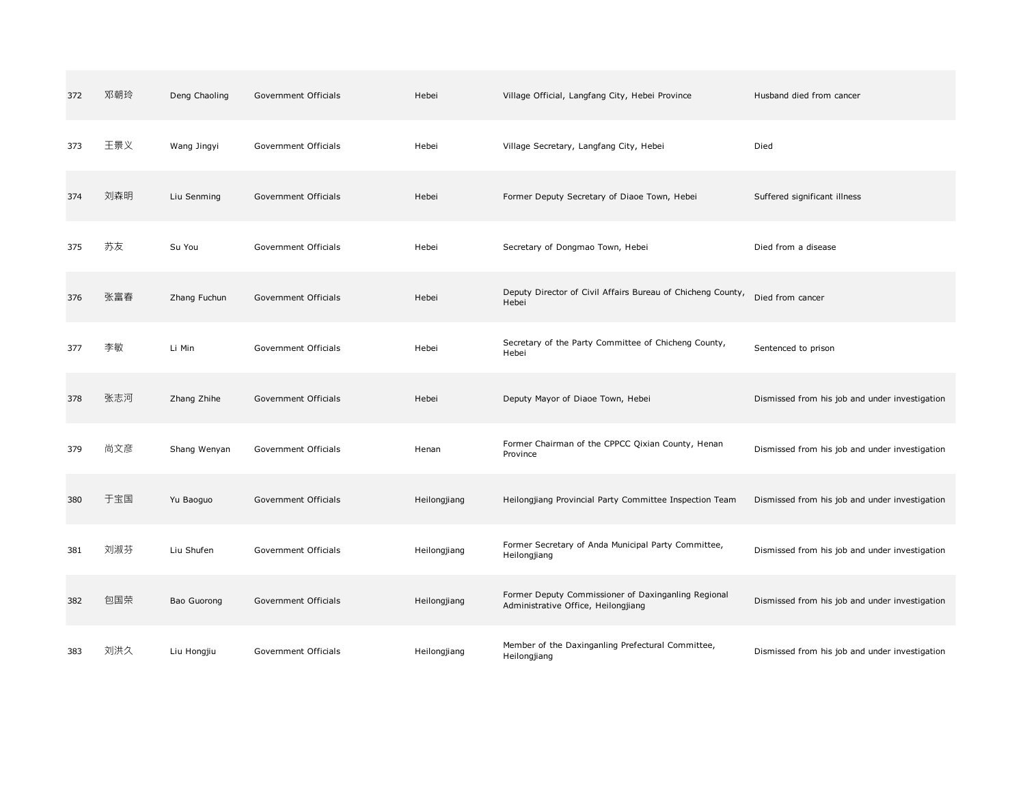| 372 | 邓朝玲 | Deng Chaoling | Government Officials | Hebei        | Village Official, Langfang City, Hebei Province                                            | Husband died from cancer                       |
|-----|-----|---------------|----------------------|--------------|--------------------------------------------------------------------------------------------|------------------------------------------------|
| 373 | 王景义 | Wang Jingyi   | Government Officials | Hebei        | Village Secretary, Langfang City, Hebei                                                    | Died                                           |
| 374 | 刘森明 | Liu Senming   | Government Officials | Hebei        | Former Deputy Secretary of Diaoe Town, Hebei                                               | Suffered significant illness                   |
| 375 | 苏友  | Su You        | Government Officials | Hebei        | Secretary of Dongmao Town, Hebei                                                           | Died from a disease                            |
| 376 | 张富春 | Zhang Fuchun  | Government Officials | Hebei        | Deputy Director of Civil Affairs Bureau of Chicheng County,<br>Hebei                       | Died from cancer                               |
| 377 | 李敏  | Li Min        | Government Officials | Hebei        | Secretary of the Party Committee of Chicheng County,<br>Hebei                              | Sentenced to prison                            |
| 378 | 张志河 | Zhang Zhihe   | Government Officials | Hebei        | Deputy Mayor of Diaoe Town, Hebei                                                          | Dismissed from his job and under investigation |
| 379 | 尚文彦 | Shang Wenyan  | Government Officials | Henan        | Former Chairman of the CPPCC Qixian County, Henan<br>Province                              | Dismissed from his job and under investigation |
| 380 | 干宝国 | Yu Baoguo     | Government Officials | Heilongjiang | Heilongjiang Provincial Party Committee Inspection Team                                    | Dismissed from his job and under investigation |
| 381 | 刘淑芬 | Liu Shufen    | Government Officials | Heilongjiang | Former Secretary of Anda Municipal Party Committee,<br>Heilongjiang                        | Dismissed from his job and under investigation |
| 382 | 包国荣 | Bao Guorong   | Government Officials | Heilongjiang | Former Deputy Commissioner of Daxinganling Regional<br>Administrative Office, Heilongjiang | Dismissed from his job and under investigation |
| 383 | 刘洪久 | Liu Hongjiu   | Government Officials | Heilongjiang | Member of the Daxinganling Prefectural Committee,<br>Heilongjiang                          | Dismissed from his job and under investigation |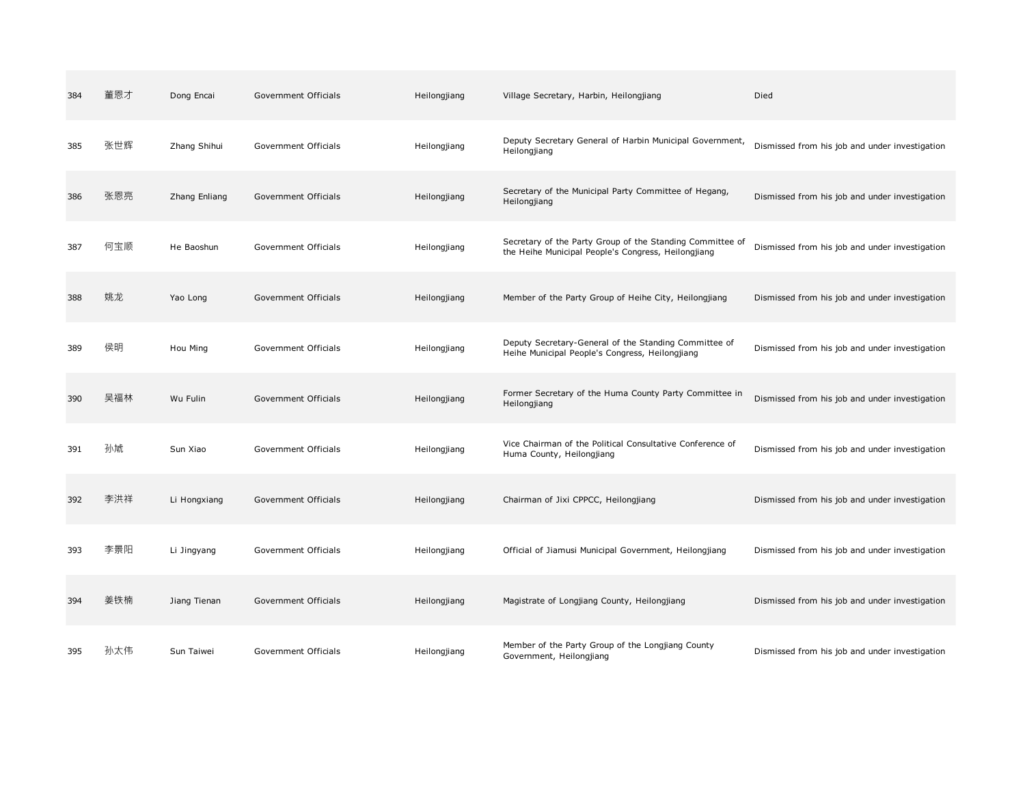| 384 | 董恩才 | Dong Encai    | Government Officials | Heilongjiang | Village Secretary, Harbin, Heilongjiang                                                                          | Died                                           |
|-----|-----|---------------|----------------------|--------------|------------------------------------------------------------------------------------------------------------------|------------------------------------------------|
| 385 | 张世辉 | Zhang Shihui  | Government Officials | Heilongjiang | Deputy Secretary General of Harbin Municipal Government,<br>Heilongjiang                                         | Dismissed from his job and under investigation |
| 386 | 张恩亮 | Zhang Enliang | Government Officials | Heilongjiang | Secretary of the Municipal Party Committee of Hegang,<br>Heilongjiang                                            | Dismissed from his job and under investigation |
| 387 | 何宝顺 | He Baoshun    | Government Officials | Heilongjiang | Secretary of the Party Group of the Standing Committee of<br>the Heihe Municipal People's Congress, Heilongjiang | Dismissed from his job and under investigation |
| 388 | 姚龙  | Yao Long      | Government Officials | Heilongjiang | Member of the Party Group of Heihe City, Heilongjiang                                                            | Dismissed from his job and under investigation |
| 389 | 侯明  | Hou Ming      | Government Officials | Heilongjiang | Deputy Secretary-General of the Standing Committee of<br>Heihe Municipal People's Congress, Heilongjiang         | Dismissed from his job and under investigation |
| 390 | 吴福林 | Wu Fulin      | Government Officials | Heilongjiang | Former Secretary of the Huma County Party Committee in<br>Heilongjiang                                           | Dismissed from his job and under investigation |
| 391 | 孙虓  | Sun Xiao      | Government Officials | Heilongjiang | Vice Chairman of the Political Consultative Conference of<br>Huma County, Heilongjiang                           | Dismissed from his job and under investigation |
| 392 | 李洪祥 | Li Hongxiang  | Government Officials | Heilongjiang | Chairman of Jixi CPPCC, Heilongjiang                                                                             | Dismissed from his job and under investigation |
| 393 | 李景阳 | Li Jingyang   | Government Officials | Heilongjiang | Official of Jiamusi Municipal Government, Heilongjiang                                                           | Dismissed from his job and under investigation |
| 394 | 姜铁楠 | Jiang Tienan  | Government Officials | Heilongjiang | Magistrate of Longjiang County, Heilongjiang                                                                     | Dismissed from his job and under investigation |
| 395 | 孙太伟 | Sun Taiwei    | Government Officials | Heilongjiang | Member of the Party Group of the Longjiang County<br>Government, Heilongjiang                                    | Dismissed from his job and under investigation |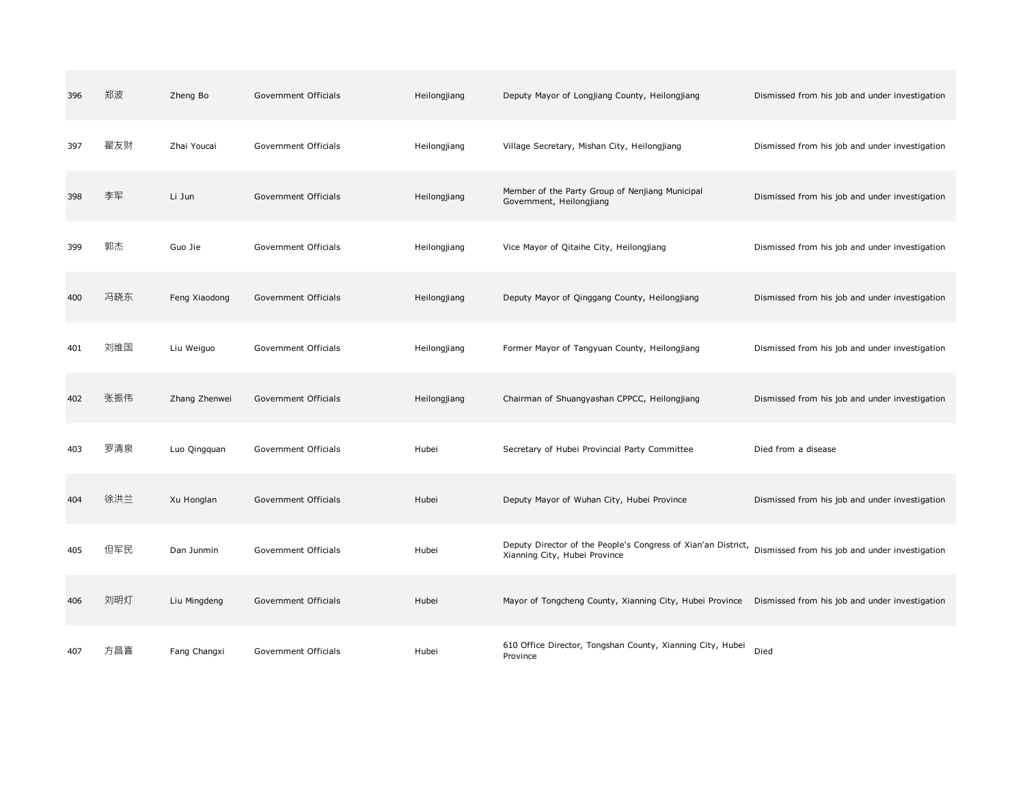| 396 | 郑波  | Zheng Bo      | Government Officials | Heilongjiang | Deputy Mayor of Longjiang County, Heilongjiang                                                                                                | Dismissed from his job and under investigation |
|-----|-----|---------------|----------------------|--------------|-----------------------------------------------------------------------------------------------------------------------------------------------|------------------------------------------------|
| 397 | 翟友财 | Zhai Youcai   | Government Officials | Heilongjiang | Village Secretary, Mishan City, Heilongjiang                                                                                                  | Dismissed from his job and under investigation |
| 398 | 李军  | Li Jun        | Government Officials | Heilongjiang | Member of the Party Group of Nenjiang Municipal<br>Government, Heilongjiang                                                                   | Dismissed from his job and under investigation |
| 399 | 郭杰  | Guo Jie       | Government Officials | Heilongjiang | Vice Mayor of Qitaihe City, Heilongjiang                                                                                                      | Dismissed from his job and under investigation |
| 400 | 冯晓东 | Feng Xiaodong | Government Officials | Heilongjiang | Deputy Mayor of Qinggang County, Heilongjiang                                                                                                 | Dismissed from his job and under investigation |
| 401 | 刘维国 | Liu Weiguo    | Government Officials | Heilongjiang | Former Mayor of Tangyuan County, Heilongjiang                                                                                                 | Dismissed from his job and under investigation |
| 402 | 张振伟 | Zhang Zhenwei | Government Officials | Heilongjiang | Chairman of Shuangyashan CPPCC, Heilongjiang                                                                                                  | Dismissed from his job and under investigation |
| 403 | 罗清泉 | Luo Qingquan  | Government Officials | Hubei        | Secretary of Hubei Provincial Party Committee                                                                                                 | Died from a disease                            |
| 404 | 徐洪兰 | Xu Honglan    | Government Officials | Hubei        | Deputy Mayor of Wuhan City, Hubei Province                                                                                                    | Dismissed from his job and under investigation |
| 405 | 但军民 | Dan Junmin    | Government Officials | Hubei        | Deputy Director of the People's Congress of Xian'an District, Dismissed from his job and under investigation<br>Xianning City, Hubei Province |                                                |
| 406 | 刘明灯 | Liu Mingdeng  | Government Officials | Hubei        | Mayor of Tongcheng County, Xianning City, Hubei Province  Dismissed from his job and under investigation                                      |                                                |
| 407 | 方昌喜 | Fang Changxi  | Government Officials | Hubei        | 610 Office Director, Tongshan County, Xianning City, Hubei<br>Province                                                                        | Died                                           |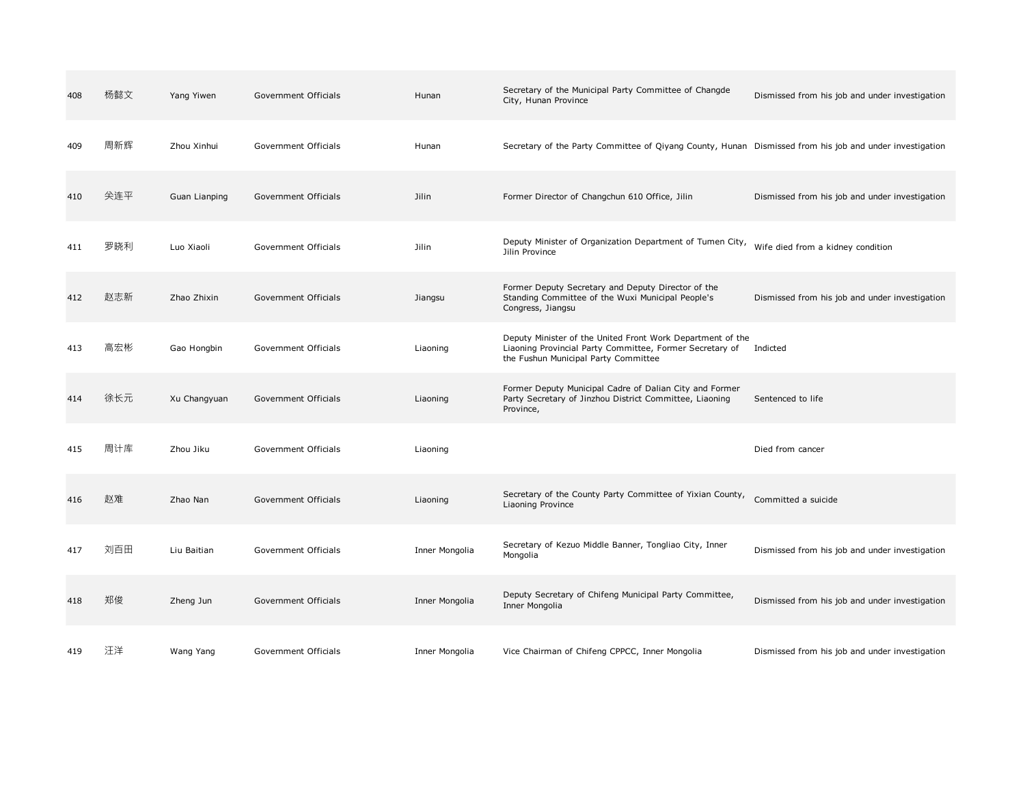| 408 | 杨懿文 | Yang Yiwen    | Government Officials | Hunan          | Secretary of the Municipal Party Committee of Changde<br>City, Hunan Province                                                                                  | Dismissed from his job and under investigation |
|-----|-----|---------------|----------------------|----------------|----------------------------------------------------------------------------------------------------------------------------------------------------------------|------------------------------------------------|
| 409 | 周新辉 | Zhou Xinhui   | Government Officials | Hunan          | Secretary of the Party Committee of Qiyang County, Hunan Dismissed from his job and under investigation                                                        |                                                |
| 410 | 关连平 | Guan Lianping | Government Officials | Jilin          | Former Director of Changchun 610 Office, Jilin                                                                                                                 | Dismissed from his job and under investigation |
| 411 | 罗晓利 | Luo Xiaoli    | Government Officials | Jilin          | Deputy Minister of Organization Department of Tumen City,<br>Jilin Province                                                                                    | Wife died from a kidney condition              |
| 412 | 赵志新 | Zhao Zhixin   | Government Officials | Jiangsu        | Former Deputy Secretary and Deputy Director of the<br>Standing Committee of the Wuxi Municipal People's<br>Congress, Jiangsu                                   | Dismissed from his job and under investigation |
| 413 | 高宏彬 | Gao Hongbin   | Government Officials | Liaoning       | Deputy Minister of the United Front Work Department of the<br>Liaoning Provincial Party Committee, Former Secretary of<br>the Fushun Municipal Party Committee | Indicted                                       |
| 414 | 徐长元 | Xu Changyuan  | Government Officials | Liaoning       | Former Deputy Municipal Cadre of Dalian City and Former<br>Party Secretary of Jinzhou District Committee, Liaoning<br>Province,                                | Sentenced to life                              |
| 415 | 周计库 | Zhou Jiku     | Government Officials | Liaoning       |                                                                                                                                                                | Died from cancer                               |
| 416 | 赵难  | Zhao Nan      | Government Officials | Liaoning       | Secretary of the County Party Committee of Yixian County,<br>Liaoning Province                                                                                 | Committed a suicide                            |
| 417 | 刘百田 | Liu Baitian   | Government Officials | Inner Mongolia | Secretary of Kezuo Middle Banner, Tongliao City, Inner<br>Mongolia                                                                                             | Dismissed from his job and under investigation |
| 418 | 郑俊  | Zheng Jun     | Government Officials | Inner Mongolia | Deputy Secretary of Chifeng Municipal Party Committee,<br>Inner Mongolia                                                                                       | Dismissed from his job and under investigation |
| 419 | 汪洋  | Wang Yang     | Government Officials | Inner Mongolia | Vice Chairman of Chifeng CPPCC, Inner Mongolia                                                                                                                 | Dismissed from his job and under investigation |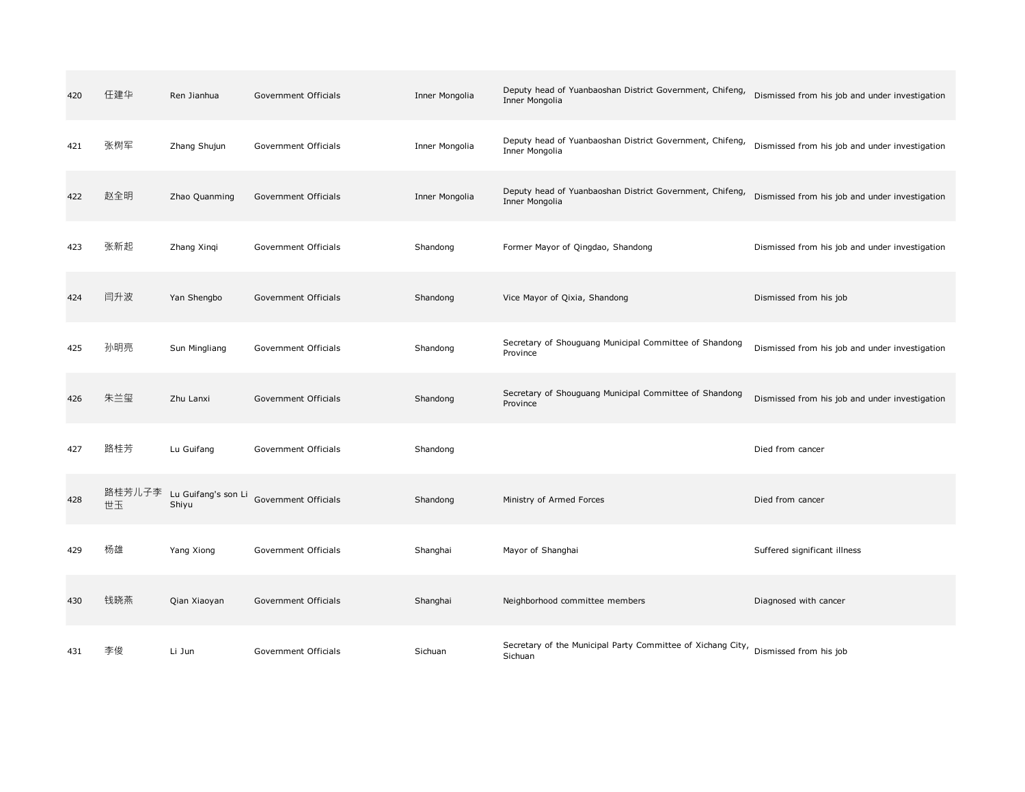| 420 | 任建华 | Ren Jianhua                         | Government Officials | Inner Mongolia | Deputy head of Yuanbaoshan District Government, Chifeng,<br>Inner Mongolia                    | Dismissed from his job and under investigation |
|-----|-----|-------------------------------------|----------------------|----------------|-----------------------------------------------------------------------------------------------|------------------------------------------------|
| 421 | 张树军 | Zhang Shujun                        | Government Officials | Inner Mongolia | Deputy head of Yuanbaoshan District Government, Chifeng,<br>Inner Mongolia                    | Dismissed from his job and under investigation |
| 422 | 赵全明 | Zhao Quanming                       | Government Officials | Inner Mongolia | Deputy head of Yuanbaoshan District Government, Chifeng,<br>Inner Mongolia                    | Dismissed from his job and under investigation |
| 423 | 张新起 | Zhang Xingi                         | Government Officials | Shandong       | Former Mayor of Qingdao, Shandong                                                             | Dismissed from his job and under investigation |
| 424 | 闫升波 | Yan Shengbo                         | Government Officials | Shandong       | Vice Mayor of Qixia, Shandong                                                                 | Dismissed from his job                         |
| 425 | 孙明亮 | Sun Mingliang                       | Government Officials | Shandong       | Secretary of Shouguang Municipal Committee of Shandong<br>Province                            | Dismissed from his job and under investigation |
| 426 | 朱兰玺 | Zhu Lanxi                           | Government Officials | Shandong       | Secretary of Shouguang Municipal Committee of Shandong<br>Province                            | Dismissed from his job and under investigation |
| 427 | 路桂芳 | Lu Guifang                          | Government Officials | Shandong       |                                                                                               | Died from cancer                               |
| 428 | 世玉  | 路桂芳儿子李 Lu Guifang's son Li<br>Shiyu | Government Officials | Shandong       | Ministry of Armed Forces                                                                      | Died from cancer                               |
| 429 | 杨雄  | Yang Xiong                          | Government Officials | Shanghai       | Mayor of Shanghai                                                                             | Suffered significant illness                   |
| 430 | 钱晓燕 | Qian Xiaoyan                        | Government Officials | Shanghai       | Neighborhood committee members                                                                | Diagnosed with cancer                          |
| 431 | 李俊  | Li Jun                              | Government Officials | Sichuan        | Secretary of the Municipal Party Committee of Xichang City, Dismissed from his job<br>Sichuan |                                                |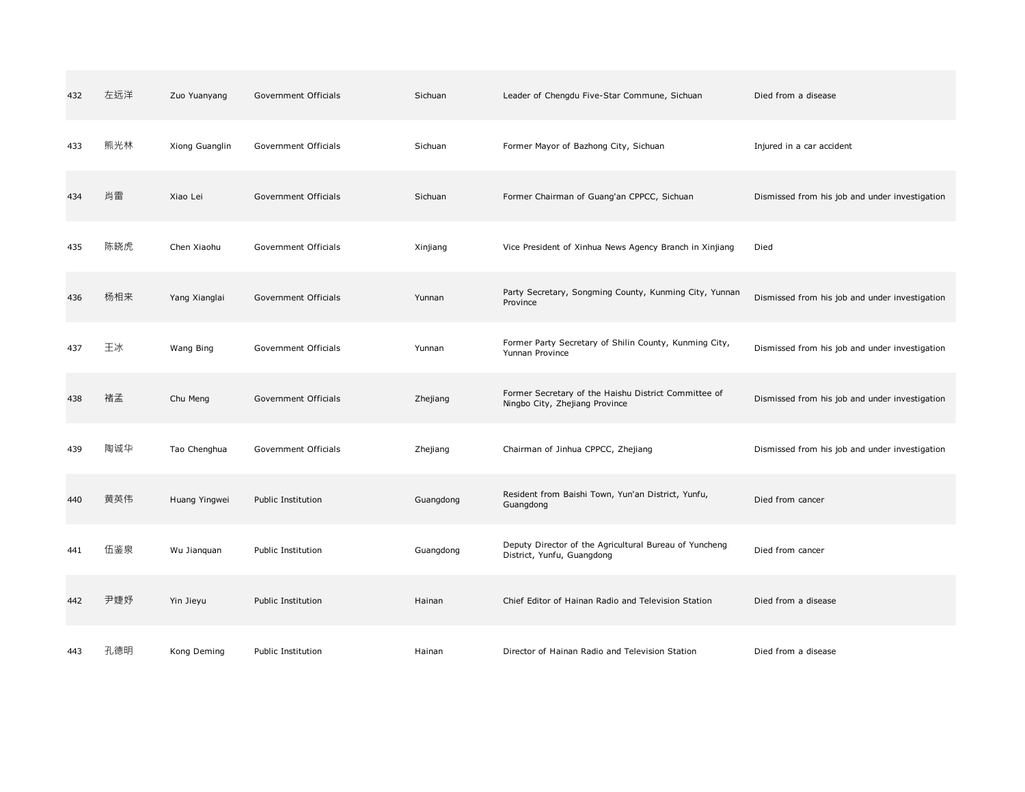| 432 | 左远洋 | Zuo Yuanyang   | Government Officials | Sichuan   | Leader of Chengdu Five-Star Commune, Sichuan                                           | Died from a disease                            |
|-----|-----|----------------|----------------------|-----------|----------------------------------------------------------------------------------------|------------------------------------------------|
| 433 | 熊光林 | Xiong Guanglin | Government Officials | Sichuan   | Former Mayor of Bazhong City, Sichuan                                                  | Injured in a car accident                      |
| 434 | 肖雷  | Xiao Lei       | Government Officials | Sichuan   | Former Chairman of Guang'an CPPCC, Sichuan                                             | Dismissed from his job and under investigation |
| 435 | 陈晓虎 | Chen Xiaohu    | Government Officials | Xinjiang  | Vice President of Xinhua News Agency Branch in Xinjiang                                | Died                                           |
| 436 | 杨相来 | Yang Xianglai  | Government Officials | Yunnan    | Party Secretary, Songming County, Kunming City, Yunnan<br>Province                     | Dismissed from his job and under investigation |
| 437 | 王冰  | Wang Bing      | Government Officials | Yunnan    | Former Party Secretary of Shilin County, Kunming City,<br>Yunnan Province              | Dismissed from his job and under investigation |
| 438 | 褚孟  | Chu Meng       | Government Officials | Zhejiang  | Former Secretary of the Haishu District Committee of<br>Ningbo City, Zhejiang Province | Dismissed from his job and under investigation |
| 439 | 陶诚华 | Tao Chenghua   | Government Officials | Zhejiang  | Chairman of Jinhua CPPCC, Zhejiang                                                     | Dismissed from his job and under investigation |
| 440 | 黄英伟 | Huang Yingwei  | Public Institution   | Guangdong | Resident from Baishi Town, Yun'an District, Yunfu,<br>Guangdong                        | Died from cancer                               |
| 441 | 伍鉴泉 | Wu Jianquan    | Public Institution   | Guangdong | Deputy Director of the Agricultural Bureau of Yuncheng<br>District, Yunfu, Guangdong   | Died from cancer                               |
| 442 | 尹婕妤 | Yin Jieyu      | Public Institution   | Hainan    | Chief Editor of Hainan Radio and Television Station                                    | Died from a disease                            |
| 443 | 孔德明 | Kong Deming    | Public Institution   | Hainan    | Director of Hainan Radio and Television Station                                        | Died from a disease                            |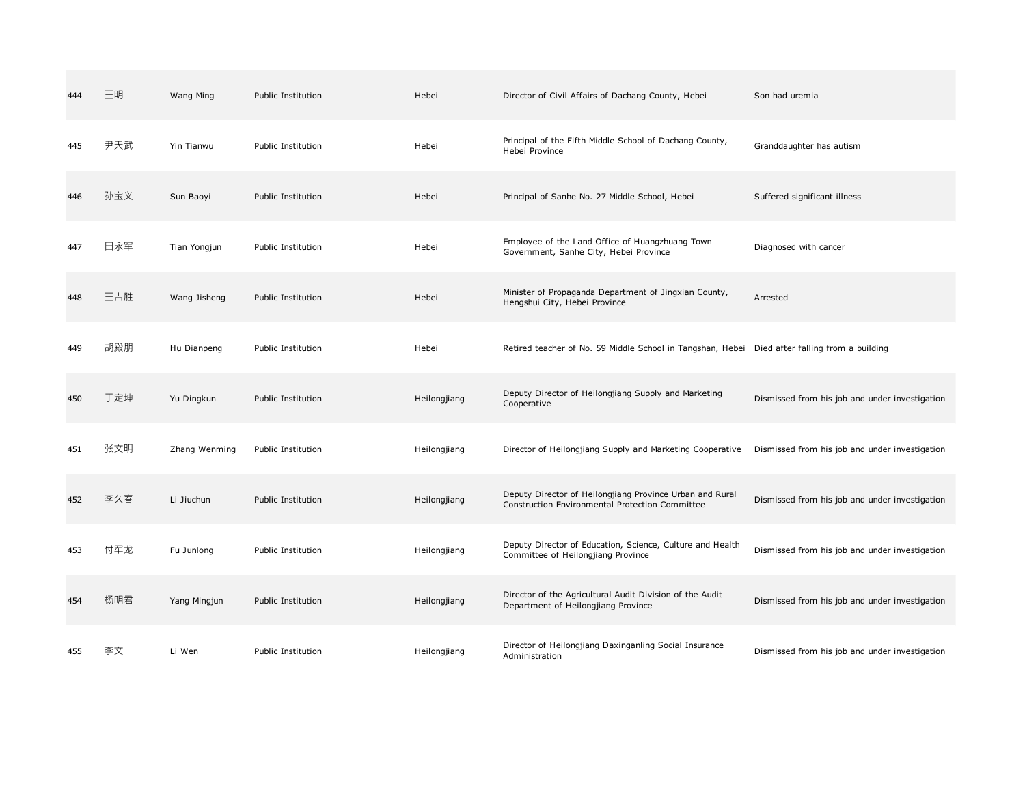| 444 | 王明  | Wang Ming     | Public Institution | Hebei        | Director of Civil Affairs of Dachang County, Hebei                                                          | Son had uremia                                 |
|-----|-----|---------------|--------------------|--------------|-------------------------------------------------------------------------------------------------------------|------------------------------------------------|
| 445 | 尹天武 | Yin Tianwu    | Public Institution | Hebei        | Principal of the Fifth Middle School of Dachang County,<br>Hebei Province                                   | Granddaughter has autism                       |
| 446 | 孙宝义 | Sun Baoyi     | Public Institution | Hebei        | Principal of Sanhe No. 27 Middle School, Hebei                                                              | Suffered significant illness                   |
| 447 | 田永军 | Tian Yongjun  | Public Institution | Hebei        | Employee of the Land Office of Huangzhuang Town<br>Government, Sanhe City, Hebei Province                   | Diagnosed with cancer                          |
| 448 | 王吉胜 | Wang Jisheng  | Public Institution | Hebei        | Minister of Propaganda Department of Jingxian County,<br>Hengshui City, Hebei Province                      | Arrested                                       |
| 449 | 胡殿朋 | Hu Dianpeng   | Public Institution | Hebei        | Retired teacher of No. 59 Middle School in Tangshan, Hebei Died after falling from a building               |                                                |
| 450 | 于定坤 | Yu Dingkun    | Public Institution | Heilongjiang | Deputy Director of Heilongjiang Supply and Marketing<br>Cooperative                                         | Dismissed from his job and under investigation |
| 451 | 张文明 | Zhang Wenming | Public Institution | Heilongjiang | Director of Heilongjiang Supply and Marketing Cooperative                                                   | Dismissed from his job and under investigation |
| 452 | 李久春 | Li Jiuchun    | Public Institution | Heilongjiang | Deputy Director of Heilongjiang Province Urban and Rural<br>Construction Environmental Protection Committee | Dismissed from his job and under investigation |
| 453 | 付军龙 | Fu Junlong    | Public Institution | Heilongjiang | Deputy Director of Education, Science, Culture and Health<br>Committee of Heilongjiang Province             | Dismissed from his job and under investigation |
| 454 | 杨明君 | Yang Mingjun  | Public Institution | Heilongjiang | Director of the Agricultural Audit Division of the Audit<br>Department of Heilongjiang Province             | Dismissed from his job and under investigation |
| 455 | 李文  | Li Wen        | Public Institution | Heilongjiang | Director of Heilongjiang Daxinganling Social Insurance<br>Administration                                    | Dismissed from his job and under investigation |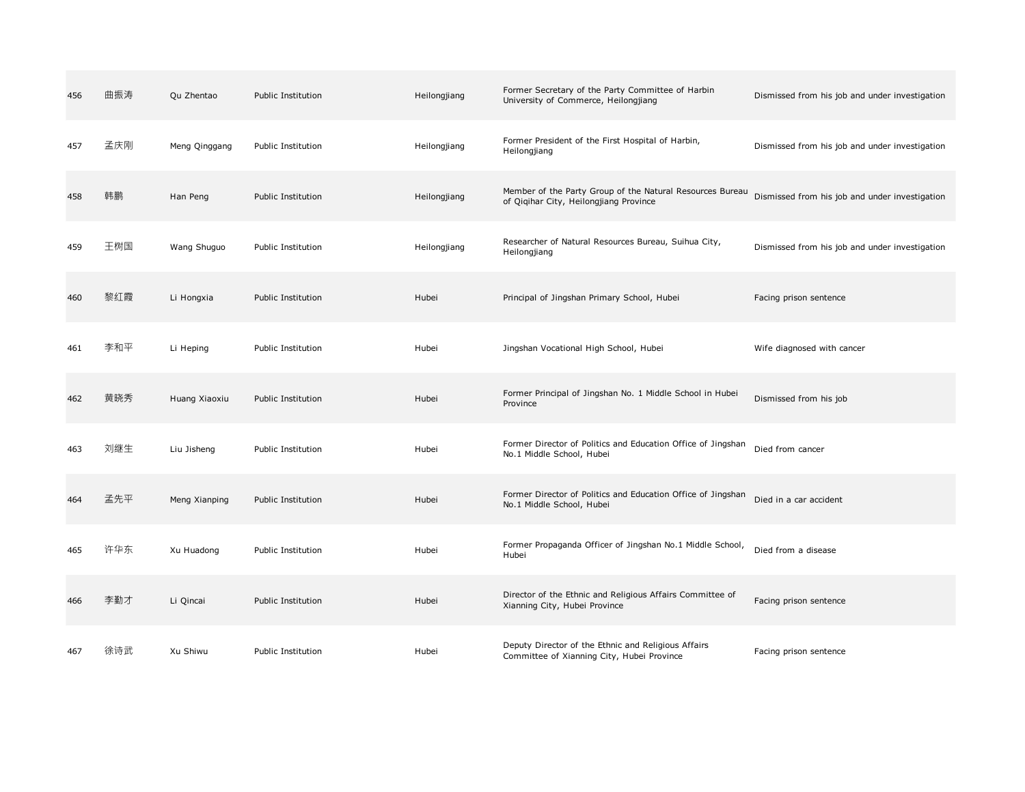| 456 | 曲振涛 | Qu Zhentao    | Public Institution | Heilongjiang | Former Secretary of the Party Committee of Harbin<br>University of Commerce, Heilongjiang           | Dismissed from his job and under investigation |
|-----|-----|---------------|--------------------|--------------|-----------------------------------------------------------------------------------------------------|------------------------------------------------|
| 457 | 孟庆刚 | Meng Qinggang | Public Institution | Heilongjiang | Former President of the First Hospital of Harbin,<br>Heilongjiang                                   | Dismissed from his job and under investigation |
| 458 | 韩鹏  | Han Peng      | Public Institution | Heilongjiang | Member of the Party Group of the Natural Resources Bureau<br>of Qiqihar City, Heilongjiang Province | Dismissed from his job and under investigation |
| 459 | 王树国 | Wang Shuguo   | Public Institution | Heilongjiang | Researcher of Natural Resources Bureau, Suihua City,<br>Heilongjiang                                | Dismissed from his job and under investigation |
| 460 | 黎红霞 | Li Hongxia    | Public Institution | Hubei        | Principal of Jingshan Primary School, Hubei                                                         | Facing prison sentence                         |
| 461 | 李和平 | Li Heping     | Public Institution | Hubei        | Jingshan Vocational High School, Hubei                                                              | Wife diagnosed with cancer                     |
| 462 | 黄晓秀 | Huang Xiaoxiu | Public Institution | Hubei        | Former Principal of Jingshan No. 1 Middle School in Hubei<br>Province                               | Dismissed from his job                         |
| 463 | 刘继生 | Liu Jisheng   | Public Institution | Hubei        | Former Director of Politics and Education Office of Jingshan<br>No.1 Middle School, Hubei           | Died from cancer                               |
| 464 | 孟先平 | Meng Xianping | Public Institution | Hubei        | Former Director of Politics and Education Office of Jingshan<br>No.1 Middle School, Hubei           | Died in a car accident                         |
| 465 | 许华东 | Xu Huadong    | Public Institution | Hubei        | Former Propaganda Officer of Jingshan No.1 Middle School,<br>Hubei                                  | Died from a disease                            |
| 466 | 李勤才 | Li Qincai     | Public Institution | Hubei        | Director of the Ethnic and Religious Affairs Committee of<br>Xianning City, Hubei Province          | Facing prison sentence                         |
| 467 | 徐诗武 | Xu Shiwu      | Public Institution | Hubei        | Deputy Director of the Ethnic and Religious Affairs<br>Committee of Xianning City, Hubei Province   | Facing prison sentence                         |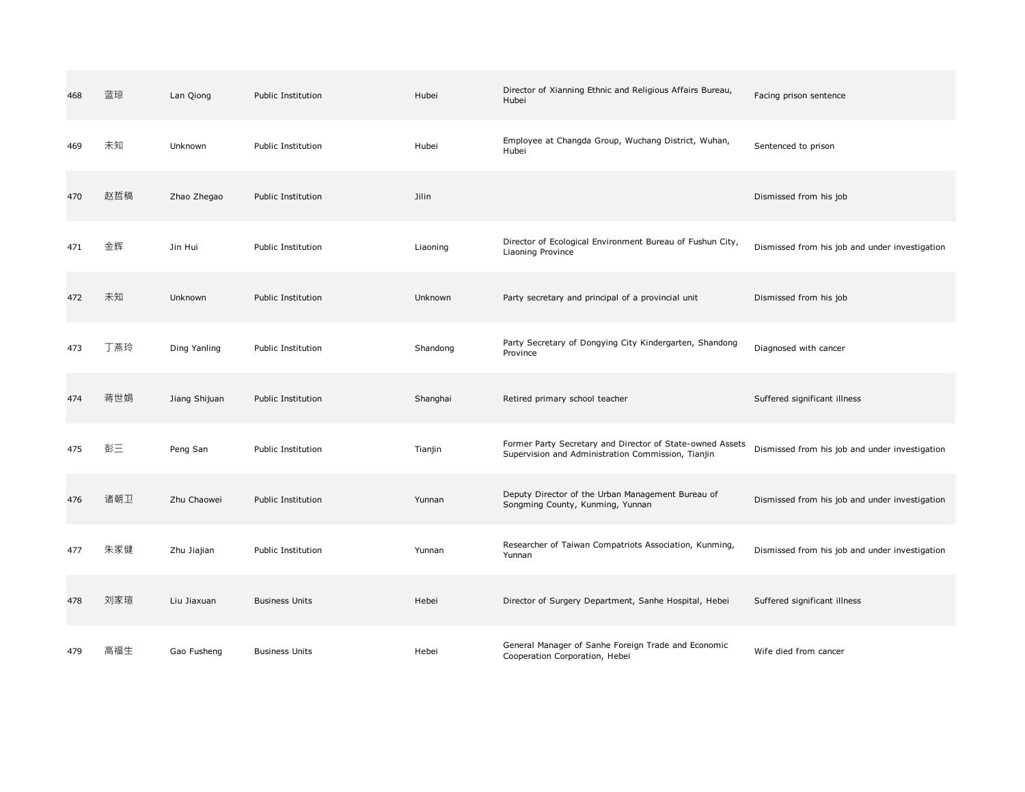| 468 | 蓝琼  | Lan Qiong     | Public Institution    | Hubei    | Director of Xianning Ethnic and Religious Affairs Bureau,<br>Hubei                                              | Facing prison sentence                         |
|-----|-----|---------------|-----------------------|----------|-----------------------------------------------------------------------------------------------------------------|------------------------------------------------|
| 469 | 未知  | Unknown       | Public Institution    | Hubei    | Employee at Changda Group, Wuchang District, Wuhan,<br>Hubei                                                    | Sentenced to prison                            |
| 470 | 赵哲稿 | Zhao Zhegao   | Public Institution    | Jilin    |                                                                                                                 | Dismissed from his job                         |
| 471 | 金辉  | Jin Hui       | Public Institution    | Liaoning | Director of Ecological Environment Bureau of Fushun City,<br>Liaoning Province                                  | Dismissed from his job and under investigation |
| 472 | 未知  | Unknown       | Public Institution    | Unknown  | Party secretary and principal of a provincial unit                                                              | Dismissed from his job                         |
| 473 | 丁燕玲 | Ding Yanling  | Public Institution    | Shandong | Party Secretary of Dongying City Kindergarten, Shandong<br>Province                                             | Diagnosed with cancer                          |
| 474 | 蒋世娟 | Jiang Shijuan | Public Institution    | Shanghai | Retired primary school teacher                                                                                  | Suffered significant illness                   |
| 475 | 彭三  | Peng San      | Public Institution    | Tianjin  | Former Party Secretary and Director of State-owned Assets<br>Supervision and Administration Commission, Tianjin | Dismissed from his job and under investigation |
| 476 | 诸朝卫 | Zhu Chaowei   | Public Institution    | Yunnan   | Deputy Director of the Urban Management Bureau of<br>Songming County, Kunming, Yunnan                           | Dismissed from his job and under investigation |
| 477 | 朱家健 | Zhu Jiajian   | Public Institution    | Yunnan   | Researcher of Taiwan Compatriots Association, Kunming,<br>Yunnan                                                | Dismissed from his job and under investigation |
| 478 | 刘家瑄 | Liu Jiaxuan   | <b>Business Units</b> | Hebei    | Director of Surgery Department, Sanhe Hospital, Hebei                                                           | Suffered significant illness                   |
| 479 | 高福生 | Gao Fusheng   | <b>Business Units</b> | Hebei    | General Manager of Sanhe Foreign Trade and Economic<br>Cooperation Corporation, Hebei                           | Wife died from cancer                          |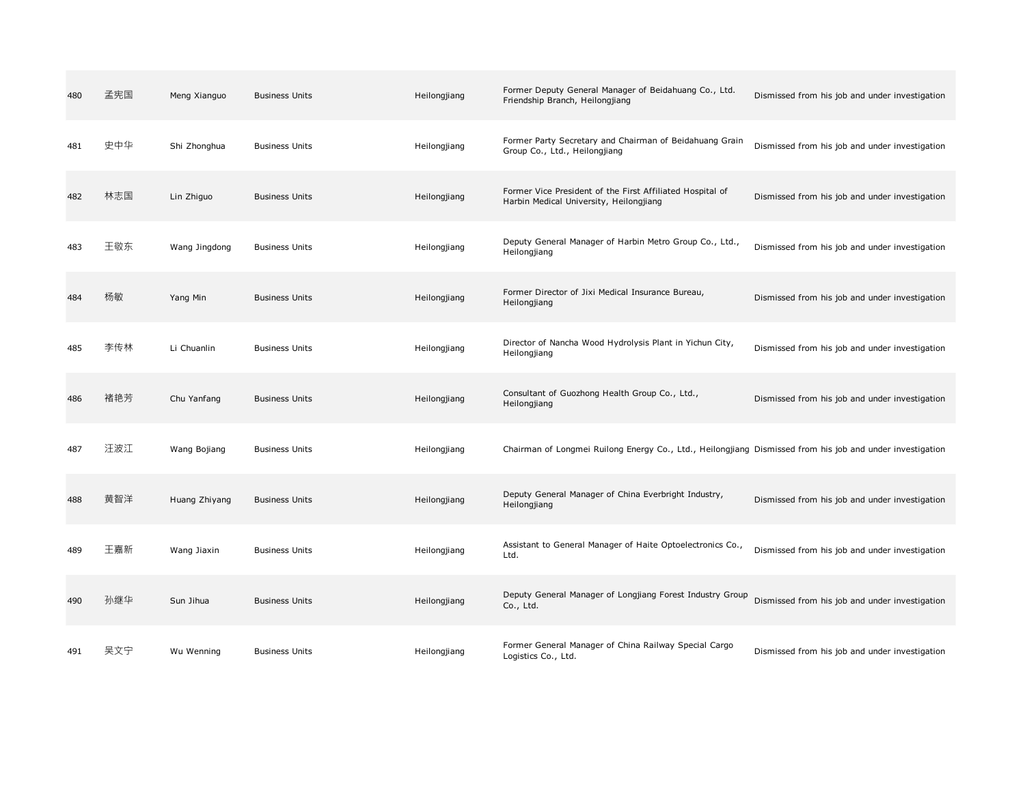| 480 | 孟宪国 | Meng Xianguo  | <b>Business Units</b> | Heilongjiang | Former Deputy General Manager of Beidahuang Co., Ltd.<br>Friendship Branch, Heilongjiang                  | Dismissed from his job and under investigation |
|-----|-----|---------------|-----------------------|--------------|-----------------------------------------------------------------------------------------------------------|------------------------------------------------|
| 481 | 史中华 | Shi Zhonghua  | <b>Business Units</b> | Heilongjiang | Former Party Secretary and Chairman of Beidahuang Grain<br>Group Co., Ltd., Heilongjiang                  | Dismissed from his job and under investigation |
| 482 | 林志国 | Lin Zhiguo    | <b>Business Units</b> | Heilongjiang | Former Vice President of the First Affiliated Hospital of<br>Harbin Medical University, Heilongjiang      | Dismissed from his job and under investigation |
| 483 | 王敬东 | Wang Jingdong | <b>Business Units</b> | Heilongjiang | Deputy General Manager of Harbin Metro Group Co., Ltd.,<br>Heilongjiang                                   | Dismissed from his job and under investigation |
| 484 | 杨敏  | Yang Min      | <b>Business Units</b> | Heilongjiang | Former Director of Jixi Medical Insurance Bureau,<br>Heilongjiang                                         | Dismissed from his job and under investigation |
| 485 | 李传林 | Li Chuanlin   | <b>Business Units</b> | Heilongjiang | Director of Nancha Wood Hydrolysis Plant in Yichun City,<br>Heilongjiang                                  | Dismissed from his job and under investigation |
| 486 | 褚艳芳 | Chu Yanfang   | <b>Business Units</b> | Heilongjiang | Consultant of Guozhong Health Group Co., Ltd.,<br>Heilongjiang                                            | Dismissed from his job and under investigation |
| 487 | 汪波江 | Wang Bojiang  | <b>Business Units</b> | Heilongjiang | Chairman of Longmei Ruilong Energy Co., Ltd., Heilongjiang Dismissed from his job and under investigation |                                                |
| 488 | 黄智洋 | Huang Zhiyang | <b>Business Units</b> | Heilongjiang | Deputy General Manager of China Everbright Industry,<br>Heilongjiang                                      | Dismissed from his job and under investigation |
| 489 | 王嘉新 | Wang Jiaxin   | <b>Business Units</b> | Heilongjiang | Assistant to General Manager of Haite Optoelectronics Co.,<br>Ltd.                                        | Dismissed from his job and under investigation |
| 490 | 孙继华 | Sun Jihua     | <b>Business Units</b> | Heilongjiang | Deputy General Manager of Longjiang Forest Industry Group<br>Co., Ltd.                                    | Dismissed from his job and under investigation |
| 491 | 吴文宁 | Wu Wenning    | <b>Business Units</b> | Heilongjiang | Former General Manager of China Railway Special Cargo<br>Logistics Co., Ltd.                              | Dismissed from his job and under investigation |